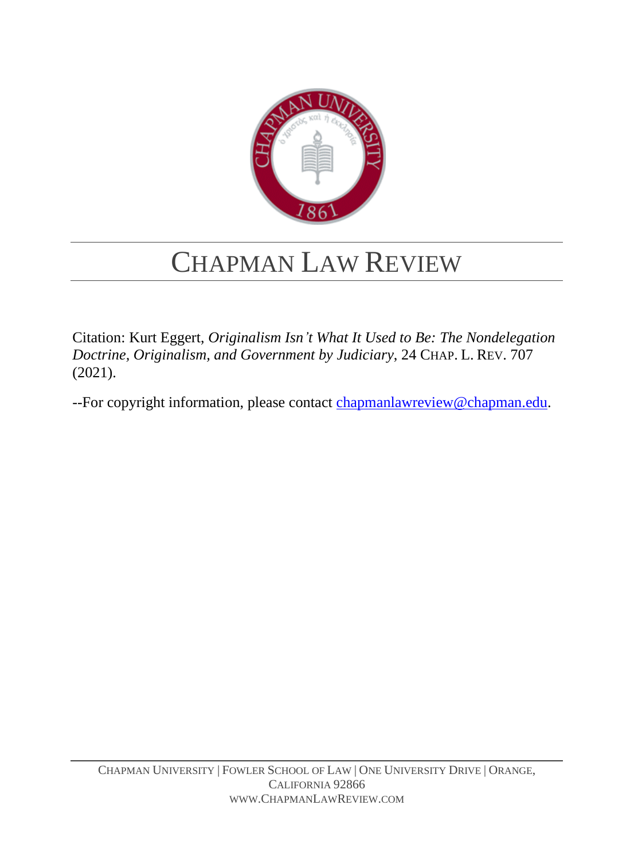

# CHAPMAN LAW REVIEW

Citation: Kurt Eggert, *Originalism Isn't What It Used to Be: The Nondelegation Doctrine, Originalism, and Government by Judiciary*, 24 CHAP. L. REV. 707 (2021).

--For copyright information, please contact [chapmanlawreview@chapman.edu.](mailto:chapmanlawreview@chapman.edu;%20chapmanlawreviewonline@gmail.com?subject=Copyright%20Information)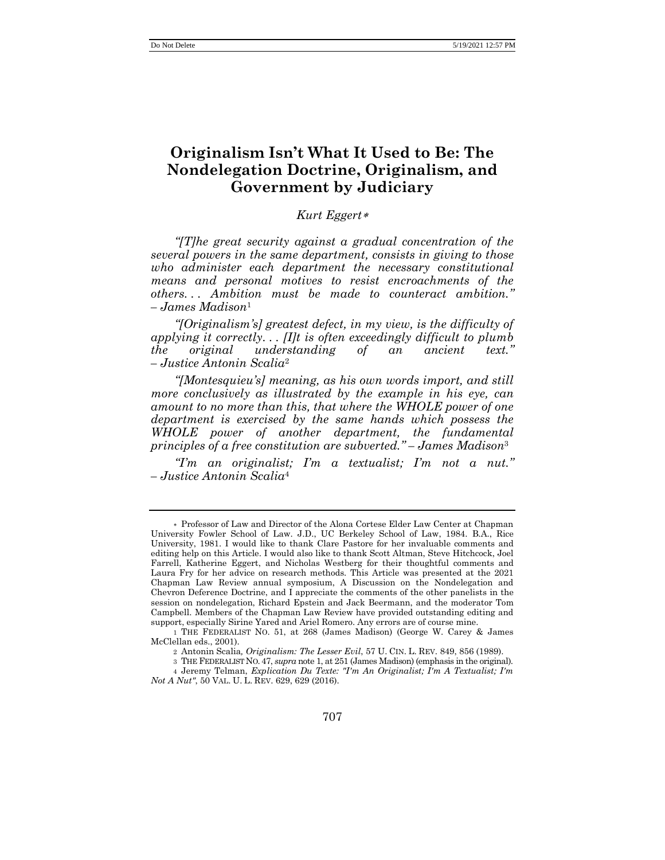## **Originalism Isn't What It Used to Be: The Nondelegation Doctrine, Originalism, and Government by Judiciary**

### *Kurt Eggert*

*"[T]he great security against a gradual concentration of the several powers in the same department, consists in giving to those who administer each department the necessary constitutional means and personal motives to resist encroachments of the others. . . Ambition must be made to counteract ambition." – James Madison*<sup>1</sup>

<span id="page-1-0"></span>*"[Originalism's] greatest defect, in my view, is the difficulty of applying it correctly. . . [I]t is often exceedingly difficult to plumb the original understanding of an ancient text." – Justice Antonin Scalia*<sup>2</sup>

*"[Montesquieu's] meaning, as his own words import, and still more conclusively as illustrated by the example in his eye, can amount to no more than this, that where the WHOLE power of one department is exercised by the same hands which possess the WHOLE power of another department, the fundamental principles of a free constitution are subverted." – James Madison*<sup>3</sup>

*"I'm an originalist; I'm a textualist; I'm not a nut." – Justice Antonin Scalia*<sup>4</sup>

Professor of Law and Director of the Alona Cortese Elder Law Center at Chapman University Fowler School of Law. J.D., UC Berkeley School of Law, 1984. B.A., Rice University, 1981. I would like to thank Clare Pastore for her invaluable comments and editing help on this Article. I would also like to thank Scott Altman, Steve Hitchcock, Joel Farrell, Katherine Eggert, and Nicholas Westberg for their thoughtful comments and Laura Fry for her advice on research methods. This Article was presented at the 2021 Chapman Law Review annual symposium, A Discussion on the Nondelegation and Chevron Deference Doctrine, and I appreciate the comments of the other panelists in the session on nondelegation, Richard Epstein and Jack Beermann, and the moderator Tom Campbell. Members of the Chapman Law Review have provided outstanding editing and support, especially Sirine Yared and Ariel Romero. Any errors are of course mine.

<sup>1</sup> THE FEDERALIST NO. 51, at 268 (James Madison) (George W. Carey & James McClellan eds., 2001).

<sup>2</sup> Antonin Scalia*, Originalism: The Lesser Evil*, 57 U. CIN. L. REV. 849, 856 (1989).

<sup>3</sup> THE FEDERALIST NO. 47, *supra* not[e 1,](#page-1-0) at 251 (James Madison) (emphasis in the original).

<sup>4</sup> Jeremy Telman, *Explication Du Texte: "I'm An Originalist; I'm A Textualist; I'm Not A Nut"*, 50 VAL. U. L. REV. 629, 629 (2016).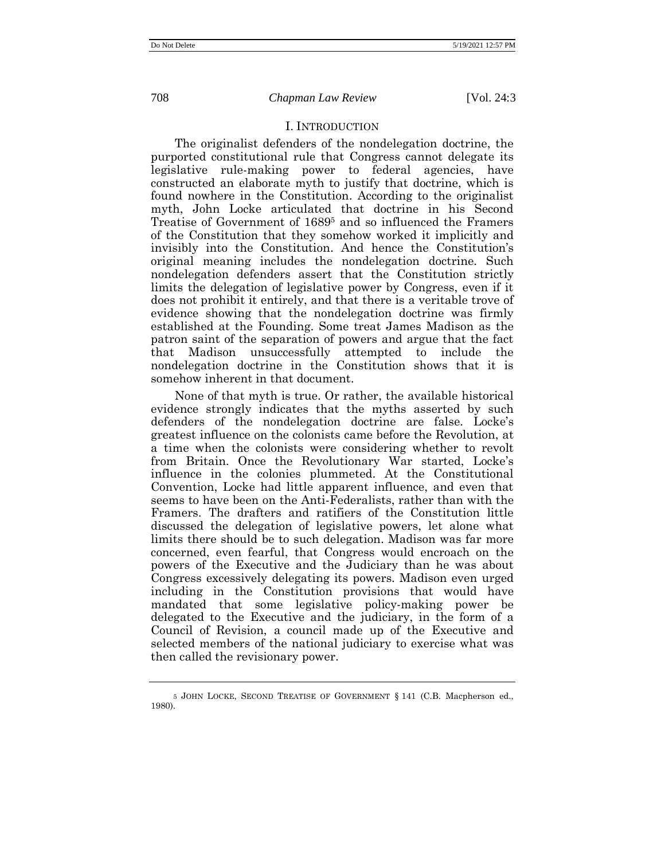#### <span id="page-2-0"></span>I. INTRODUCTION

The originalist defenders of the nondelegation doctrine, the purported constitutional rule that Congress cannot delegate its legislative rule-making power to federal agencies, have constructed an elaborate myth to justify that doctrine, which is found nowhere in the Constitution. According to the originalist myth, John Locke articulated that doctrine in his Second Treatise of Government of 1689<sup>5</sup> and so influenced the Framers of the Constitution that they somehow worked it implicitly and invisibly into the Constitution. And hence the Constitution's original meaning includes the nondelegation doctrine. Such nondelegation defenders assert that the Constitution strictly limits the delegation of legislative power by Congress, even if it does not prohibit it entirely, and that there is a veritable trove of evidence showing that the nondelegation doctrine was firmly established at the Founding. Some treat James Madison as the patron saint of the separation of powers and argue that the fact that Madison unsuccessfully attempted to include the nondelegation doctrine in the Constitution shows that it is somehow inherent in that document.

None of that myth is true. Or rather, the available historical evidence strongly indicates that the myths asserted by such defenders of the nondelegation doctrine are false. Locke's greatest influence on the colonists came before the Revolution, at a time when the colonists were considering whether to revolt from Britain. Once the Revolutionary War started, Locke's influence in the colonies plummeted. At the Constitutional Convention, Locke had little apparent influence, and even that seems to have been on the Anti-Federalists, rather than with the Framers. The drafters and ratifiers of the Constitution little discussed the delegation of legislative powers, let alone what limits there should be to such delegation. Madison was far more concerned, even fearful, that Congress would encroach on the powers of the Executive and the Judiciary than he was about Congress excessively delegating its powers. Madison even urged including in the Constitution provisions that would have mandated that some legislative policy-making power be delegated to the Executive and the judiciary, in the form of a Council of Revision, a council made up of the Executive and selected members of the national judiciary to exercise what was then called the revisionary power.

<sup>5</sup> JOHN LOCKE, SECOND TREATISE OF GOVERNMENT § 141 (C.B. Macpherson ed., 1980).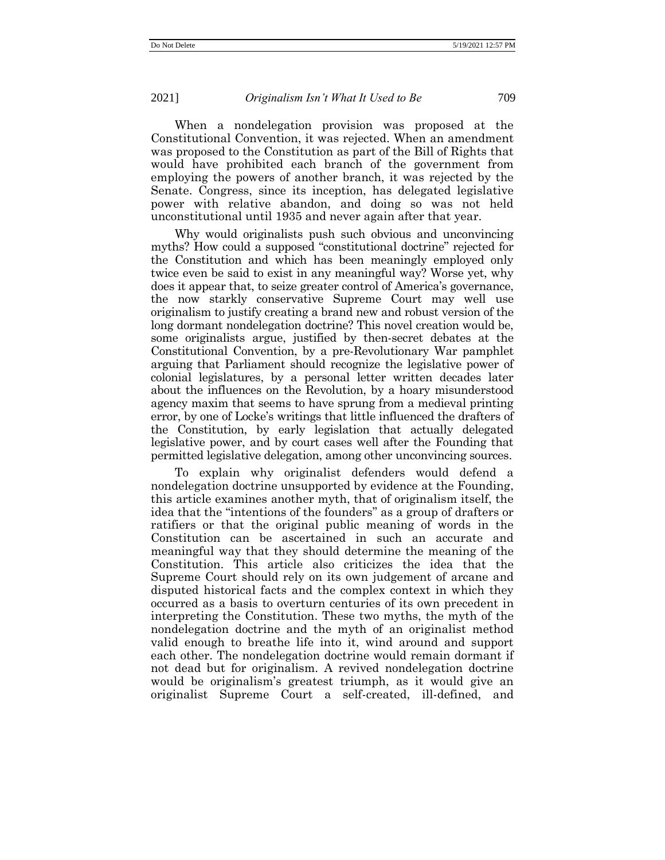When a nondelegation provision was proposed at the Constitutional Convention, it was rejected. When an amendment was proposed to the Constitution as part of the Bill of Rights that would have prohibited each branch of the government from employing the powers of another branch, it was rejected by the Senate. Congress, since its inception, has delegated legislative power with relative abandon, and doing so was not held unconstitutional until 1935 and never again after that year.

Why would originalists push such obvious and unconvincing myths? How could a supposed "constitutional doctrine" rejected for the Constitution and which has been meaningly employed only twice even be said to exist in any meaningful way? Worse yet, why does it appear that, to seize greater control of America's governance, the now starkly conservative Supreme Court may well use originalism to justify creating a brand new and robust version of the long dormant nondelegation doctrine? This novel creation would be, some originalists argue, justified by then-secret debates at the Constitutional Convention, by a pre-Revolutionary War pamphlet arguing that Parliament should recognize the legislative power of colonial legislatures, by a personal letter written decades later about the influences on the Revolution, by a hoary misunderstood agency maxim that seems to have sprung from a medieval printing error, by one of Locke's writings that little influenced the drafters of the Constitution, by early legislation that actually delegated legislative power, and by court cases well after the Founding that permitted legislative delegation, among other unconvincing sources.

To explain why originalist defenders would defend a nondelegation doctrine unsupported by evidence at the Founding, this article examines another myth, that of originalism itself, the idea that the "intentions of the founders" as a group of drafters or ratifiers or that the original public meaning of words in the Constitution can be ascertained in such an accurate and meaningful way that they should determine the meaning of the Constitution. This article also criticizes the idea that the Supreme Court should rely on its own judgement of arcane and disputed historical facts and the complex context in which they occurred as a basis to overturn centuries of its own precedent in interpreting the Constitution. These two myths, the myth of the nondelegation doctrine and the myth of an originalist method valid enough to breathe life into it, wind around and support each other. The nondelegation doctrine would remain dormant if not dead but for originalism. A revived nondelegation doctrine would be originalism's greatest triumph, as it would give an originalist Supreme Court a self-created, ill-defined, and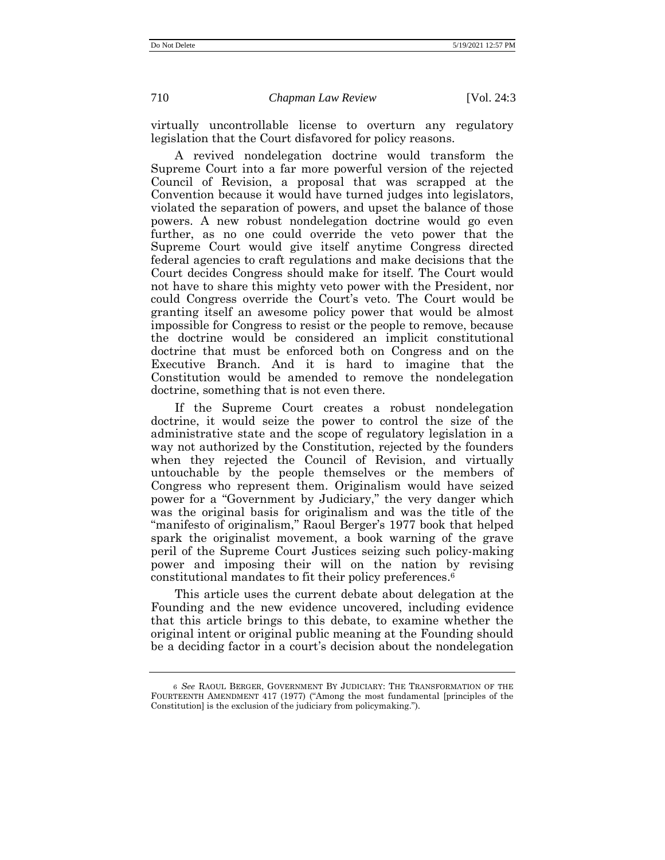virtually uncontrollable license to overturn any regulatory legislation that the Court disfavored for policy reasons.

A revived nondelegation doctrine would transform the Supreme Court into a far more powerful version of the rejected Council of Revision, a proposal that was scrapped at the Convention because it would have turned judges into legislators, violated the separation of powers, and upset the balance of those powers. A new robust nondelegation doctrine would go even further, as no one could override the veto power that the Supreme Court would give itself anytime Congress directed federal agencies to craft regulations and make decisions that the Court decides Congress should make for itself. The Court would not have to share this mighty veto power with the President, nor could Congress override the Court's veto. The Court would be granting itself an awesome policy power that would be almost impossible for Congress to resist or the people to remove, because the doctrine would be considered an implicit constitutional doctrine that must be enforced both on Congress and on the Executive Branch. And it is hard to imagine that the Constitution would be amended to remove the nondelegation doctrine, something that is not even there.

If the Supreme Court creates a robust nondelegation doctrine, it would seize the power to control the size of the administrative state and the scope of regulatory legislation in a way not authorized by the Constitution, rejected by the founders when they rejected the Council of Revision, and virtually untouchable by the people themselves or the members of Congress who represent them. Originalism would have seized power for a "Government by Judiciary," the very danger which was the original basis for originalism and was the title of the "manifesto of originalism," Raoul Berger's 1977 book that helped spark the originalist movement, a book warning of the grave peril of the Supreme Court Justices seizing such policy-making power and imposing their will on the nation by revising constitutional mandates to fit their policy preferences. 6

<span id="page-4-0"></span>This article uses the current debate about delegation at the Founding and the new evidence uncovered, including evidence that this article brings to this debate, to examine whether the original intent or original public meaning at the Founding should be a deciding factor in a court's decision about the nondelegation

<sup>6</sup> *See* RAOUL BERGER, GOVERNMENT BY JUDICIARY: THE TRANSFORMATION OF THE FOURTEENTH AMENDMENT 417 (1977) ("Among the most fundamental [principles of the Constitution] is the exclusion of the judiciary from policymaking.").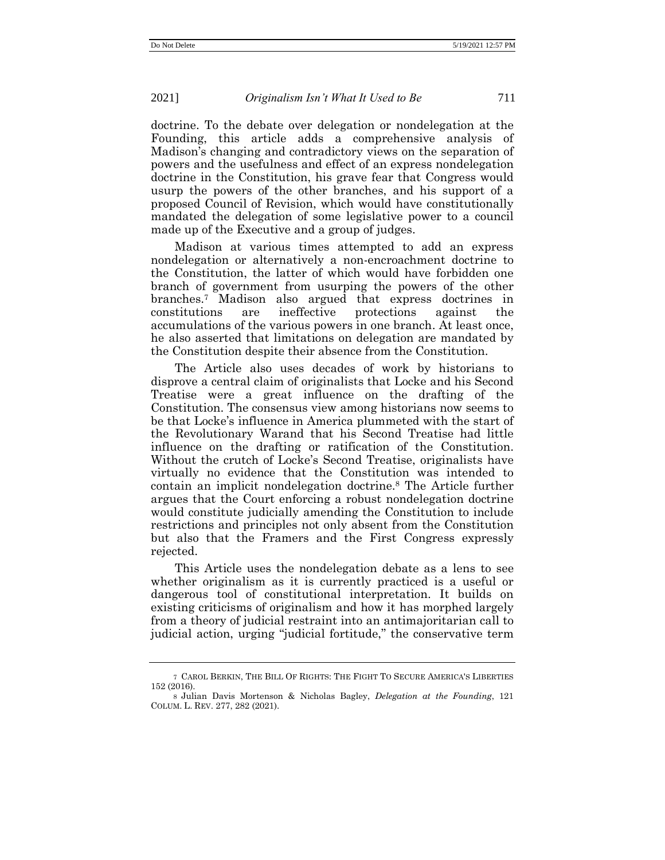doctrine. To the debate over delegation or nondelegation at the Founding, this article adds a comprehensive analysis of Madison's changing and contradictory views on the separation of powers and the usefulness and effect of an express nondelegation doctrine in the Constitution, his grave fear that Congress would usurp the powers of the other branches, and his support of a proposed Council of Revision, which would have constitutionally mandated the delegation of some legislative power to a council made up of the Executive and a group of judges.

<span id="page-5-1"></span>Madison at various times attempted to add an express nondelegation or alternatively a non-encroachment doctrine to the Constitution, the latter of which would have forbidden one branch of government from usurping the powers of the other branches. <sup>7</sup> Madison also argued that express doctrines in constitutions are ineffective protections against the accumulations of the various powers in one branch. At least once, he also asserted that limitations on delegation are mandated by the Constitution despite their absence from the Constitution.

The Article also uses decades of work by historians to disprove a central claim of originalists that Locke and his Second Treatise were a great influence on the drafting of the Constitution. The consensus view among historians now seems to be that Locke's influence in America plummeted with the start of the Revolutionary Warand that his Second Treatise had little influence on the drafting or ratification of the Constitution. Without the crutch of Locke's Second Treatise, originalists have virtually no evidence that the Constitution was intended to contain an implicit nondelegation doctrine.<sup>8</sup> The Article further argues that the Court enforcing a robust nondelegation doctrine would constitute judicially amending the Constitution to include restrictions and principles not only absent from the Constitution but also that the Framers and the First Congress expressly rejected.

<span id="page-5-0"></span>This Article uses the nondelegation debate as a lens to see whether originalism as it is currently practiced is a useful or dangerous tool of constitutional interpretation. It builds on existing criticisms of originalism and how it has morphed largely from a theory of judicial restraint into an antimajoritarian call to judicial action, urging "judicial fortitude," the conservative term

<sup>7</sup> CAROL BERKIN, THE BILL OF RIGHTS: THE FIGHT TO SECURE AMERICA'S LIBERTIES 152 (2016).

<sup>8</sup> Julian Davis Mortenson & Nicholas Bagley, *Delegation at the Founding*, 121 COLUM. L. REV. 277, 282 (2021).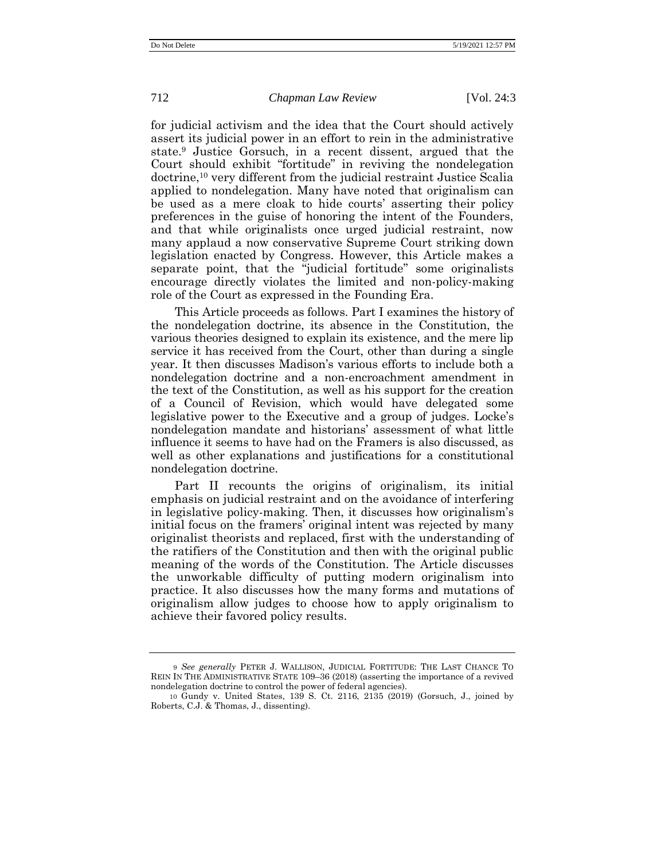<span id="page-6-0"></span>for judicial activism and the idea that the Court should actively assert its judicial power in an effort to rein in the administrative state.<sup>9</sup> Justice Gorsuch, in a recent dissent, argued that the Court should exhibit "fortitude" in reviving the nondelegation doctrine,<sup>10</sup> very different from the judicial restraint Justice Scalia applied to nondelegation. Many have noted that originalism can be used as a mere cloak to hide courts' asserting their policy preferences in the guise of honoring the intent of the Founders, and that while originalists once urged judicial restraint, now many applaud a now conservative Supreme Court striking down legislation enacted by Congress. However, this Article makes a separate point, that the "judicial fortitude" some originalists encourage directly violates the limited and non-policy-making role of the Court as expressed in the Founding Era.

This Article proceeds as follows. Part I examines the history of the nondelegation doctrine, its absence in the Constitution, the various theories designed to explain its existence, and the mere lip service it has received from the Court, other than during a single year. It then discusses Madison's various efforts to include both a nondelegation doctrine and a non-encroachment amendment in the text of the Constitution, as well as his support for the creation of a Council of Revision, which would have delegated some legislative power to the Executive and a group of judges. Locke's nondelegation mandate and historians' assessment of what little influence it seems to have had on the Framers is also discussed, as well as other explanations and justifications for a constitutional nondelegation doctrine.

Part II recounts the origins of originalism, its initial emphasis on judicial restraint and on the avoidance of interfering in legislative policy-making. Then, it discusses how originalism's initial focus on the framers' original intent was rejected by many originalist theorists and replaced, first with the understanding of the ratifiers of the Constitution and then with the original public meaning of the words of the Constitution. The Article discusses the unworkable difficulty of putting modern originalism into practice. It also discusses how the many forms and mutations of originalism allow judges to choose how to apply originalism to achieve their favored policy results.

<sup>9</sup> *See generally* PETER J. WALLISON, JUDICIAL FORTITUDE: THE LAST CHANCE TO REIN IN THE ADMINISTRATIVE STATE 109–36 (2018) (asserting the importance of a revived nondelegation doctrine to control the power of federal agencies).

<sup>10</sup> Gundy v. United States, 139 S. Ct. 2116, 2135 (2019) (Gorsuch, J., joined by Roberts, C.J. & Thomas, J., dissenting).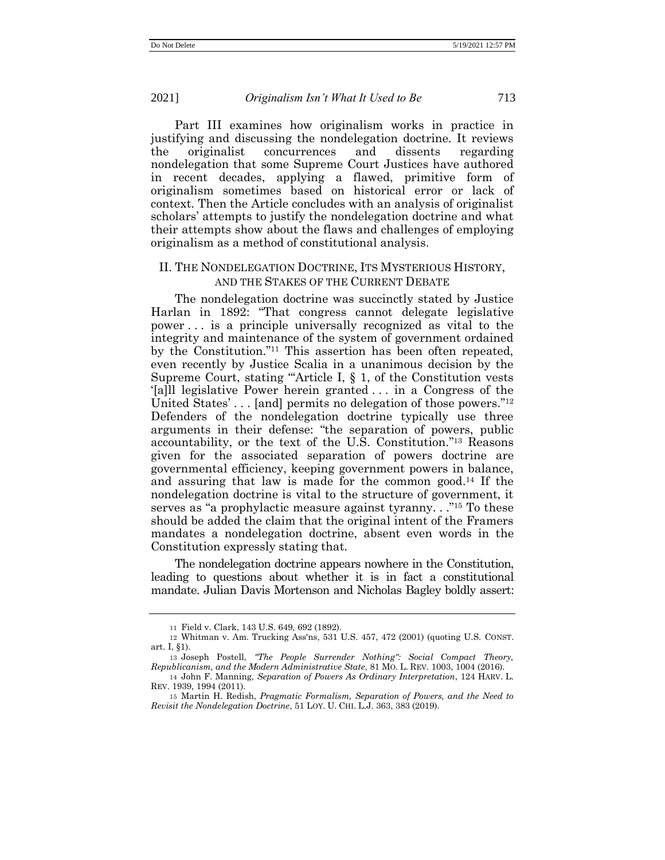Part III examines how originalism works in practice in justifying and discussing the nondelegation doctrine. It reviews the originalist concurrences and dissents regarding nondelegation that some Supreme Court Justices have authored in recent decades, applying a flawed, primitive form of originalism sometimes based on historical error or lack of context. Then the Article concludes with an analysis of originalist scholars' attempts to justify the nondelegation doctrine and what their attempts show about the flaws and challenges of employing originalism as a method of constitutional analysis.

#### II. THE NONDELEGATION DOCTRINE, ITS MYSTERIOUS HISTORY, AND THE STAKES OF THE CURRENT DEBATE

The nondelegation doctrine was succinctly stated by Justice Harlan in 1892: "That congress cannot delegate legislative power . . . is a principle universally recognized as vital to the integrity and maintenance of the system of government ordained by the Constitution." <sup>11</sup> This assertion has been often repeated, even recently by Justice Scalia in a unanimous decision by the Supreme Court, stating "'Article I, § 1, of the Constitution vests '[a]ll legislative Power herein granted . . . in a Congress of the United States'... [and] permits no delegation of those powers."<sup>12</sup> Defenders of the nondelegation doctrine typically use three arguments in their defense: "the separation of powers, public accountability, or the text of the U.S. Constitution." <sup>13</sup> Reasons given for the associated separation of powers doctrine are governmental efficiency, keeping government powers in balance, and assuring that law is made for the common good. <sup>14</sup> If the nondelegation doctrine is vital to the structure of government, it serves as "a prophylactic measure against tyranny..."<sup>15</sup> To these should be added the claim that the original intent of the Framers mandates a nondelegation doctrine, absent even words in the Constitution expressly stating that.

The nondelegation doctrine appears nowhere in the Constitution, leading to questions about whether it is in fact a constitutional mandate. Julian Davis Mortenson and Nicholas Bagley boldly assert:

<sup>11</sup> Field v. Clark, 143 U.S. 649, 692 (1892).

<sup>12</sup> Whitman v. Am. Trucking Ass'ns, 531 U.S. 457, 472 (2001) (quoting U.S. CONST. art. I, §1).

<sup>13</sup> Joseph Postell, *"The People Surrender Nothing": Social Compact Theory, Republicanism, and the Modern Administrative State*, 81 MO. L. REV. 1003, 1004 (2016).

<sup>14</sup> John F. Manning, *Separation of Powers As Ordinary Interpretation*, 124 HARV. L. REV. 1939, 1994 (2011).

<sup>15</sup> Martin H. Redish, *Pragmatic Formalism, Separation of Powers, and the Need to Revisit the Nondelegation Doctrine*, 51 LOY. U. CHI. L.J. 363, 383 (2019).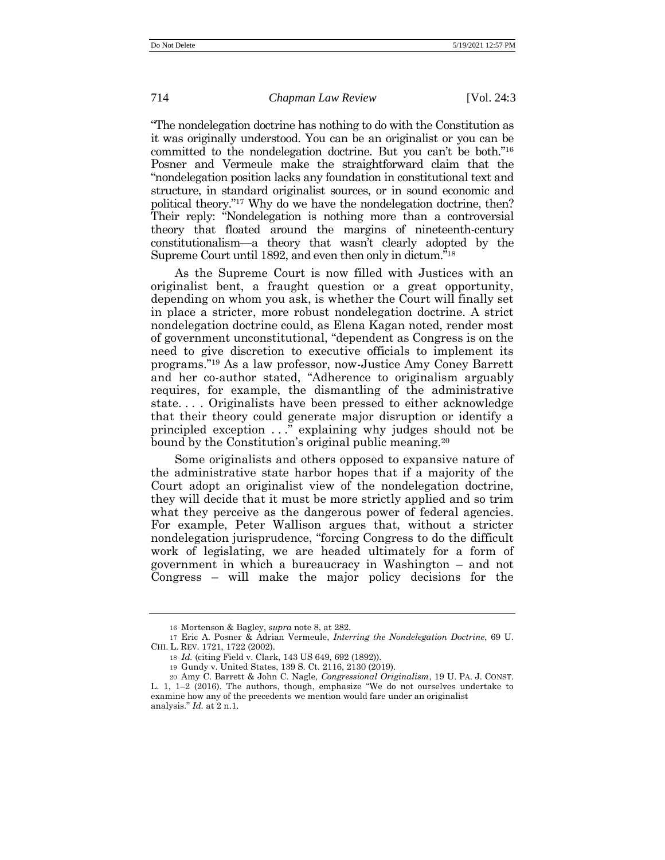"The nondelegation doctrine has nothing to do with the Constitution as it was originally understood. You can be an originalist or you can be committed to the nondelegation doctrine. But you can't be both." 16 Posner and Vermeule make the straightforward claim that the "nondelegation position lacks any foundation in constitutional text and structure, in standard originalist sources, or in sound economic and political theory." <sup>17</sup> Why do we have the nondelegation doctrine, then? Their reply: "Nondelegation is nothing more than a controversial theory that floated around the margins of nineteenth-century constitutionalism—a theory that wasn't clearly adopted by the Supreme Court until 1892, and even then only in dictum."<sup>18</sup>

<span id="page-8-0"></span>As the Supreme Court is now filled with Justices with an originalist bent, a fraught question or a great opportunity, depending on whom you ask, is whether the Court will finally set in place a stricter, more robust nondelegation doctrine. A strict nondelegation doctrine could, as Elena Kagan noted, render most of government unconstitutional, "dependent as Congress is on the need to give discretion to executive officials to implement its programs." <sup>19</sup> As a law professor, now-Justice Amy Coney Barrett and her co-author stated, "Adherence to originalism arguably requires, for example, the dismantling of the administrative state. . . . Originalists have been pressed to either acknowledge that their theory could generate major disruption or identify a principled exception . . ." explaining why judges should not be bound by the Constitution's original public meaning.<sup>20</sup>

Some originalists and others opposed to expansive nature of the administrative state harbor hopes that if a majority of the Court adopt an originalist view of the nondelegation doctrine, they will decide that it must be more strictly applied and so trim what they perceive as the dangerous power of federal agencies. For example, Peter Wallison argues that, without a stricter nondelegation jurisprudence, "forcing Congress to do the difficult work of legislating, we are headed ultimately for a form of government in which a bureaucracy in Washington – and not Congress – will make the major policy decisions for the

<sup>16</sup> Mortenson & Bagley, *supra* note [8,](#page-5-0) at 282.

<sup>17</sup> Eric A. Posner & Adrian Vermeule, *Interring the Nondelegation Doctrine*, 69 U. CHI. L. REV. 1721, 1722 (2002).

<sup>18</sup> *Id.* (citing Field v. Clark, 143 US 649, 692 (1892)).

<sup>19</sup> Gundy v. United States, 139 S. Ct. 2116, 2130 (2019).

<sup>20</sup> Amy C. Barrett & John C. Nagle, *Congressional Originalism*, 19 U. PA. J. CONST. L. 1,  $1-2$  (2016). The authors, though, emphasize "We do not ourselves undertake to examine how any of the precedents we mention would fare under an originalist analysis." *Id.* at 2 n.1.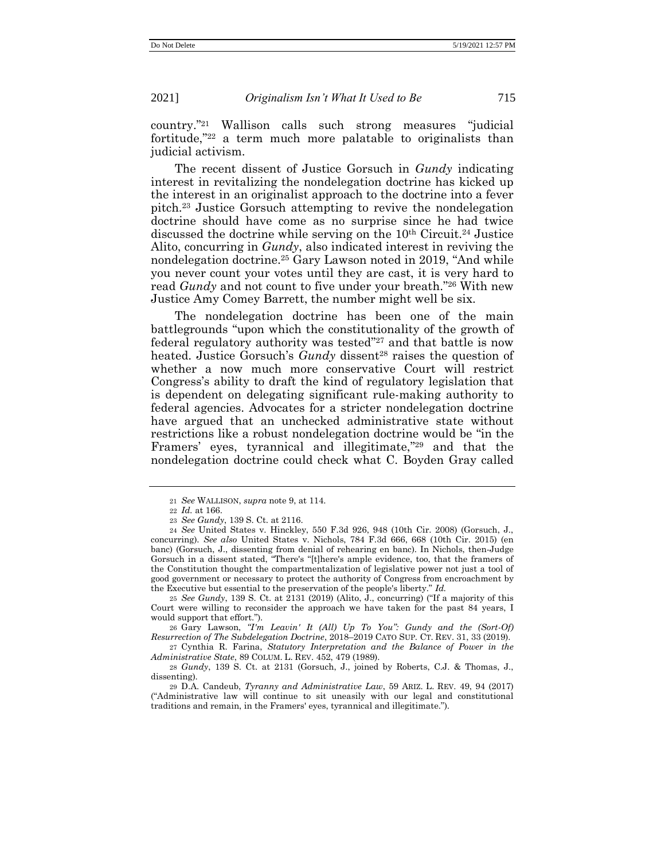country." <sup>21</sup> Wallison calls such strong measures "judicial fortitude," <sup>22</sup> a term much more palatable to originalists than judicial activism.

The recent dissent of Justice Gorsuch in *Gundy* indicating interest in revitalizing the nondelegation doctrine has kicked up the interest in an originalist approach to the doctrine into a fever pitch.<sup>23</sup> Justice Gorsuch attempting to revive the nondelegation doctrine should have come as no surprise since he had twice discussed the doctrine while serving on the 10th Circuit.<sup>24</sup> Justice Alito, concurring in *Gundy*, also indicated interest in reviving the nondelegation doctrine.<sup>25</sup> Gary Lawson noted in 2019, "And while you never count your votes until they are cast, it is very hard to read *Gundy* and not count to five under your breath." <sup>26</sup> With new Justice Amy Comey Barrett, the number might well be six.

The nondelegation doctrine has been one of the main battlegrounds "upon which the constitutionality of the growth of federal regulatory authority was tested"<sup>27</sup> and that battle is now heated. Justice Gorsuch's *Gundy* dissent<sup>28</sup> raises the question of whether a now much more conservative Court will restrict Congress's ability to draft the kind of regulatory legislation that is dependent on delegating significant rule-making authority to federal agencies. Advocates for a stricter nondelegation doctrine have argued that an unchecked administrative state without restrictions like a robust nondelegation doctrine would be "in the Framers' eyes, tyrannical and illegitimate," <sup>29</sup> and that the nondelegation doctrine could check what C. Boyden Gray called

25 *See Gundy*, 139 S. Ct. at 2131 (2019) (Alito, J., concurring) ("If a majority of this Court were willing to reconsider the approach we have taken for the past 84 years, I would support that effort.").

26 Gary Lawson, *"I'm Leavin' It (All) Up To You": Gundy and the (Sort-Of) Resurrection of The Subdelegation Doctrine*, 2018–2019 CATO SUP. CT. REV. 31, 33 (2019).

27 Cynthia R. Farina, *Statutory Interpretation and the Balance of Power in the Administrative State*, 89 COLUM. L. REV. 452, 479 (1989).

28 *Gundy*, 139 S. Ct. at 2131 (Gorsuch, J., joined by Roberts, C.J. & Thomas, J., dissenting).

29 D.A. Candeub, *Tyranny and Administrative Law*, 59 ARIZ. L. REV. 49, 94 (2017) ("Administrative law will continue to sit uneasily with our legal and constitutional traditions and remain, in the Framers' eyes, tyrannical and illegitimate.").

<sup>21</sup> *See* WALLISON, *supra* note [9,](#page-6-0) at 114.

<sup>22</sup> *Id.* at 166.

<sup>23</sup> *See Gundy*, 139 S. Ct. at 2116.

<sup>24</sup> *See* United States v. Hinckley, 550 F.3d 926, 948 (10th Cir. 2008) (Gorsuch, J., concurring). *See also* United States v. Nichols, 784 F.3d 666, 668 (10th Cir. 2015) (en banc) (Gorsuch, J., dissenting from denial of rehearing en banc). In Nichols, then-Judge Gorsuch in a dissent stated, "There's "[t]here's ample evidence, too, that the framers of the Constitution thought the compartmentalization of legislative power not just a tool of good government or necessary to protect the authority of Congress from encroachment by the Executive but essential to the preservation of the people's liberty." *Id.*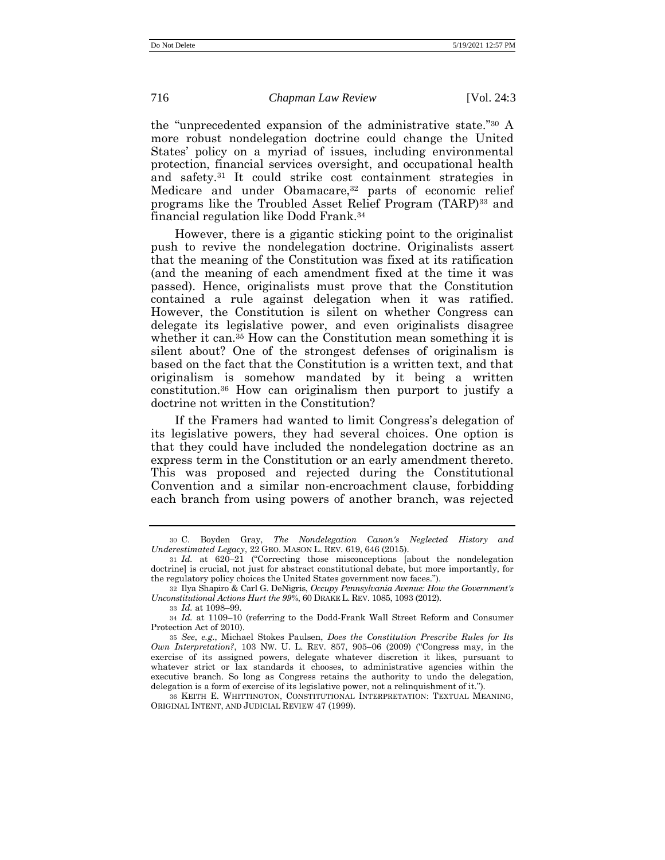the "unprecedented expansion of the administrative state." <sup>30</sup> A more robust nondelegation doctrine could change the United States' policy on a myriad of issues, including environmental protection, financial services oversight, and occupational health and safety.<sup>31</sup> It could strike cost containment strategies in Medicare and under Obamacare,<sup>32</sup> parts of economic relief programs like the Troubled Asset Relief Program (TARP)<sup>33</sup> and financial regulation like Dodd Frank. 34

However, there is a gigantic sticking point to the originalist push to revive the nondelegation doctrine. Originalists assert that the meaning of the Constitution was fixed at its ratification (and the meaning of each amendment fixed at the time it was passed). Hence, originalists must prove that the Constitution contained a rule against delegation when it was ratified. However, the Constitution is silent on whether Congress can delegate its legislative power, and even originalists disagree whether it can.<sup>35</sup> How can the Constitution mean something it is silent about? One of the strongest defenses of originalism is based on the fact that the Constitution is a written text, and that originalism is somehow mandated by it being a written constitution.<sup>36</sup> How can originalism then purport to justify a doctrine not written in the Constitution?

If the Framers had wanted to limit Congress's delegation of its legislative powers, they had several choices. One option is that they could have included the nondelegation doctrine as an express term in the Constitution or an early amendment thereto. This was proposed and rejected during the Constitutional Convention and a similar non-encroachment clause, forbidding each branch from using powers of another branch, was rejected

<sup>30</sup> C. Boyden Gray, *The Nondelegation Canon's Neglected History and Underestimated Legacy*, 22 GEO. MASON L. REV. 619, 646 (2015).

<sup>31</sup> *Id.* at 620–21 ("Correcting those misconceptions [about the nondelegation doctrine] is crucial, not just for abstract constitutional debate, but more importantly, for the regulatory policy choices the United States government now faces.").

<sup>32</sup> Ilya Shapiro & Carl G. DeNigris, *Occupy Pennsylvania Avenue: How the Government's Unconstitutional Actions Hurt the 99%*, 60 DRAKE L. REV. 1085, 1093 (2012).

<sup>33</sup> *Id.* at 1098–99.

<sup>34</sup> *Id.* at 1109–10 (referring to the Dodd-Frank Wall Street Reform and Consumer Protection Act of 2010).

<sup>35</sup> *See*, *e.g*., Michael Stokes Paulsen, *Does the Constitution Prescribe Rules for Its Own Interpretation?*, 103 NW. U. L. REV. 857, 905–06 (2009) ("Congress may, in the exercise of its assigned powers, delegate whatever discretion it likes, pursuant to whatever strict or lax standards it chooses, to administrative agencies within the executive branch. So long as Congress retains the authority to undo the delegation, delegation is a form of exercise of its legislative power, not a relinquishment of it.").

<sup>36</sup> KEITH E. WHITTINGTON, CONSTITUTIONAL INTERPRETATION: TEXTUAL MEANING, ORIGINAL INTENT, AND JUDICIAL REVIEW 47 (1999).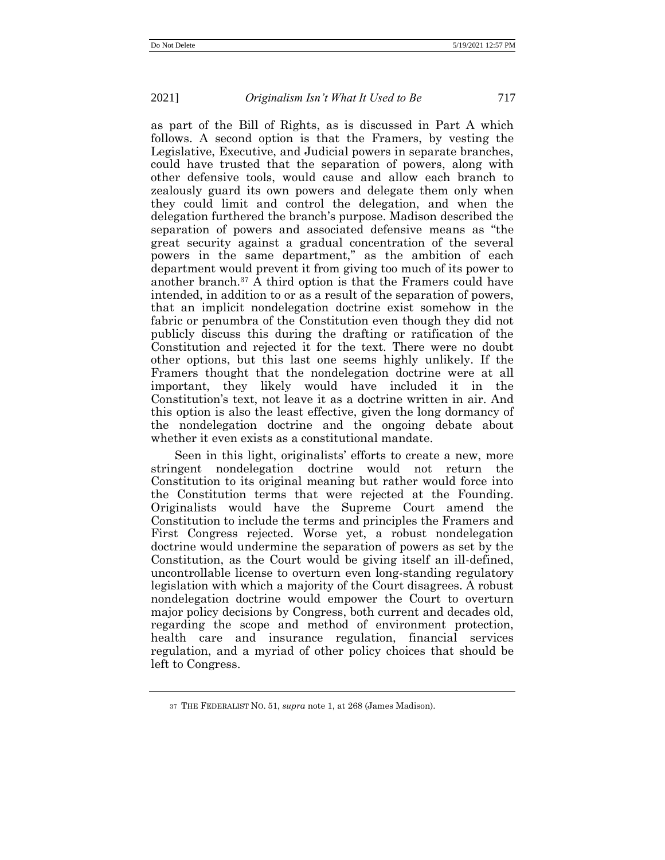as part of the Bill of Rights, as is discussed in Part A which follows. A second option is that the Framers, by vesting the Legislative, Executive, and Judicial powers in separate branches, could have trusted that the separation of powers, along with other defensive tools, would cause and allow each branch to zealously guard its own powers and delegate them only when they could limit and control the delegation, and when the delegation furthered the branch's purpose. Madison described the separation of powers and associated defensive means as "the great security against a gradual concentration of the several powers in the same department," as the ambition of each department would prevent it from giving too much of its power to another branch.<sup>37</sup> A third option is that the Framers could have intended, in addition to or as a result of the separation of powers, that an implicit nondelegation doctrine exist somehow in the fabric or penumbra of the Constitution even though they did not publicly discuss this during the drafting or ratification of the Constitution and rejected it for the text. There were no doubt other options, but this last one seems highly unlikely. If the Framers thought that the nondelegation doctrine were at all important, they likely would have included it in the Constitution's text, not leave it as a doctrine written in air. And this option is also the least effective, given the long dormancy of the nondelegation doctrine and the ongoing debate about whether it even exists as a constitutional mandate.

Seen in this light, originalists' efforts to create a new, more stringent nondelegation doctrine would not return the Constitution to its original meaning but rather would force into the Constitution terms that were rejected at the Founding. Originalists would have the Supreme Court amend the Constitution to include the terms and principles the Framers and First Congress rejected. Worse yet, a robust nondelegation doctrine would undermine the separation of powers as set by the Constitution, as the Court would be giving itself an ill-defined, uncontrollable license to overturn even long-standing regulatory legislation with which a majority of the Court disagrees. A robust nondelegation doctrine would empower the Court to overturn major policy decisions by Congress, both current and decades old, regarding the scope and method of environment protection, health care and insurance regulation, financial services regulation, and a myriad of other policy choices that should be left to Congress.

<sup>37</sup> THE FEDERALIST NO. 51, *supra* not[e 1,](#page-1-0) at 268 (James Madison).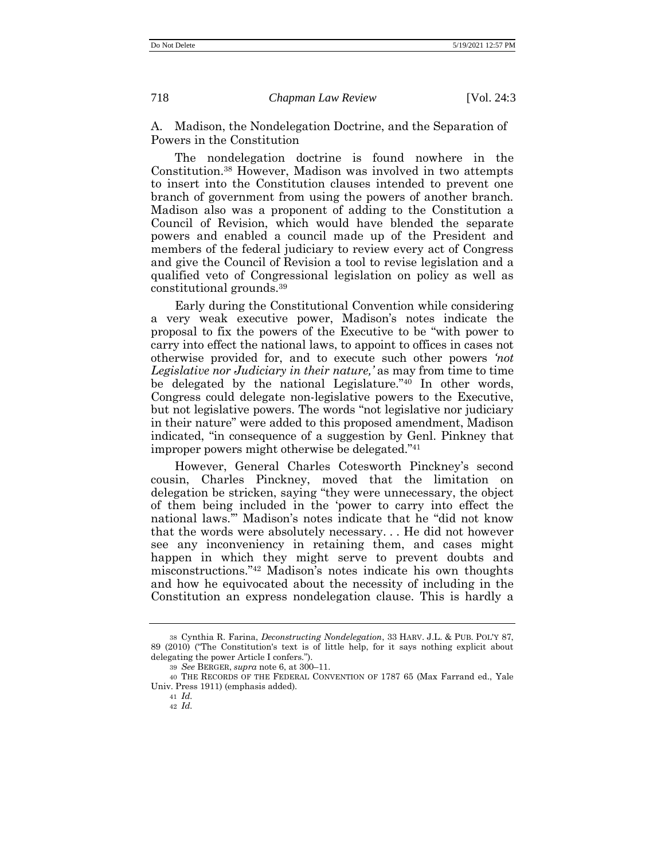A. Madison, the Nondelegation Doctrine, and the Separation of Powers in the Constitution

The nondelegation doctrine is found nowhere in the Constitution.<sup>38</sup> However, Madison was involved in two attempts to insert into the Constitution clauses intended to prevent one branch of government from using the powers of another branch. Madison also was a proponent of adding to the Constitution a Council of Revision, which would have blended the separate powers and enabled a council made up of the President and members of the federal judiciary to review every act of Congress and give the Council of Revision a tool to revise legislation and a qualified veto of Congressional legislation on policy as well as constitutional grounds.<sup>39</sup>

<span id="page-12-0"></span>Early during the Constitutional Convention while considering a very weak executive power, Madison's notes indicate the proposal to fix the powers of the Executive to be "with power to carry into effect the national laws, to appoint to offices in cases not otherwise provided for, and to execute such other powers *'not Legislative nor Judiciary in their nature,'* as may from time to time be delegated by the national Legislature." <sup>40</sup> In other words, Congress could delegate non-legislative powers to the Executive, but not legislative powers. The words "not legislative nor judiciary in their nature" were added to this proposed amendment, Madison indicated, "in consequence of a suggestion by Genl. Pinkney that improper powers might otherwise be delegated." 41

However, General Charles Cotesworth Pinckney's second cousin, Charles Pinckney, moved that the limitation on delegation be stricken, saying "they were unnecessary, the object of them being included in the 'power to carry into effect the national laws.'" Madison's notes indicate that he "did not know that the words were absolutely necessary. . . He did not however see any inconveniency in retaining them, and cases might happen in which they might serve to prevent doubts and misconstructions." <sup>42</sup> Madison's notes indicate his own thoughts and how he equivocated about the necessity of including in the Constitution an express nondelegation clause. This is hardly a

<sup>38</sup> Cynthia R. Farina, *Deconstructing Nondelegation*, 33 HARV. J.L. & PUB. POL'Y 87, 89 (2010) ("The Constitution's text is of little help, for it says nothing explicit about delegating the power Article I confers.").

<sup>39</sup> *See* BERGER, *supra* note [6,](#page-4-0) at 300–11.

<sup>40</sup> THE RECORDS OF THE FEDERAL CONVENTION OF 1787 65 (Max Farrand ed., Yale Univ. Press 1911) (emphasis added).

<sup>41</sup> *Id.*

<sup>42</sup> *Id.*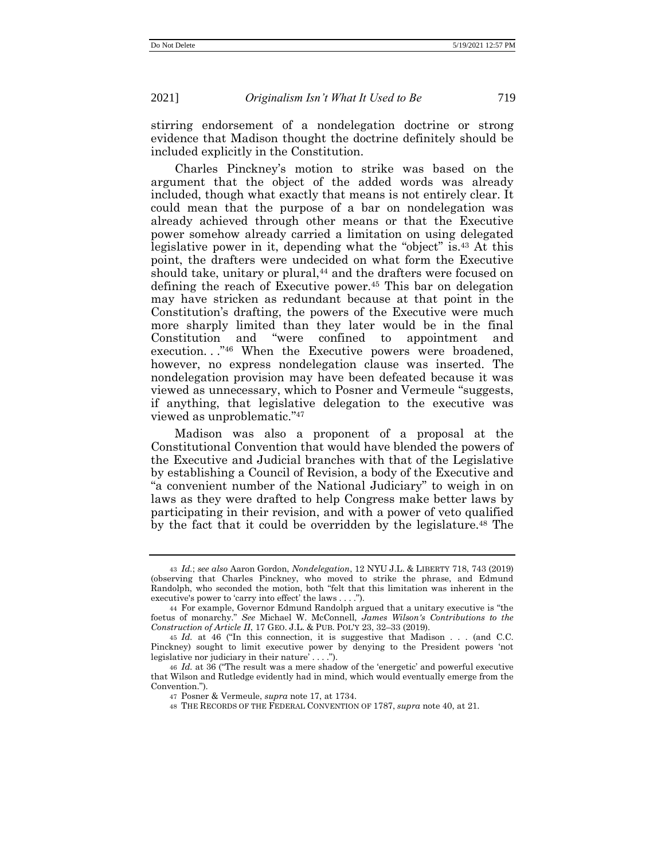stirring endorsement of a nondelegation doctrine or strong evidence that Madison thought the doctrine definitely should be included explicitly in the Constitution.

<span id="page-13-0"></span>Charles Pinckney's motion to strike was based on the argument that the object of the added words was already included, though what exactly that means is not entirely clear. It could mean that the purpose of a bar on nondelegation was already achieved through other means or that the Executive power somehow already carried a limitation on using delegated legislative power in it, depending what the "object" is.<sup>43</sup> At this point, the drafters were undecided on what form the Executive should take, unitary or plural,<sup>44</sup> and the drafters were focused on defining the reach of Executive power.<sup>45</sup> This bar on delegation may have stricken as redundant because at that point in the Constitution's drafting, the powers of the Executive were much more sharply limited than they later would be in the final Constitution and "were confined to appointment and execution..."<sup>46</sup> When the Executive powers were broadened, however, no express nondelegation clause was inserted. The nondelegation provision may have been defeated because it was viewed as unnecessary, which to Posner and Vermeule "suggests, if anything, that legislative delegation to the executive was viewed as unproblematic." 47

Madison was also a proponent of a proposal at the Constitutional Convention that would have blended the powers of the Executive and Judicial branches with that of the Legislative by establishing a Council of Revision, a body of the Executive and "a convenient number of the National Judiciary" to weigh in on laws as they were drafted to help Congress make better laws by participating in their revision, and with a power of veto qualified by the fact that it could be overridden by the legislature. <sup>48</sup> The

<sup>43</sup> *Id.*; *see also* Aaron Gordon, *Nondelegation*, 12 NYU J.L. & LIBERTY 718, 743 (2019) (observing that Charles Pinckney, who moved to strike the phrase, and Edmund Randolph, who seconded the motion, both "felt that this limitation was inherent in the executive's power to 'carry into effect' the laws . . . .").

<sup>44</sup> For example, Governor Edmund Randolph argued that a unitary executive is "the foetus of monarchy." *See* Michael W. McConnell, *James Wilson's Contributions to the Construction of Article II*, 17 GEO. J.L. & PUB. POL'Y 23, 32–33 (2019).

<sup>45</sup> *Id.* at 46 ("In this connection, it is suggestive that Madison . . . (and C.C. Pinckney) sought to limit executive power by denying to the President powers 'not legislative nor judiciary in their nature' . . . .").

<sup>46</sup> *Id.* at 36 ("The result was a mere shadow of the 'energetic' and powerful executive that Wilson and Rutledge evidently had in mind, which would eventually emerge from the Convention.").

<sup>47</sup> Posner & Vermeule, *supra* not[e 17,](#page-8-0) at 1734.

<sup>48</sup> THE RECORDS OF THE FEDERAL CONVENTION OF 1787, *supra* not[e 40,](#page-12-0) at 21.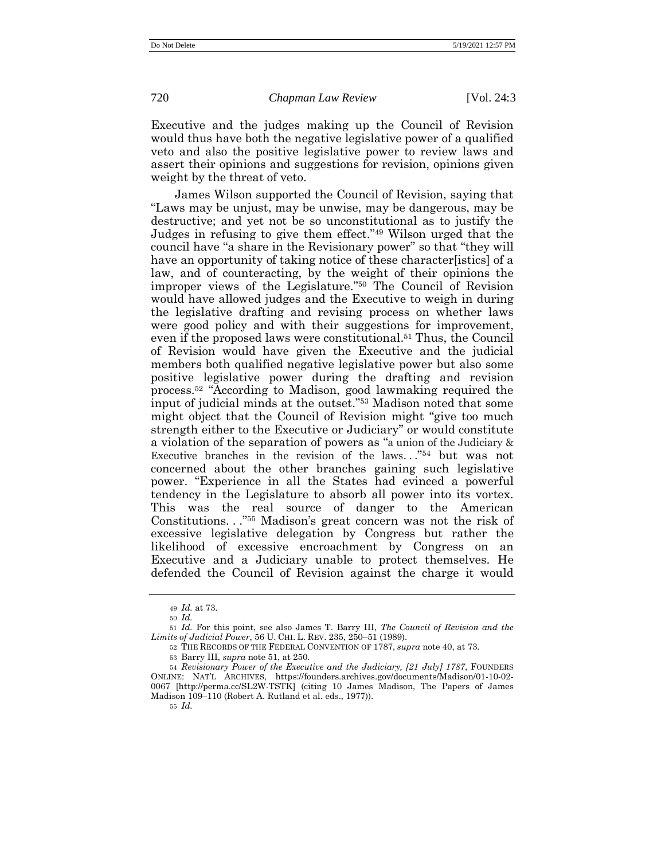Executive and the judges making up the Council of Revision would thus have both the negative legislative power of a qualified veto and also the positive legislative power to review laws and assert their opinions and suggestions for revision, opinions given weight by the threat of veto.

<span id="page-14-0"></span>James Wilson supported the Council of Revision, saying that "Laws may be unjust, may be unwise, may be dangerous, may be destructive; and yet not be so unconstitutional as to justify the Judges in refusing to give them effect." <sup>49</sup> Wilson urged that the council have "a share in the Revisionary power" so that "they will have an opportunity of taking notice of these character[istics] of a law, and of counteracting, by the weight of their opinions the improper views of the Legislature." <sup>50</sup> The Council of Revision would have allowed judges and the Executive to weigh in during the legislative drafting and revising process on whether laws were good policy and with their suggestions for improvement. even if the proposed laws were constitutional.<sup>51</sup> Thus, the Council of Revision would have given the Executive and the judicial members both qualified negative legislative power but also some positive legislative power during the drafting and revision process. <sup>52</sup> "According to Madison, good lawmaking required the input of judicial minds at the outset." <sup>53</sup> Madison noted that some might object that the Council of Revision might "give too much strength either to the Executive or Judiciary" or would constitute a violation of the separation of powers as "a union of the Judiciary & Executive branches in the revision of the laws..."<sup>54</sup> but was not concerned about the other branches gaining such legislative power. "Experience in all the States had evinced a powerful tendency in the Legislature to absorb all power into its vortex. This was the real source of danger to the American Constitutions. . ." <sup>55</sup> Madison's great concern was not the risk of excessive legislative delegation by Congress but rather the likelihood of excessive encroachment by Congress on an Executive and a Judiciary unable to protect themselves. He defended the Council of Revision against the charge it would

<sup>49</sup> *Id.* at 73.

<sup>50</sup> *Id.*

<sup>51</sup> *Id.* For this point, see also James T. Barry III, *The Council of Revision and the Limits of Judicial Power*, 56 U. CHI. L. REV. 235, 250–51 (1989).

<sup>52</sup> THE RECORDS OF THE FEDERAL CONVENTION OF 1787, *supra* not[e 40,](#page-12-0) at 73.

<sup>53</sup> Barry III, *supra* not[e 51,](#page-14-0) at 250.

<sup>54</sup> *Revisionary Power of the Executive and the Judiciary, [21 July] 1787*, FOUNDERS ONLINE: NAT'L ARCHIVES, https://founders.archives.gov/documents/Madison/01-10-02- 0067 [\[http://perma.cc/SL2W-TSTK\]](http://perma.cc/SL2W-TSTK) (citing 10 James Madison, The Papers of James Madison 109–110 (Robert A. Rutland et al. eds., 1977)).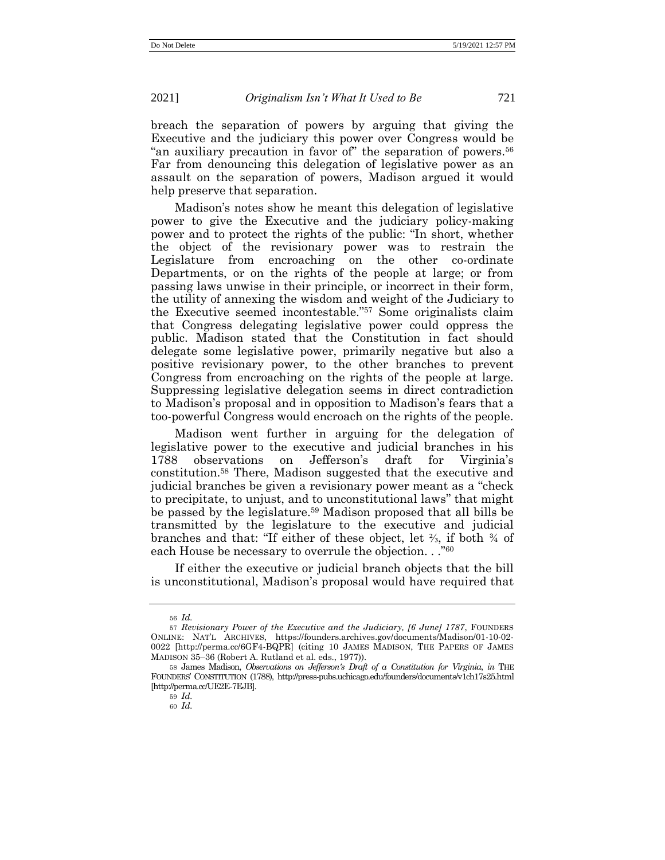breach the separation of powers by arguing that giving the Executive and the judiciary this power over Congress would be "an auxiliary precaution in favor of" the separation of powers.<sup>56</sup> Far from denouncing this delegation of legislative power as an assault on the separation of powers, Madison argued it would help preserve that separation.

Madison's notes show he meant this delegation of legislative power to give the Executive and the judiciary policy-making power and to protect the rights of the public: "In short, whether the object of the revisionary power was to restrain the Legislature from encroaching on the other co-ordinate Departments, or on the rights of the people at large; or from passing laws unwise in their principle, or incorrect in their form, the utility of annexing the wisdom and weight of the Judiciary to the Executive seemed incontestable." <sup>57</sup> Some originalists claim that Congress delegating legislative power could oppress the public. Madison stated that the Constitution in fact should delegate some legislative power, primarily negative but also a positive revisionary power, to the other branches to prevent Congress from encroaching on the rights of the people at large. Suppressing legislative delegation seems in direct contradiction to Madison's proposal and in opposition to Madison's fears that a too-powerful Congress would encroach on the rights of the people.

Madison went further in arguing for the delegation of legislative power to the executive and judicial branches in his 1788 observations on Jefferson's draft for Virginia's constitution.<sup>58</sup> There, Madison suggested that the executive and judicial branches be given a revisionary power meant as a "check to precipitate, to unjust, and to unconstitutional laws" that might be passed by the legislature.<sup>59</sup> Madison proposed that all bills be transmitted by the legislature to the executive and judicial branches and that: "If either of these object, let ⅔, if both ¾ of each House be necessary to overrule the objection. . ."<sup>60</sup>

If either the executive or judicial branch objects that the bill is unconstitutional, Madison's proposal would have required that

59 *Id.*

<sup>56</sup> *Id.*

<sup>57</sup> *Revisionary Power of the Executive and the Judiciary, [6 June] 1787*, FOUNDERS ONLINE: NAT'L ARCHIVES, https://founders.archives.gov/documents/Madison/01-10-02- 0022 [\[http://perma.cc/6GF4-BQPR\]](http://perma.cc/6GF4-BQPR) (citing 10 JAMES MADISON, THE PAPERS OF JAMES MADISON 35–36 (Robert A. Rutland et al. eds., 1977)).

<sup>58</sup> James Madison, *Observations on Jefferson's Draft of a Constitution for Virginia*, *in* THE FOUNDERS' CONSTITUTION (1788), http://press-pubs.uchicago.edu/founders/documents/v1ch17s25.html [\[http://perma.cc/UE2E-7EJB\]](http://perma.cc/UE2E-7EJB).

<sup>60</sup> *Id.*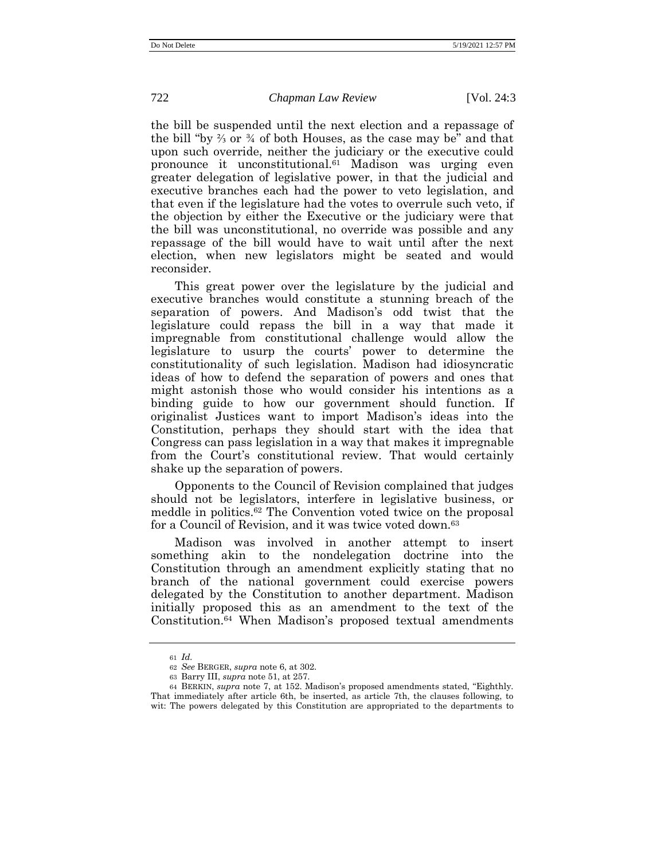the bill be suspended until the next election and a repassage of the bill "by ⅔ or ¾ of both Houses, as the case may be" and that upon such override, neither the judiciary or the executive could pronounce it unconstitutional.<sup>61</sup> Madison was urging even greater delegation of legislative power, in that the judicial and executive branches each had the power to veto legislation, and that even if the legislature had the votes to overrule such veto, if the objection by either the Executive or the judiciary were that the bill was unconstitutional, no override was possible and any repassage of the bill would have to wait until after the next election, when new legislators might be seated and would reconsider.

This great power over the legislature by the judicial and executive branches would constitute a stunning breach of the separation of powers. And Madison's odd twist that the legislature could repass the bill in a way that made it impregnable from constitutional challenge would allow the legislature to usurp the courts' power to determine the constitutionality of such legislation. Madison had idiosyncratic ideas of how to defend the separation of powers and ones that might astonish those who would consider his intentions as a binding guide to how our government should function. If originalist Justices want to import Madison's ideas into the Constitution, perhaps they should start with the idea that Congress can pass legislation in a way that makes it impregnable from the Court's constitutional review. That would certainly shake up the separation of powers.

Opponents to the Council of Revision complained that judges should not be legislators, interfere in legislative business, or meddle in politics.<sup>62</sup> The Convention voted twice on the proposal for a Council of Revision, and it was twice voted down.<sup>63</sup>

Madison was involved in another attempt to insert something akin to the nondelegation doctrine into the Constitution through an amendment explicitly stating that no branch of the national government could exercise powers delegated by the Constitution to another department. Madison initially proposed this as an amendment to the text of the Constitution.<sup>64</sup> When Madison's proposed textual amendments

<sup>61</sup> *Id.*

<sup>62</sup> *See* BERGER, *supra* note [6,](#page-4-0) at 302.

<sup>63</sup> Barry III, *supra* note [51,](#page-14-0) at 257.

<sup>64</sup> BERKIN, *supra* note [7,](#page-5-1) at 152. Madison's proposed amendments stated, "Eighthly. That immediately after article 6th, be inserted, as article 7th, the clauses following, to wit: The powers delegated by this Constitution are appropriated to the departments to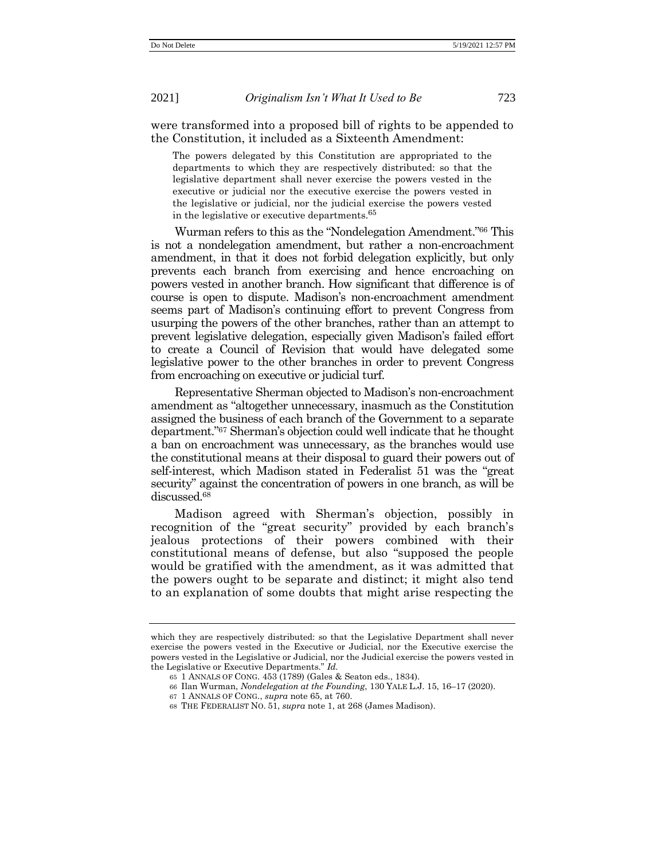were transformed into a proposed bill of rights to be appended to the Constitution, it included as a Sixteenth Amendment:

<span id="page-17-1"></span><span id="page-17-0"></span>The powers delegated by this Constitution are appropriated to the departments to which they are respectively distributed: so that the legislative department shall never exercise the powers vested in the executive or judicial nor the executive exercise the powers vested in the legislative or judicial, nor the judicial exercise the powers vested in the legislative or executive departments.<sup>65</sup>

Wurman refers to this as the "Nondelegation Amendment." <sup>66</sup> This is not a nondelegation amendment, but rather a non-encroachment amendment, in that it does not forbid delegation explicitly, but only prevents each branch from exercising and hence encroaching on powers vested in another branch. How significant that difference is of course is open to dispute. Madison's non-encroachment amendment seems part of Madison's continuing effort to prevent Congress from usurping the powers of the other branches, rather than an attempt to prevent legislative delegation, especially given Madison's failed effort to create a Council of Revision that would have delegated some legislative power to the other branches in order to prevent Congress from encroaching on executive or judicial turf.

Representative Sherman objected to Madison's non-encroachment amendment as "altogether unnecessary, inasmuch as the Constitution assigned the business of each branch of the Government to a separate department." <sup>67</sup> Sherman's objection could well indicate that he thought a ban on encroachment was unnecessary, as the branches would use the constitutional means at their disposal to guard their powers out of self-interest, which Madison stated in Federalist 51 was the "great security" against the concentration of powers in one branch, as will be discussed.<sup>68</sup>

Madison agreed with Sherman's objection, possibly in recognition of the "great security" provided by each branch's jealous protections of their powers combined with their constitutional means of defense, but also "supposed the people would be gratified with the amendment, as it was admitted that the powers ought to be separate and distinct; it might also tend to an explanation of some doubts that might arise respecting the

which they are respectively distributed: so that the Legislative Department shall never exercise the powers vested in the Executive or Judicial, nor the Executive exercise the powers vested in the Legislative or Judicial, nor the Judicial exercise the powers vested in the Legislative or Executive Departments." *Id.*

<sup>65</sup> 1 ANNALS OF CONG. 453 (1789) (Gales & Seaton eds., 1834).

<sup>66</sup> Ilan Wurman, *Nondelegation at the Founding*, 130 YALE L.J. 15, 16–17 (2020).

<sup>67</sup> 1 ANNALS OF CONG., *supra* not[e 65,](#page-17-0) at 760.

<sup>68</sup> THE FEDERALIST NO. 51, *supra* not[e 1,](#page-1-0) at 268 (James Madison).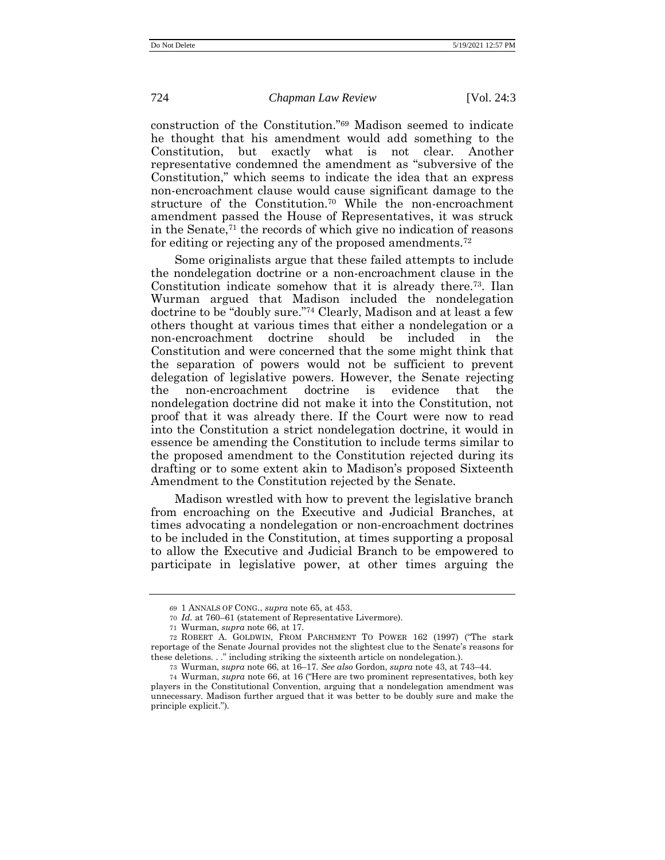construction of the Constitution." <sup>69</sup> Madison seemed to indicate he thought that his amendment would add something to the Constitution, but exactly what is not clear. Another representative condemned the amendment as "subversive of the Constitution," which seems to indicate the idea that an express non-encroachment clause would cause significant damage to the structure of the Constitution.<sup>70</sup> While the non-encroachment amendment passed the House of Representatives, it was struck in the Senate, $71$  the records of which give no indication of reasons for editing or rejecting any of the proposed amendments.<sup>72</sup>

Some originalists argue that these failed attempts to include the nondelegation doctrine or a non-encroachment clause in the Constitution indicate somehow that it is already there.73. Ilan Wurman argued that Madison included the nondelegation doctrine to be "doubly sure." <sup>74</sup> Clearly, Madison and at least a few others thought at various times that either a nondelegation or a non-encroachment doctrine should be included in the Constitution and were concerned that the some might think that the separation of powers would not be sufficient to prevent delegation of legislative powers. However, the Senate rejecting the non-encroachment doctrine is evidence that the nondelegation doctrine did not make it into the Constitution, not proof that it was already there. If the Court were now to read into the Constitution a strict nondelegation doctrine, it would in essence be amending the Constitution to include terms similar to the proposed amendment to the Constitution rejected during its drafting or to some extent akin to Madison's proposed Sixteenth Amendment to the Constitution rejected by the Senate.

Madison wrestled with how to prevent the legislative branch from encroaching on the Executive and Judicial Branches, at times advocating a nondelegation or non-encroachment doctrines to be included in the Constitution, at times supporting a proposal to allow the Executive and Judicial Branch to be empowered to participate in legislative power, at other times arguing the

<sup>69</sup> 1 ANNALS OF CONG., *supra* not[e 65,](#page-17-0) at 453.

<sup>70</sup> *Id.* at 760–61 (statement of Representative Livermore).

<sup>71</sup> Wurman, *supra* note [66,](#page-17-1) at 17.

<sup>72</sup> ROBERT A. GOLDWIN, FROM PARCHMENT TO POWER 162 (1997) ("The stark reportage of the Senate Journal provides not the slightest clue to the Senate's reasons for these deletions. . ." including striking the sixteenth article on nondelegation.).

<sup>73</sup> Wurman, *supra* note [66,](#page-17-1) at 16–17. *See also* Gordon, *supra* not[e 43,](#page-13-0) at 743–44.

<sup>74</sup> Wurman, *supra* not[e 66,](#page-17-1) at 16 ("Here are two prominent representatives, both key players in the Constitutional Convention, arguing that a nondelegation amendment was unnecessary. Madison further argued that it was better to be doubly sure and make the principle explicit.").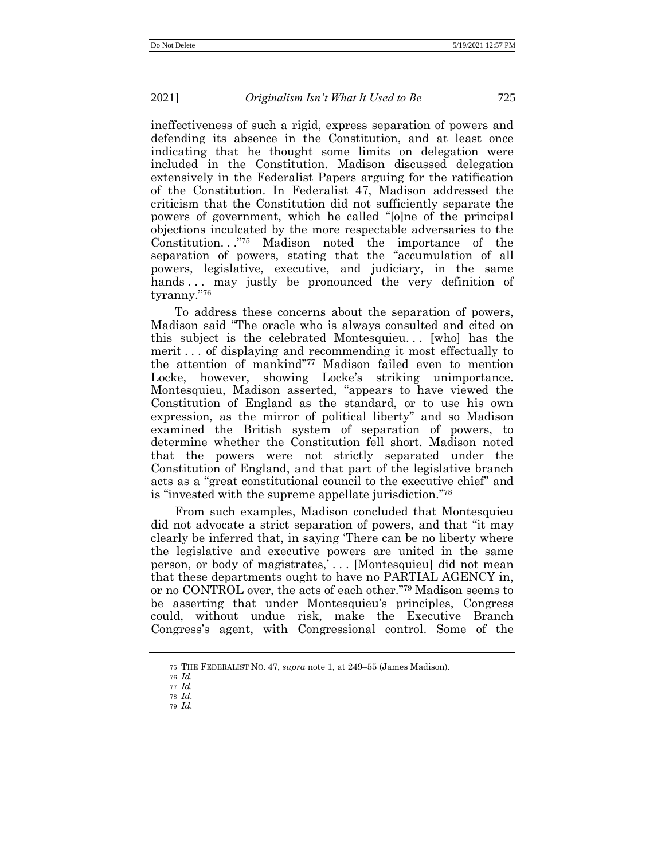ineffectiveness of such a rigid, express separation of powers and defending its absence in the Constitution, and at least once indicating that he thought some limits on delegation were included in the Constitution. Madison discussed delegation extensively in the Federalist Papers arguing for the ratification of the Constitution. In Federalist 47, Madison addressed the criticism that the Constitution did not sufficiently separate the powers of government, which he called "[o]ne of the principal objections inculcated by the more respectable adversaries to the Constitution..."<sup>75</sup> Madison noted the importance of the separation of powers, stating that the "accumulation of all powers, legislative, executive, and judiciary, in the same hands... may justly be pronounced the very definition of tyranny." 76

To address these concerns about the separation of powers, Madison said "The oracle who is always consulted and cited on this subject is the celebrated Montesquieu. . . [who] has the merit . . . of displaying and recommending it most effectually to the attention of mankind" <sup>77</sup> Madison failed even to mention Locke, however, showing Locke's striking unimportance. Montesquieu, Madison asserted, "appears to have viewed the Constitution of England as the standard, or to use his own expression, as the mirror of political liberty" and so Madison examined the British system of separation of powers, to determine whether the Constitution fell short. Madison noted that the powers were not strictly separated under the Constitution of England, and that part of the legislative branch acts as a "great constitutional council to the executive chief" and is "invested with the supreme appellate jurisdiction." 78

From such examples, Madison concluded that Montesquieu did not advocate a strict separation of powers, and that "it may clearly be inferred that, in saying 'There can be no liberty where the legislative and executive powers are united in the same person, or body of magistrates,' . . . [Montesquieu] did not mean that these departments ought to have no PARTIAL AGENCY in, or no CONTROL over, the acts of each other." <sup>79</sup> Madison seems to be asserting that under Montesquieu's principles, Congress could, without undue risk, make the Executive Branch Congress's agent, with Congressional control. Some of the

79 *Id.*

<sup>75</sup> THE FEDERALIST NO. 47, *supra* not[e 1,](#page-1-0) at 249–55 (James Madison).

<sup>76</sup> *Id.*

<sup>77</sup> *Id.*

<sup>78</sup> *Id.*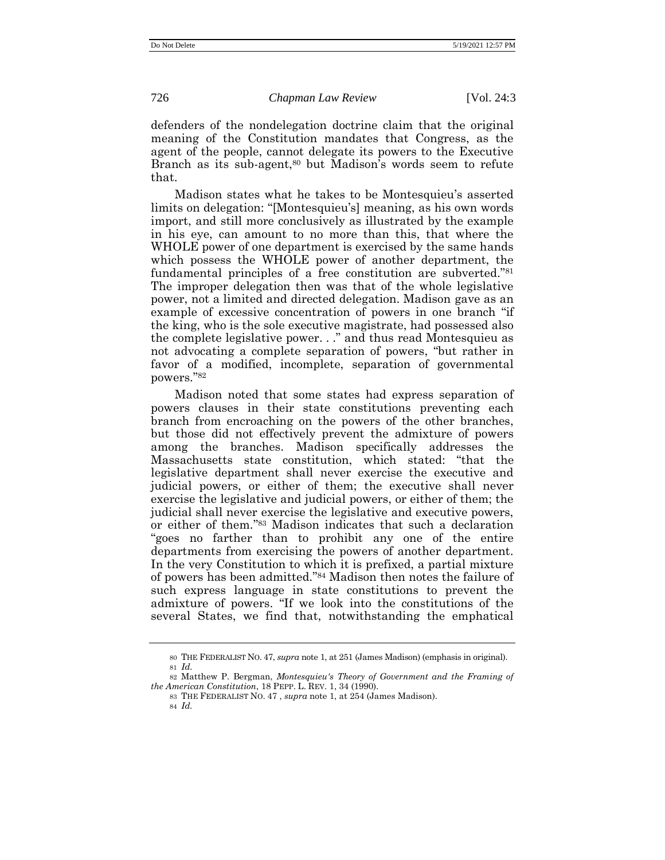defenders of the nondelegation doctrine claim that the original meaning of the Constitution mandates that Congress, as the agent of the people, cannot delegate its powers to the Executive Branch as its sub-agent,<sup>80</sup> but Madison's words seem to refute that.

Madison states what he takes to be Montesquieu's asserted limits on delegation: "[Montesquieu's] meaning, as his own words import, and still more conclusively as illustrated by the example in his eye, can amount to no more than this, that where the WHOLE power of one department is exercised by the same hands which possess the WHOLE power of another department, the fundamental principles of a free constitution are subverted." 81 The improper delegation then was that of the whole legislative power, not a limited and directed delegation. Madison gave as an example of excessive concentration of powers in one branch "if the king, who is the sole executive magistrate, had possessed also the complete legislative power. . ." and thus read Montesquieu as not advocating a complete separation of powers, "but rather in favor of a modified, incomplete, separation of governmental powers." 82

Madison noted that some states had express separation of powers clauses in their state constitutions preventing each branch from encroaching on the powers of the other branches, but those did not effectively prevent the admixture of powers among the branches. Madison specifically addresses the Massachusetts state constitution, which stated: "that the legislative department shall never exercise the executive and judicial powers, or either of them; the executive shall never exercise the legislative and judicial powers, or either of them; the judicial shall never exercise the legislative and executive powers, or either of them.'' <sup>83</sup> Madison indicates that such a declaration "goes no farther than to prohibit any one of the entire departments from exercising the powers of another department. In the very Constitution to which it is prefixed, a partial mixture of powers has been admitted." <sup>84</sup> Madison then notes the failure of such express language in state constitutions to prevent the admixture of powers. "If we look into the constitutions of the several States, we find that, notwithstanding the emphatical

<sup>80</sup> THE FEDERALIST NO. 47, *supra* not[e 1,](#page-1-0) at 251 (James Madison) (emphasis in original). 81 *Id.*

<sup>82</sup> Matthew P. Bergman, *Montesquieu's Theory of Government and the Framing of the American Constitution*, 18 PEPP. L. REV. 1, 34 (1990).

<sup>83</sup> THE FEDERALIST NO. 47 , *supra* not[e 1,](#page-1-0) at 254 (James Madison).

<sup>84</sup> *Id.*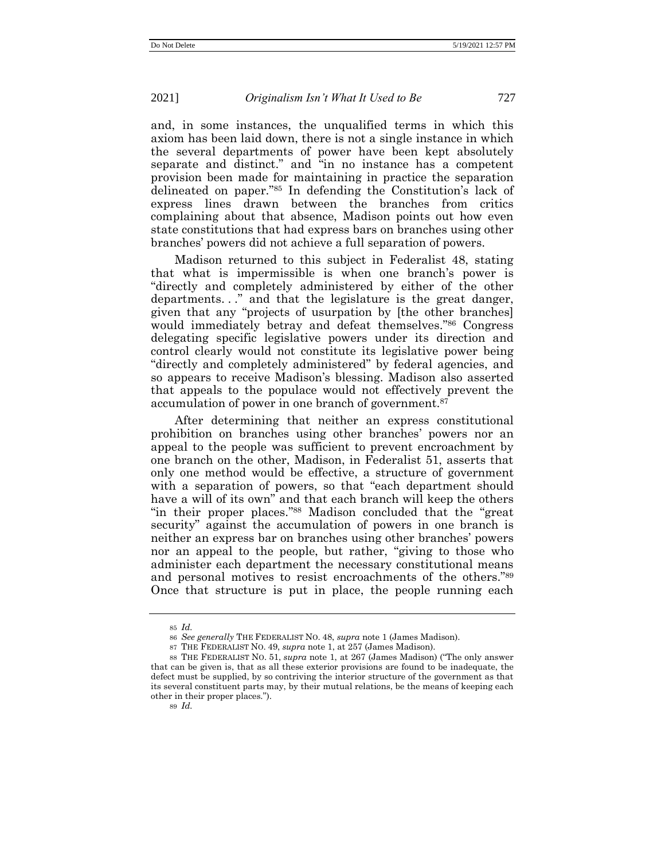and, in some instances, the unqualified terms in which this axiom has been laid down, there is not a single instance in which the several departments of power have been kept absolutely separate and distinct." and "in no instance has a competent provision been made for maintaining in practice the separation delineated on paper." <sup>85</sup> In defending the Constitution's lack of express lines drawn between the branches from critics complaining about that absence, Madison points out how even state constitutions that had express bars on branches using other branches' powers did not achieve a full separation of powers.

Madison returned to this subject in Federalist 48, stating that what is impermissible is when one branch's power is "directly and completely administered by either of the other departments. . ." and that the legislature is the great danger, given that any "projects of usurpation by [the other branches] would immediately betray and defeat themselves." <sup>86</sup> Congress delegating specific legislative powers under its direction and control clearly would not constitute its legislative power being "directly and completely administered" by federal agencies, and so appears to receive Madison's blessing. Madison also asserted that appeals to the populace would not effectively prevent the accumulation of power in one branch of government.<sup>87</sup>

After determining that neither an express constitutional prohibition on branches using other branches' powers nor an appeal to the people was sufficient to prevent encroachment by one branch on the other, Madison, in Federalist 51, asserts that only one method would be effective, a structure of government with a separation of powers, so that "each department should have a will of its own" and that each branch will keep the others "in their proper places." <sup>88</sup> Madison concluded that the "great security" against the accumulation of powers in one branch is neither an express bar on branches using other branches' powers nor an appeal to the people, but rather, "giving to those who administer each department the necessary constitutional means and personal motives to resist encroachments of the others." 89 Once that structure is put in place, the people running each

<sup>85</sup> *Id.*

<sup>86</sup> *See generally* THE FEDERALIST NO. 48, *supra* note [1](#page-1-0) (James Madison).

<sup>87</sup> THE FEDERALIST NO. 49, *supra* not[e 1,](#page-1-0) at 257 (James Madison).

<sup>88</sup> THE FEDERALIST NO. 51, *supra* not[e 1,](#page-1-0) at 267 (James Madison) ("The only answer that can be given is, that as all these exterior provisions are found to be inadequate, the defect must be supplied, by so contriving the interior structure of the government as that its several constituent parts may, by their mutual relations, be the means of keeping each other in their proper places.").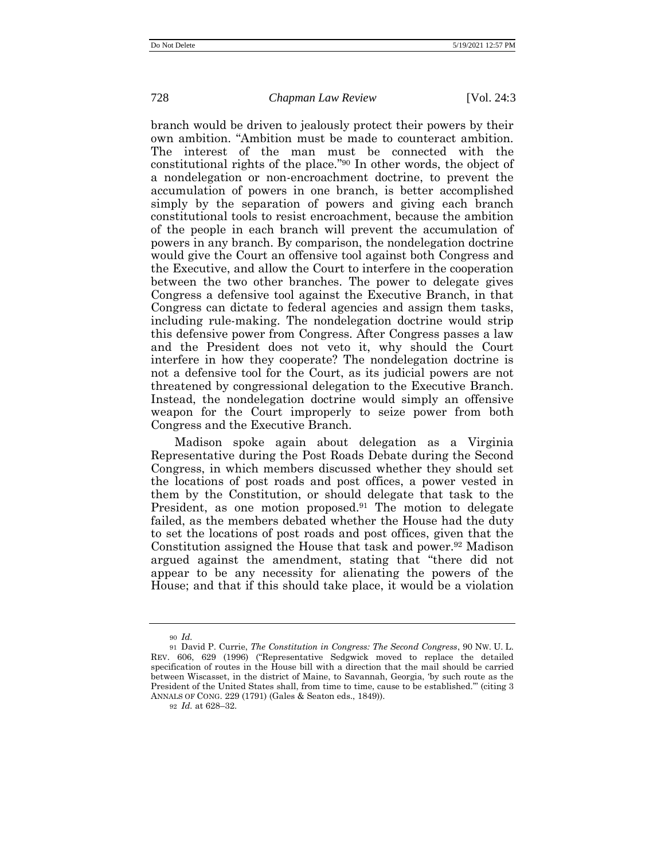branch would be driven to jealously protect their powers by their own ambition. "Ambition must be made to counteract ambition. The interest of the man must be connected with the constitutional rights of the place." <sup>90</sup> In other words, the object of a nondelegation or non-encroachment doctrine, to prevent the accumulation of powers in one branch, is better accomplished simply by the separation of powers and giving each branch constitutional tools to resist encroachment, because the ambition of the people in each branch will prevent the accumulation of powers in any branch. By comparison, the nondelegation doctrine would give the Court an offensive tool against both Congress and the Executive, and allow the Court to interfere in the cooperation between the two other branches. The power to delegate gives Congress a defensive tool against the Executive Branch, in that Congress can dictate to federal agencies and assign them tasks, including rule-making. The nondelegation doctrine would strip this defensive power from Congress. After Congress passes a law and the President does not veto it, why should the Court interfere in how they cooperate? The nondelegation doctrine is not a defensive tool for the Court, as its judicial powers are not threatened by congressional delegation to the Executive Branch. Instead, the nondelegation doctrine would simply an offensive weapon for the Court improperly to seize power from both Congress and the Executive Branch.

<span id="page-22-0"></span>Madison spoke again about delegation as a Virginia Representative during the Post Roads Debate during the Second Congress, in which members discussed whether they should set the locations of post roads and post offices, a power vested in them by the Constitution, or should delegate that task to the President, as one motion proposed.<sup>91</sup> The motion to delegate failed, as the members debated whether the House had the duty to set the locations of post roads and post offices, given that the Constitution assigned the House that task and power.<sup>92</sup> Madison argued against the amendment, stating that "there did not appear to be any necessity for alienating the powers of the House; and that if this should take place, it would be a violation

<sup>90</sup> *Id.*

<sup>91</sup> David P. Currie, *The Constitution in Congress: The Second Congress*, 90 NW. U. L. REV. 606, 629 (1996) ("Representative Sedgwick moved to replace the detailed specification of routes in the House bill with a direction that the mail should be carried between Wiscasset, in the district of Maine, to Savannah, Georgia, 'by such route as the President of the United States shall, from time to time, cause to be established.'" (citing 3 ANNALS OF CONG. 229 (1791) (Gales & Seaton eds., 1849)).

<sup>92</sup> *Id.* at 628–32.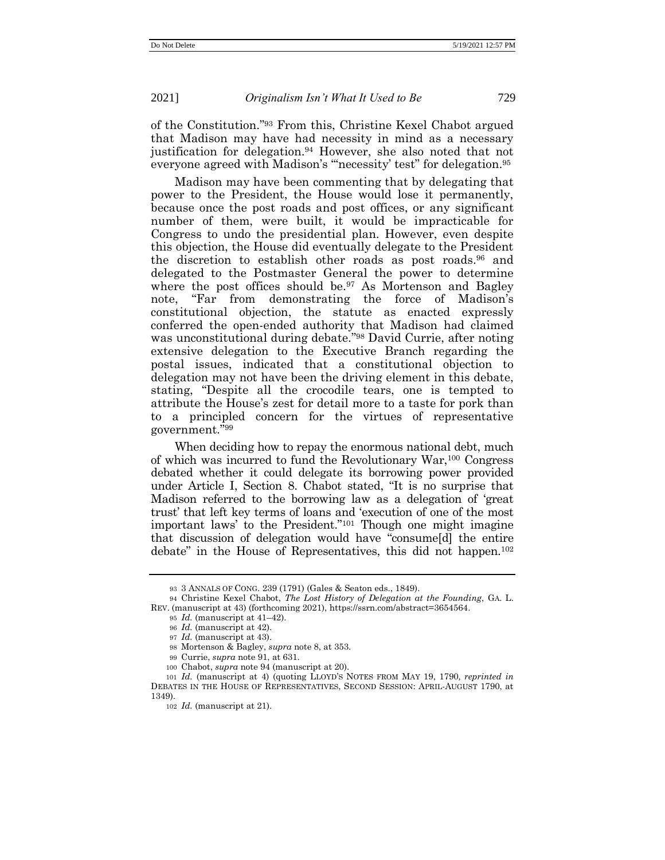<span id="page-23-0"></span>of the Constitution." <sup>93</sup> From this, Christine Kexel Chabot argued that Madison may have had necessity in mind as a necessary justification for delegation.<sup>94</sup> However, she also noted that not everyone agreed with Madison's "necessity' test" for delegation.<sup>95</sup>

Madison may have been commenting that by delegating that power to the President, the House would lose it permanently, because once the post roads and post offices, or any significant number of them, were built, it would be impracticable for Congress to undo the presidential plan. However, even despite this objection, the House did eventually delegate to the President the discretion to establish other roads as post roads. <sup>96</sup> and delegated to the Postmaster General the power to determine where the post offices should be.<sup>97</sup> As Mortenson and Bagley note, "Far from demonstrating the force of Madison's constitutional objection, the statute as enacted expressly conferred the open-ended authority that Madison had claimed was unconstitutional during debate." <sup>98</sup> David Currie, after noting extensive delegation to the Executive Branch regarding the postal issues, indicated that a constitutional objection to delegation may not have been the driving element in this debate, stating, "Despite all the crocodile tears, one is tempted to attribute the House's zest for detail more to a taste for pork than to a principled concern for the virtues of representative government." 99

When deciding how to repay the enormous national debt, much of which was incurred to fund the Revolutionary War,<sup>100</sup> Congress debated whether it could delegate its borrowing power provided under Article I, Section 8. Chabot stated, "It is no surprise that Madison referred to the borrowing law as a delegation of 'great trust' that left key terms of loans and 'execution of one of the most important laws' to the President." <sup>101</sup> Though one might imagine that discussion of delegation would have "consume[d] the entire debate" in the House of Representatives, this did not happen.<sup>102</sup>

<sup>93</sup> 3 ANNALS OF CONG. 239 (1791) (Gales & Seaton eds., 1849).

<sup>94</sup> Christine Kexel Chabot, *The Lost History of Delegation at the Founding*, GA. L. REV. (manuscript at 43) (forthcoming 2021), https://ssrn.com/abstract=3654564.

<sup>95</sup> *Id.* (manuscript at 41–42).

<sup>96</sup> *Id.* (manuscript at 42).

<sup>97</sup> *Id.* (manuscript at 43).

<sup>98</sup> Mortenson & Bagley, *supra* note [8,](#page-5-0) at 353.

<sup>99</sup> Currie, *supra* not[e 91,](#page-22-0) at 631.

<sup>100</sup> Chabot, *supra* not[e 94](#page-23-0) (manuscript at 20).

<sup>101</sup> *Id.* (manuscript at 4) (quoting LLOYD'S NOTES FROM MAY 19, 1790*, reprinted in* DEBATES IN THE HOUSE OF REPRESENTATIVES, SECOND SESSION: APRIL-AUGUST 1790, at 1349).

<sup>102</sup> *Id.* (manuscript at 21).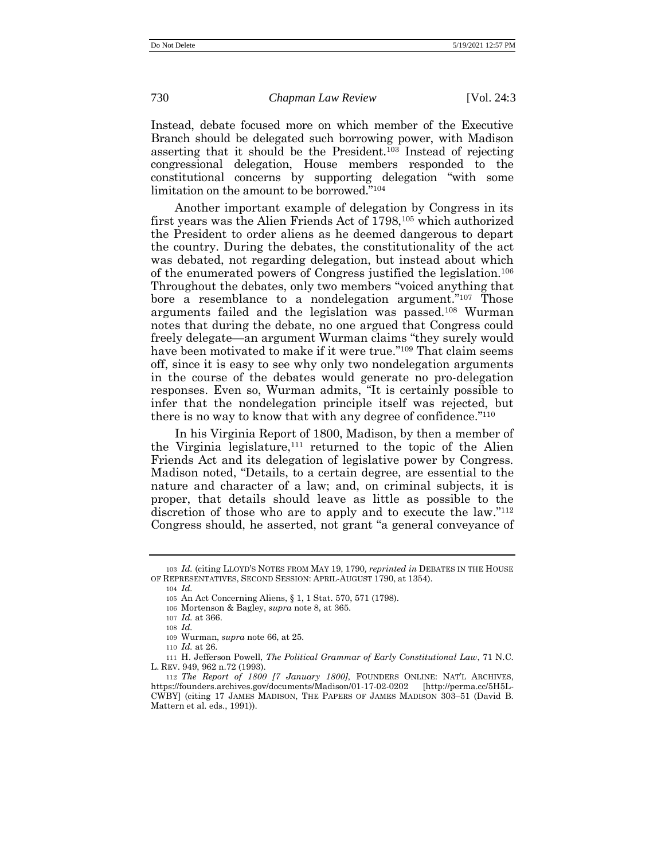Instead, debate focused more on which member of the Executive Branch should be delegated such borrowing power, with Madison asserting that it should be the President.<sup>103</sup> Instead of rejecting congressional delegation, House members responded to the constitutional concerns by supporting delegation "with some limitation on the amount to be borrowed." 104

Another important example of delegation by Congress in its first years was the Alien Friends Act of 1798,<sup>105</sup> which authorized the President to order aliens as he deemed dangerous to depart the country. During the debates, the constitutionality of the act was debated, not regarding delegation, but instead about which of the enumerated powers of Congress justified the legislation.<sup>106</sup> Throughout the debates, only two members "voiced anything that bore a resemblance to a nondelegation argument."<sup>107</sup> Those arguments failed and the legislation was passed.<sup>108</sup> Wurman notes that during the debate, no one argued that Congress could freely delegate—an argument Wurman claims "they surely would have been motivated to make if it were true." <sup>109</sup> That claim seems off, since it is easy to see why only two nondelegation arguments in the course of the debates would generate no pro-delegation responses. Even so, Wurman admits, "It is certainly possible to infer that the nondelegation principle itself was rejected, but there is no way to know that with any degree of confidence."<sup>110</sup>

In his Virginia Report of 1800, Madison, by then a member of the Virginia legislature,<sup>111</sup> returned to the topic of the Alien Friends Act and its delegation of legislative power by Congress. Madison noted, "Details, to a certain degree, are essential to the nature and character of a law; and, on criminal subjects, it is proper, that details should leave as little as possible to the discretion of those who are to apply and to execute the law."<sup>112</sup> Congress should, he asserted, not grant "a general conveyance of

108 *Id.*

<sup>103</sup> *Id.* (citing LLOYD'S NOTES FROM MAY 19, 1790*, reprinted in* DEBATES IN THE HOUSE OF REPRESENTATIVES, SECOND SESSION: APRIL-AUGUST 1790, at 1354).

<sup>104</sup> *Id.* 

<sup>105</sup> An Act Concerning Aliens, § 1, 1 Stat. 570, 571 (1798).

<sup>106</sup> Mortenson & Bagley, *supra* note [8,](#page-5-0) at 365.

<sup>107</sup> *Id.* at 366.

<sup>109</sup> Wurman, *supra* note [66,](#page-17-1) at 25.

<sup>110</sup> *Id.* at 26.

<sup>111</sup> H. Jefferson Powell, *The Political Grammar of Early Constitutional Law*, 71 N.C. L. REV. 949, 962 n.72 (1993).

<sup>112</sup> *The Report of 1800 [7 January 1800]*, FOUNDERS ONLINE: NAT'L ARCHIVES, https://founders.archives.gov/documents/Madison/01-17-02-0202 [\[http://perma.cc/5H5L-](http://perma.cc/5H5L-CWBY)[CWBY\]](http://perma.cc/5H5L-CWBY) (citing 17 JAMES MADISON, THE PAPERS OF JAMES MADISON 303–51 (David B. Mattern et al. eds., 1991)).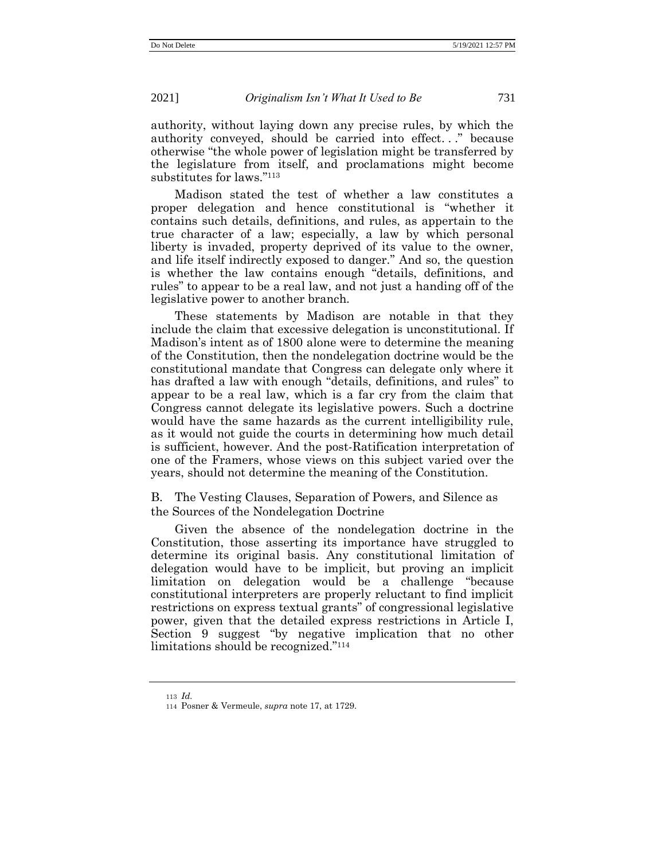authority, without laying down any precise rules, by which the authority conveyed, should be carried into effect. . ." because otherwise "the whole power of legislation might be transferred by the legislature from itself, and proclamations might become substitutes for laws." 113

Madison stated the test of whether a law constitutes a proper delegation and hence constitutional is "whether it contains such details, definitions, and rules, as appertain to the true character of a law; especially, a law by which personal liberty is invaded, property deprived of its value to the owner, and life itself indirectly exposed to danger." And so, the question is whether the law contains enough "details, definitions, and rules" to appear to be a real law, and not just a handing off of the legislative power to another branch.

These statements by Madison are notable in that they include the claim that excessive delegation is unconstitutional. If Madison's intent as of 1800 alone were to determine the meaning of the Constitution, then the nondelegation doctrine would be the constitutional mandate that Congress can delegate only where it has drafted a law with enough "details, definitions, and rules" to appear to be a real law, which is a far cry from the claim that Congress cannot delegate its legislative powers. Such a doctrine would have the same hazards as the current intelligibility rule, as it would not guide the courts in determining how much detail is sufficient, however. And the post-Ratification interpretation of one of the Framers, whose views on this subject varied over the years, should not determine the meaning of the Constitution.

B. The Vesting Clauses, Separation of Powers, and Silence as the Sources of the Nondelegation Doctrine

Given the absence of the nondelegation doctrine in the Constitution, those asserting its importance have struggled to determine its original basis. Any constitutional limitation of delegation would have to be implicit, but proving an implicit limitation on delegation would be a challenge "because constitutional interpreters are properly reluctant to find implicit restrictions on express textual grants" of congressional legislative power, given that the detailed express restrictions in Article I, Section 9 suggest "by negative implication that no other limitations should be recognized." 114

<sup>113</sup> *Id.*

<sup>114</sup> Posner & Vermeule, *supra* note [17,](#page-8-0) at 1729.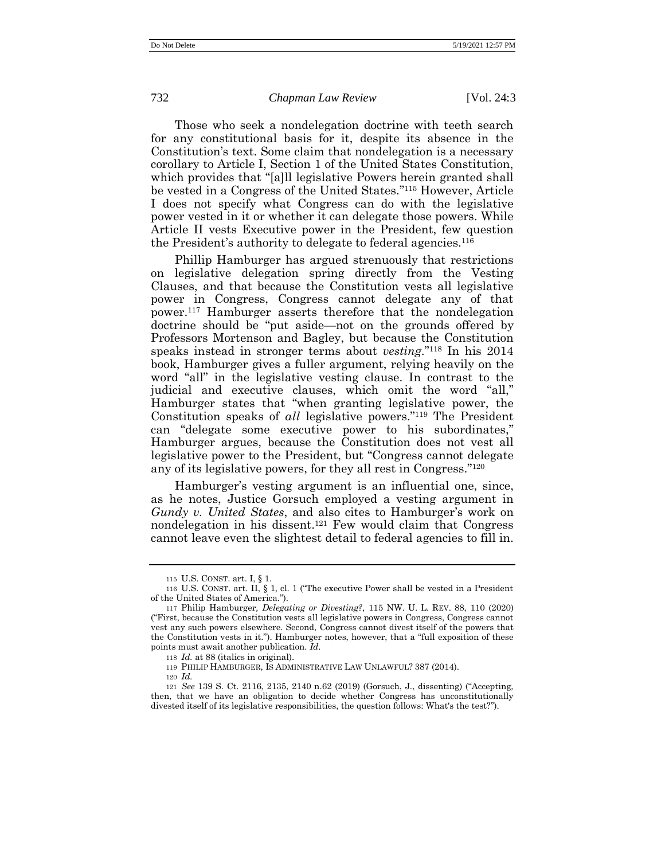Those who seek a nondelegation doctrine with teeth search for any constitutional basis for it, despite its absence in the Constitution's text. Some claim that nondelegation is a necessary corollary to Article I, Section 1 of the United States Constitution, which provides that "[a]ll legislative Powers herein granted shall be vested in a Congress of the United States." <sup>115</sup> However, Article I does not specify what Congress can do with the legislative power vested in it or whether it can delegate those powers. While Article II vests Executive power in the President, few question the President's authority to delegate to federal agencies.<sup>116</sup>

Phillip Hamburger has argued strenuously that restrictions on legislative delegation spring directly from the Vesting Clauses, and that because the Constitution vests all legislative power in Congress, Congress cannot delegate any of that power.<sup>117</sup> Hamburger asserts therefore that the nondelegation doctrine should be "put aside—not on the grounds offered by Professors Mortenson and Bagley, but because the Constitution speaks instead in stronger terms about *vesting*."<sup>118</sup> In his 2014 book, Hamburger gives a fuller argument, relying heavily on the word "all" in the legislative vesting clause. In contrast to the judicial and executive clauses, which omit the word "all," Hamburger states that "when granting legislative power, the Constitution speaks of *all* legislative powers." <sup>119</sup> The President can "delegate some executive power to his subordinates," Hamburger argues, because the Constitution does not vest all legislative power to the President, but "Congress cannot delegate any of its legislative powers, for they all rest in Congress." 120

Hamburger's vesting argument is an influential one, since, as he notes, Justice Gorsuch employed a vesting argument in *Gundy v. United States*, and also cites to Hamburger's work on nondelegation in his dissent.<sup>121</sup> Few would claim that Congress cannot leave even the slightest detail to federal agencies to fill in.

120 *Id.*

<sup>115</sup> U.S. CONST. art. I, § 1.

<sup>116</sup> U.S. CONST. art. II, § 1, cl. 1 ("The executive Power shall be vested in a President of the United States of America.").

<sup>117</sup> Philip Hamburger*, Delegating or Divesting?*, 115 NW. U. L. REV. 88, 110 (2020) ("First, because the Constitution vests all legislative powers in Congress, Congress cannot vest any such powers elsewhere. Second, Congress cannot divest itself of the powers that the Constitution vests in it."). Hamburger notes, however, that a "full exposition of these points must await another publication. *Id.*

<sup>118</sup> *Id.* at 88 (italics in original).

<sup>119</sup> PHILIP HAMBURGER, IS ADMINISTRATIVE LAW UNLAWFUL? 387 (2014).

<sup>121</sup> *See* 139 S. Ct. 2116, 2135, 2140 n.62 (2019) (Gorsuch, J., dissenting) ("Accepting, then, that we have an obligation to decide whether Congress has unconstitutionally divested itself of its legislative responsibilities, the question follows: What's the test?").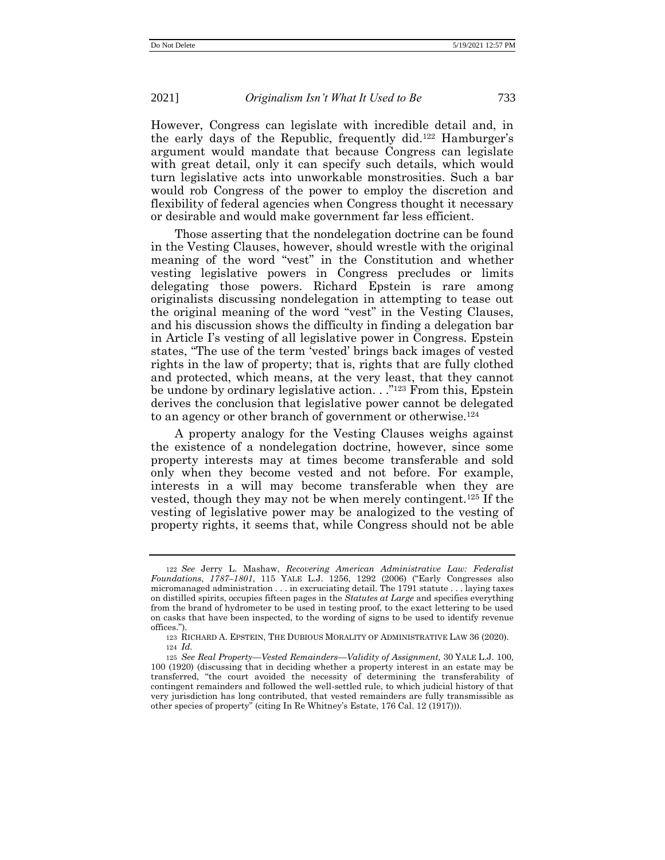However, Congress can legislate with incredible detail and, in the early days of the Republic, frequently did.<sup>122</sup> Hamburger's argument would mandate that because Congress can legislate with great detail, only it can specify such details, which would turn legislative acts into unworkable monstrosities. Such a bar would rob Congress of the power to employ the discretion and flexibility of federal agencies when Congress thought it necessary or desirable and would make government far less efficient.

Those asserting that the nondelegation doctrine can be found in the Vesting Clauses, however, should wrestle with the original meaning of the word "vest" in the Constitution and whether vesting legislative powers in Congress precludes or limits delegating those powers. Richard Epstein is rare among originalists discussing nondelegation in attempting to tease out the original meaning of the word "vest" in the Vesting Clauses, and his discussion shows the difficulty in finding a delegation bar in Article I's vesting of all legislative power in Congress. Epstein states, "The use of the term 'vested' brings back images of vested rights in the law of property; that is, rights that are fully clothed and protected, which means, at the very least, that they cannot be undone by ordinary legislative action. . ."<sup>123</sup> From this, Epstein derives the conclusion that legislative power cannot be delegated to an agency or other branch of government or otherwise.<sup>124</sup>

A property analogy for the Vesting Clauses weighs against the existence of a nondelegation doctrine, however, since some property interests may at times become transferable and sold only when they become vested and not before. For example, interests in a will may become transferable when they are vested, though they may not be when merely contingent.<sup>125</sup> If the vesting of legislative power may be analogized to the vesting of property rights, it seems that, while Congress should not be able

<sup>122</sup> *See* Jerry L. Mashaw, *Recovering American Administrative Law: Federalist Foundations*, *1787–1801*, 115 YALE L.J. 1256, 1292 (2006) ("Early Congresses also micromanaged administration . . . in excruciating detail. The 1791 statute . . . laying taxes on distilled spirits, occupies fifteen pages in the *Statutes at Large* and specifies everything from the brand of hydrometer to be used in testing proof, to the exact lettering to be used on casks that have been inspected, to the wording of signs to be used to identify revenue offices.").

<sup>123</sup> RICHARD A. EPSTEIN, THE DUBIOUS MORALITY OF ADMINISTRATIVE LAW 36 (2020). 124 *Id.*

<sup>125</sup> *See Real Property—Vested Remainders—Validity of Assignment,* 30 YALE L.J. 100, 100 (1920) (discussing that in deciding whether a property interest in an estate may be transferred, "the court avoided the necessity of determining the transferability of contingent remainders and followed the well-settled rule, to which judicial history of that very jurisdiction has long contributed, that vested remainders are fully transmissible as other species of property" (citing In Re Whitney's Estate, 176 Cal. 12 (1917))).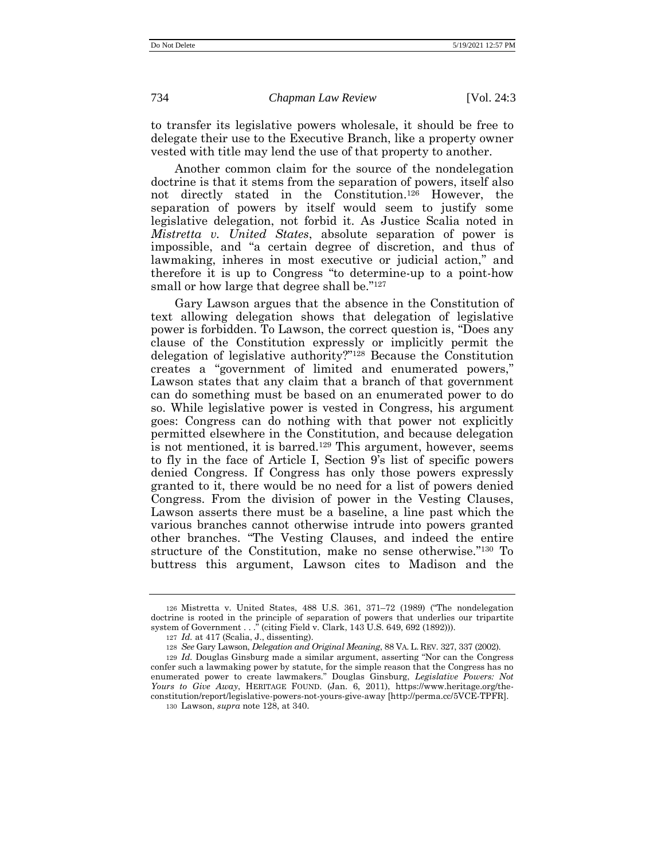to transfer its legislative powers wholesale, it should be free to delegate their use to the Executive Branch, like a property owner vested with title may lend the use of that property to another.

Another common claim for the source of the nondelegation doctrine is that it stems from the separation of powers, itself also not directly stated in the Constitution.<sup>126</sup> However, the separation of powers by itself would seem to justify some legislative delegation, not forbid it. As Justice Scalia noted in *Mistretta v. United States*, absolute separation of power is impossible, and "a certain degree of discretion, and thus of lawmaking, inheres in most executive or judicial action," and therefore it is up to Congress "to determine-up to a point-how small or how large that degree shall be."<sup>127</sup>

<span id="page-28-0"></span>Gary Lawson argues that the absence in the Constitution of text allowing delegation shows that delegation of legislative power is forbidden. To Lawson, the correct question is, "Does any clause of the Constitution expressly or implicitly permit the delegation of legislative authority?" <sup>128</sup> Because the Constitution creates a "government of limited and enumerated powers," Lawson states that any claim that a branch of that government can do something must be based on an enumerated power to do so. While legislative power is vested in Congress, his argument goes: Congress can do nothing with that power not explicitly permitted elsewhere in the Constitution, and because delegation is not mentioned, it is barred.<sup>129</sup> This argument, however, seems to fly in the face of Article I, Section 9's list of specific powers denied Congress. If Congress has only those powers expressly granted to it, there would be no need for a list of powers denied Congress. From the division of power in the Vesting Clauses, Lawson asserts there must be a baseline, a line past which the various branches cannot otherwise intrude into powers granted other branches. "The Vesting Clauses, and indeed the entire structure of the Constitution, make no sense otherwise." <sup>130</sup> To buttress this argument, Lawson cites to Madison and the

<sup>126</sup> Mistretta v. United States, 488 U.S. 361, 371–72 (1989) ("The nondelegation doctrine is rooted in the principle of separation of powers that underlies our tripartite system of Government . . ." (citing Field v. Clark, 143 U.S. 649, 692 (1892))).

<sup>127</sup> *Id.* at 417 (Scalia, J., dissenting).

<sup>128</sup> *See* Gary Lawson, *Delegation and Original Meaning*, 88 VA. L. REV. 327, 337 (2002).

<sup>129</sup> *Id.* Douglas Ginsburg made a similar argument, asserting "Nor can the Congress confer such a lawmaking power by statute, for the simple reason that the Congress has no enumerated power to create lawmakers." Douglas Ginsburg, *Legislative Powers: Not Yours to Give Away*, HERITAGE FOUND. (Jan. 6, 2011), https://www.heritage.org/theconstitution/report/legislative-powers-not-yours-give-away [\[http://perma.cc/5VCE-TPFR\]](http://perma.cc/5VCE-TPFR).

<sup>130</sup> Lawson, *supra* not[e 128,](#page-28-0) at 340.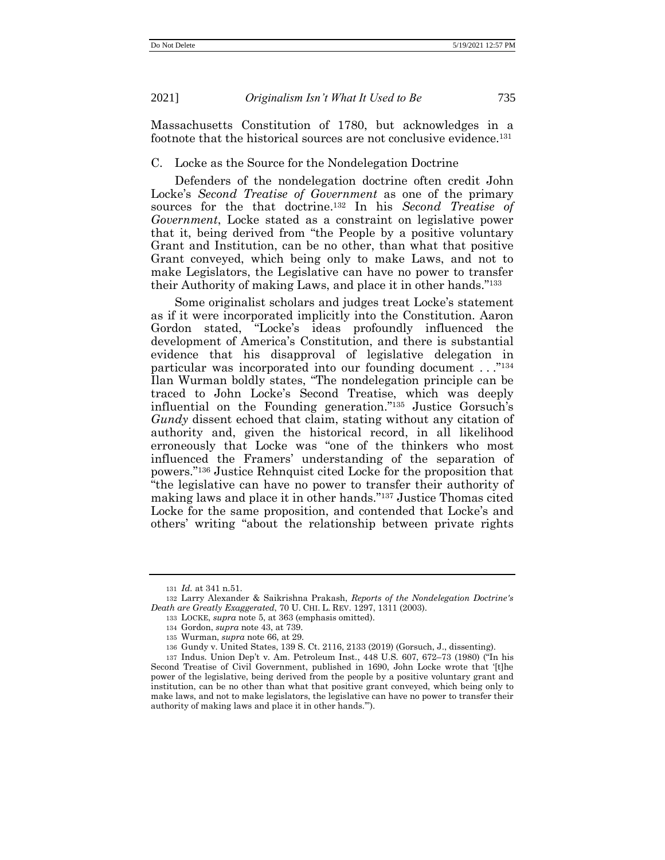Massachusetts Constitution of 1780, but acknowledges in a footnote that the historical sources are not conclusive evidence.<sup>131</sup>

#### C. Locke as the Source for the Nondelegation Doctrine

Defenders of the nondelegation doctrine often credit John Locke's *Second Treatise of Government* as one of the primary sources for the that doctrine.<sup>132</sup> In his *Second Treatise of Government*, Locke stated as a constraint on legislative power that it, being derived from "the People by a positive voluntary Grant and Institution, can be no other, than what that positive Grant conveyed, which being only to make Laws, and not to make Legislators, the Legislative can have no power to transfer their Authority of making Laws, and place it in other hands." 133

Some originalist scholars and judges treat Locke's statement as if it were incorporated implicitly into the Constitution. Aaron Gordon stated, "Locke's ideas profoundly influenced the development of America's Constitution, and there is substantial evidence that his disapproval of legislative delegation in particular was incorporated into our founding document . . ." 134 Ilan Wurman boldly states, "The nondelegation principle can be traced to John Locke's Second Treatise, which was deeply influential on the Founding generation." <sup>135</sup> Justice Gorsuch's *Gundy* dissent echoed that claim, stating without any citation of authority and, given the historical record, in all likelihood erroneously that Locke was "one of the thinkers who most influenced the Framers' understanding of the separation of powers." <sup>136</sup> Justice Rehnquist cited Locke for the proposition that "the legislative can have no power to transfer their authority of making laws and place it in other hands." <sup>137</sup> Justice Thomas cited Locke for the same proposition, and contended that Locke's and others' writing "about the relationship between private rights

<sup>131</sup> *Id.* at 341 n.51.

<sup>132</sup> Larry Alexander & Saikrishna Prakash, *Reports of the Nondelegation Doctrine's Death are Greatly Exaggerated*, 70 U. CHI. L. REV. 1297, 1311 (2003).

<sup>133</sup> LOCKE, *supra* note [5,](#page-2-0) at 363 (emphasis omitted).

<sup>134</sup> Gordon, *supra* not[e 43,](#page-13-0) at 739.

<sup>135</sup> Wurman, *supra* note [66,](#page-17-1) at 29.

<sup>136</sup> Gundy v. United States, 139 S. Ct. 2116, 2133 (2019) (Gorsuch, J., dissenting).

<sup>137</sup> Indus. Union Dep't v. Am. Petroleum Inst., 448 U.S. 607, 672–73 (1980) ("In his Second Treatise of Civil Government, published in 1690, John Locke wrote that '[t]he power of the legislative, being derived from the people by a positive voluntary grant and institution, can be no other than what that positive grant conveyed, which being only to make laws, and not to make legislators, the legislative can have no power to transfer their authority of making laws and place it in other hands.'").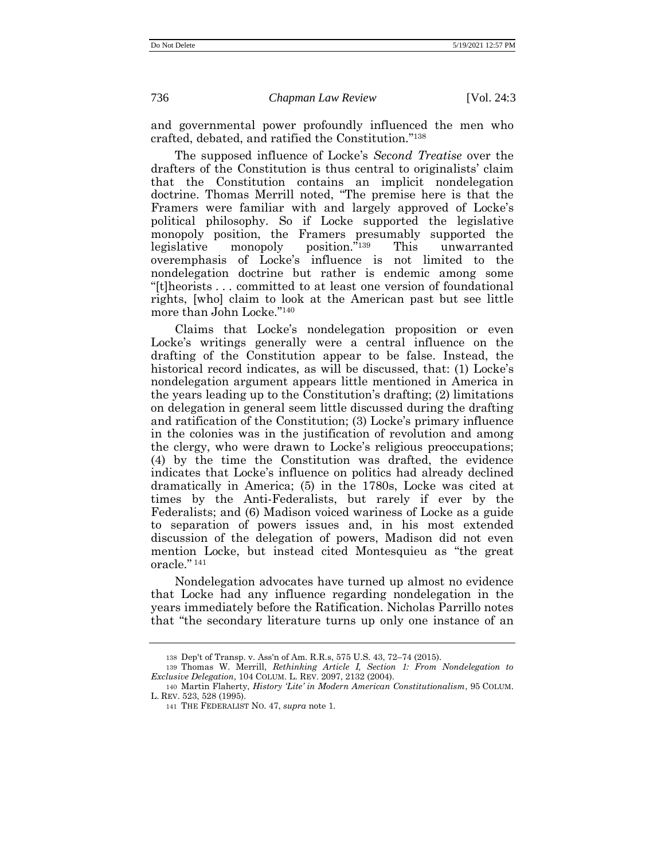and governmental power profoundly influenced the men who crafted, debated, and ratified the Constitution." 138

The supposed influence of Locke's *Second Treatise* over the drafters of the Constitution is thus central to originalists' claim that the Constitution contains an implicit nondelegation doctrine. Thomas Merrill noted, "The premise here is that the Framers were familiar with and largely approved of Locke's political philosophy. So if Locke supported the legislative monopoly position, the Framers presumably supported the legislative monopoly position." This unwarranted overemphasis of Locke's influence is not limited to the nondelegation doctrine but rather is endemic among some "[t]heorists . . . committed to at least one version of foundational rights, [who] claim to look at the American past but see little more than John Locke." 140

<span id="page-30-0"></span>Claims that Locke's nondelegation proposition or even Locke's writings generally were a central influence on the drafting of the Constitution appear to be false. Instead, the historical record indicates, as will be discussed, that: (1) Locke's nondelegation argument appears little mentioned in America in the years leading up to the Constitution's drafting; (2) limitations on delegation in general seem little discussed during the drafting and ratification of the Constitution; (3) Locke's primary influence in the colonies was in the justification of revolution and among the clergy, who were drawn to Locke's religious preoccupations; (4) by the time the Constitution was drafted, the evidence indicates that Locke's influence on politics had already declined dramatically in America; (5) in the 1780s, Locke was cited at times by the Anti-Federalists, but rarely if ever by the Federalists; and (6) Madison voiced wariness of Locke as a guide to separation of powers issues and, in his most extended discussion of the delegation of powers, Madison did not even mention Locke, but instead cited Montesquieu as "the great oracle." 141

Nondelegation advocates have turned up almost no evidence that Locke had any influence regarding nondelegation in the years immediately before the Ratification. Nicholas Parrillo notes that "the secondary literature turns up only one instance of an

<sup>138</sup> Dep't of Transp. v. Ass'n of Am. R.R.s, 575 U.S. 43, 72–74 (2015).

<sup>139</sup> Thomas W. Merrill, *Rethinking Article I, Section 1: From Nondelegation to Exclusive Delegation*, 104 COLUM. L. REV. 2097, 2132 (2004).

<sup>140</sup> Martin Flaherty, *History 'Lite' in Modern American Constitutionalism*, 95 COLUM. L. REV. 523, 528 (1995).

<sup>141</sup> THE FEDERALIST NO. 47, *supra* not[e 1.](#page-1-0)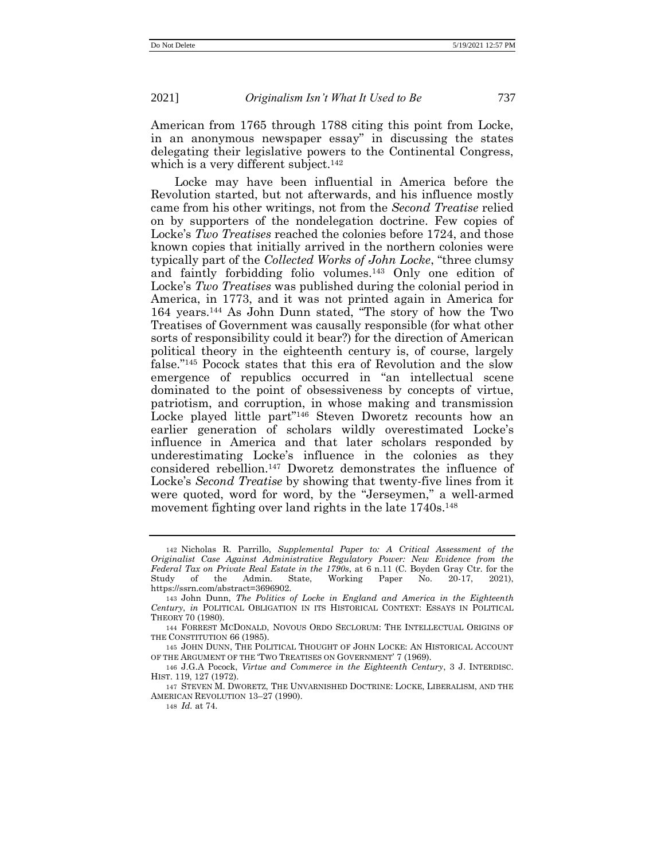American from 1765 through 1788 citing this point from Locke, in an anonymous newspaper essay" in discussing the states delegating their legislative powers to the Continental Congress, which is a very different subject.<sup>142</sup>

<span id="page-31-1"></span>Locke may have been influential in America before the Revolution started, but not afterwards, and his influence mostly came from his other writings, not from the *Second Treatise* relied on by supporters of the nondelegation doctrine. Few copies of Locke's *Two Treatises* reached the colonies before 1724, and those known copies that initially arrived in the northern colonies were typically part of the *Collected Works of John Locke*, "three clumsy and faintly forbidding folio volumes.<sup>143</sup> Only one edition of Locke's *Two Treatises* was published during the colonial period in America, in 1773, and it was not printed again in America for 164 years.<sup>144</sup> As John Dunn stated, "The story of how the Two Treatises of Government was causally responsible (for what other sorts of responsibility could it bear?) for the direction of American political theory in the eighteenth century is, of course, largely false." <sup>145</sup> Pocock states that this era of Revolution and the slow emergence of republics occurred in "an intellectual scene dominated to the point of obsessiveness by concepts of virtue, patriotism, and corruption, in whose making and transmission Locke played little part"<sup>146</sup> Steven Dworetz recounts how an earlier generation of scholars wildly overestimated Locke's influence in America and that later scholars responded by underestimating Locke's influence in the colonies as they considered rebellion.<sup>147</sup> Dworetz demonstrates the influence of Locke's *Second Treatise* by showing that twenty-five lines from it were quoted, word for word, by the "Jerseymen," a well-armed movement fighting over land rights in the late 1740s.<sup>148</sup>

<span id="page-31-0"></span><sup>142</sup> Nicholas R. Parrillo, *Supplemental Paper to: A Critical Assessment of the Originalist Case Against Administrative Regulatory Power: New Evidence from the Federal Tax on Private Real Estate in the 1790s*, at 6 n.11 (C. Boyden Gray Ctr. for the Study of the Admin. State, Working Paper No. 20-17, 2021), https://ssrn.com/abstract=3696902.

<sup>143</sup> John Dunn, *The Politics of Locke in England and America in the Eighteenth Century*, *in* POLITICAL OBLIGATION IN ITS HISTORICAL CONTEXT: ESSAYS IN POLITICAL THEORY 70 (1980).

<sup>144</sup> FORREST MCDONALD, NOVOUS ORDO SECLORUM: THE INTELLECTUAL ORIGINS OF THE CONSTITUTION 66 (1985).

<sup>145</sup> JOHN DUNN, THE POLITICAL THOUGHT OF JOHN LOCKE: AN HISTORICAL ACCOUNT OF THE ARGUMENT OF THE 'TWO TREATISES ON GOVERNMENT' 7 (1969).

<sup>146</sup> J.G.A Pocock, *Virtue and Commerce in the Eighteenth Century*, 3 J. INTERDISC. HIST. 119, 127 (1972).

<sup>147</sup> STEVEN M. DWORETZ, THE UNVARNISHED DOCTRINE: LOCKE, LIBERALISM, AND THE AMERICAN REVOLUTION 13–27 (1990).

<sup>148</sup> *Id.* at 74.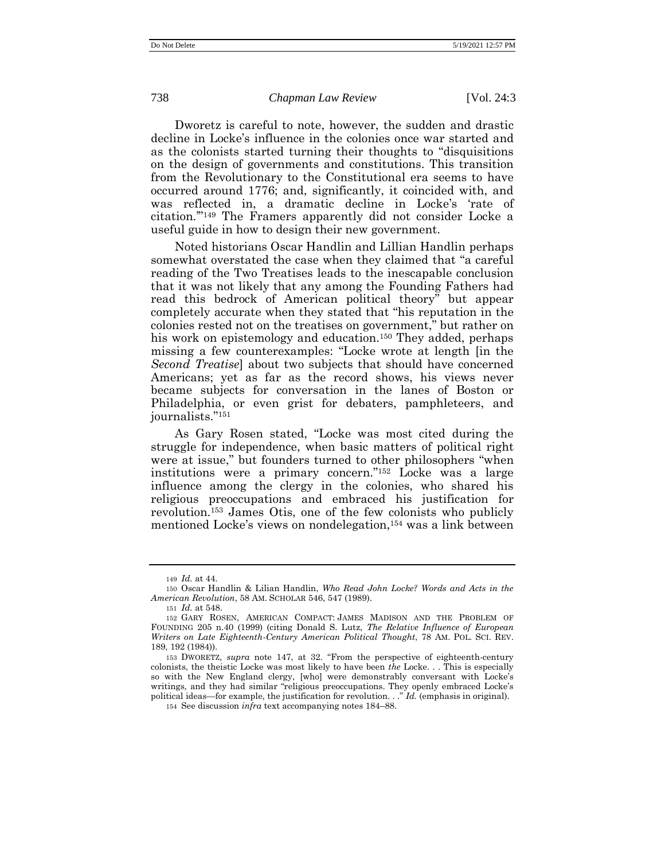Dworetz is careful to note, however, the sudden and drastic decline in Locke's influence in the colonies once war started and as the colonists started turning their thoughts to "disquisitions on the design of governments and constitutions. This transition from the Revolutionary to the Constitutional era seems to have occurred around 1776; and, significantly, it coincided with, and was reflected in, a dramatic decline in Locke's 'rate of citation.'" <sup>149</sup> The Framers apparently did not consider Locke a useful guide in how to design their new government.

Noted historians Oscar Handlin and Lillian Handlin perhaps somewhat overstated the case when they claimed that "a careful reading of the Two Treatises leads to the inescapable conclusion that it was not likely that any among the Founding Fathers had read this bedrock of American political theory" but appear completely accurate when they stated that "his reputation in the colonies rested not on the treatises on government," but rather on his work on epistemology and education.<sup>150</sup> They added, perhaps missing a few counterexamples: "Locke wrote at length [in the *Second Treatise*] about two subjects that should have concerned Americans; yet as far as the record shows, his views never became subjects for conversation in the lanes of Boston or Philadelphia, or even grist for debaters, pamphleteers, and journalists." 151

As Gary Rosen stated, "Locke was most cited during the struggle for independence, when basic matters of political right were at issue," but founders turned to other philosophers "when institutions were a primary concern." <sup>152</sup> Locke was a large influence among the clergy in the colonies, who shared his religious preoccupations and embraced his justification for revolution.<sup>153</sup> James Otis, one of the few colonists who publicly mentioned Locke's views on nondelegation,<sup>154</sup> was a link between

<sup>149</sup> *Id.* at 44.

<sup>150</sup> Oscar Handlin & Lilian Handlin, *Who Read John Locke? Words and Acts in the American Revolution*, 58 AM. SCHOLAR 546, 547 (1989).

<sup>151</sup> *Id.* at 548.

<sup>152</sup> GARY ROSEN, AMERICAN COMPACT: JAMES MADISON AND THE PROBLEM OF FOUNDING 205 n.40 (1999) (citing Donald S. Lutz, *The Relative Influence of European Writers on Late Eighteenth-Century American Political Thought*, 78 AM. POL. SCI. REV. 189, 192 (1984)).

<sup>153</sup> DWORETZ, *supra* note [147](#page-31-0), at 32. "From the perspective of eighteenth-century colonists, the theistic Locke was most likely to have been *the* Locke. . . This is especially so with the New England clergy, [who] were demonstrably conversant with Locke's writings, and they had similar "religious preoccupations. They openly embraced Locke's political ideas—for example, the justification for revolution. . ." *Id.* (emphasis in original).

<sup>154</sup> See discussion *infra* text accompanying notes 184–88.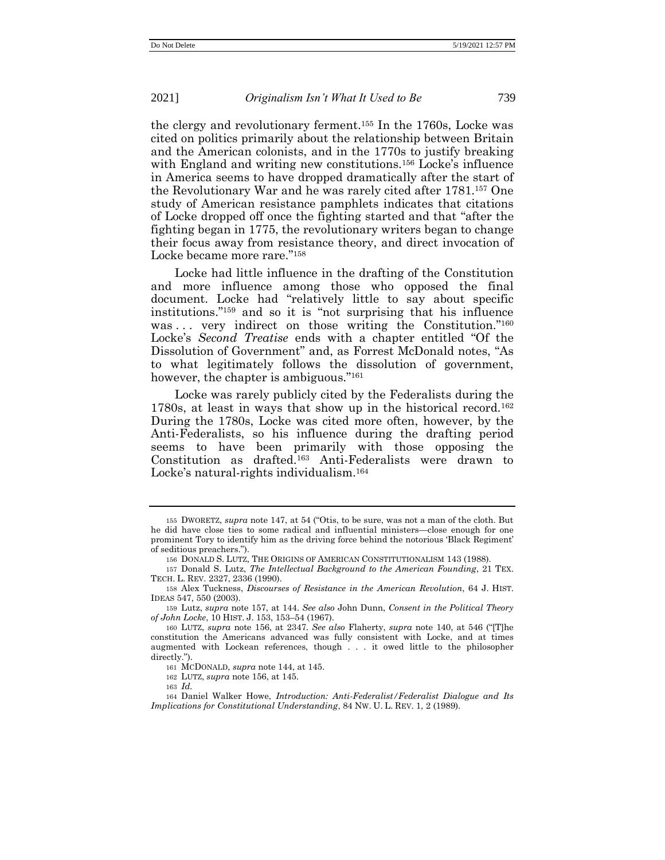<span id="page-33-1"></span><span id="page-33-0"></span>the clergy and revolutionary ferment.<sup>155</sup> In the 1760s, Locke was cited on politics primarily about the relationship between Britain and the American colonists, and in the 1770s to justify breaking with England and writing new constitutions.<sup>156</sup> Locke's influence in America seems to have dropped dramatically after the start of the Revolutionary War and he was rarely cited after 1781.<sup>157</sup> One study of American resistance pamphlets indicates that citations of Locke dropped off once the fighting started and that "after the fighting began in 1775, the revolutionary writers began to change their focus away from resistance theory, and direct invocation of Locke became more rare." 158

Locke had little influence in the drafting of the Constitution and more influence among those who opposed the final document. Locke had "relatively little to say about specific institutions." <sup>159</sup> and so it is "not surprising that his influence was ... very indirect on those writing the Constitution."160 Locke's *Second Treatise* ends with a chapter entitled "Of the Dissolution of Government" and, as Forrest McDonald notes, "As to what legitimately follows the dissolution of government, however, the chapter is ambiguous."<sup>161</sup>

Locke was rarely publicly cited by the Federalists during the 1780s, at least in ways that show up in the historical record.<sup>162</sup> During the 1780s, Locke was cited more often, however, by the Anti-Federalists, so his influence during the drafting period seems to have been primarily with those opposing the Constitution as drafted.<sup>163</sup> Anti-Federalists were drawn to Locke's natural-rights individualism.<sup>164</sup>

157 Donald S. Lutz, *The Intellectual Background to the American Founding*, 21 TEX. TECH. L. REV. 2327, 2336 (1990).

159 Lutz, *supra* note [157,](#page-33-0) at 144. *See also* John Dunn, *Consent in the Political Theory of John Locke*, 10 HIST. J. 153, 153–54 (1967).

161 MCDONALD, *supra* note [144,](#page-31-1) at 145.

162 LUTZ, *supra* note [156,](#page-33-1) at 145.

<sup>155</sup> DWORETZ, *supra* note [147](#page-31-0), at 54 ("Otis, to be sure, was not a man of the cloth. But he did have close ties to some radical and influential ministers—close enough for one prominent Tory to identify him as the driving force behind the notorious 'Black Regiment' of seditious preachers.").

<sup>156</sup> DONALD S. LUTZ, THE ORIGINS OF AMERICAN CONSTITUTIONALISM 143 (1988).

<sup>158</sup> Alex Tuckness, *Discourses of Resistance in the American Revolution*, 64 J. HIST. IDEAS 547, 550 (2003).

<sup>160</sup> LUTZ, *supra* note [156,](#page-33-1) at 2347. *See also* Flaherty, *supra* note [140](#page-30-0), at 546 ("[T]he constitution the Americans advanced was fully consistent with Locke, and at times augmented with Lockean references, though . . . it owed little to the philosopher directly.").

<sup>163</sup> *Id.*

<sup>164</sup> Daniel Walker Howe, *Introduction: Anti-Federalist/Federalist Dialogue and Its Implications for Constitutional Understanding*, 84 NW. U. L. REV. 1, 2 (1989).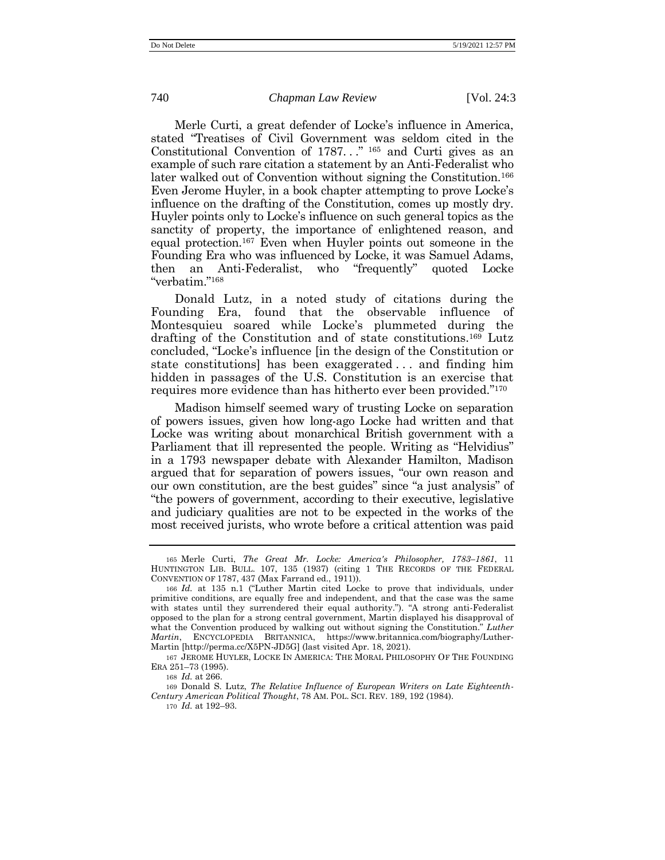Merle Curti, a great defender of Locke's influence in America, stated "Treatises of Civil Government was seldom cited in the Constitutional Convention of 1787..." <sup>165</sup> and Curti gives as an example of such rare citation a statement by an Anti-Federalist who later walked out of Convention without signing the Constitution.<sup>166</sup> Even Jerome Huyler, in a book chapter attempting to prove Locke's influence on the drafting of the Constitution, comes up mostly dry. Huyler points only to Locke's influence on such general topics as the sanctity of property, the importance of enlightened reason, and equal protection.<sup>167</sup> Even when Huyler points out someone in the Founding Era who was influenced by Locke, it was Samuel Adams, then an Anti-Federalist, who "frequently" quoted Locke "verbatim." 168

Donald Lutz, in a noted study of citations during the Founding Era, found that the observable influence of Montesquieu soared while Locke's plummeted during the drafting of the Constitution and of state constitutions.<sup>169</sup> Lutz concluded, "Locke's influence [in the design of the Constitution or state constitutions] has been exaggerated . . . and finding him hidden in passages of the U.S. Constitution is an exercise that requires more evidence than has hitherto ever been provided." 170

Madison himself seemed wary of trusting Locke on separation of powers issues, given how long-ago Locke had written and that Locke was writing about monarchical British government with a Parliament that ill represented the people. Writing as "Helvidius" in a 1793 newspaper debate with Alexander Hamilton, Madison argued that for separation of powers issues, "our own reason and our own constitution, are the best guides" since "a just analysis" of "the powers of government, according to their executive, legislative and judiciary qualities are not to be expected in the works of the most received jurists, who wrote before a critical attention was paid

167 JEROME HUYLER, LOCKE IN AMERICA: THE MORAL PHILOSOPHY OF THE FOUNDING ERA 251–73 (1995).

168 *Id.* at 266.

169 Donald S. Lutz, *The Relative Influence of European Writers on Late Eighteenth-Century American Political Thought*, 78 AM. POL. SCI. REV. 189, 192 (1984).

170 *Id.* at 192–93.

<sup>165</sup> Merle Curti, *The Great Mr. Locke: America's Philosopher, 1783–1861*, 11 HUNTINGTON LIB. BULL. 107, 135 (1937) (citing 1 THE RECORDS OF THE FEDERAL CONVENTION OF 1787, 437 (Max Farrand ed., 1911)).

<sup>166</sup> *Id.* at 135 n.1 ("Luther Martin cited Locke to prove that individuals, under primitive conditions, are equally free and independent, and that the case was the same with states until they surrendered their equal authority."). "A strong anti-Federalist opposed to the plan for a strong central government, Martin displayed his disapproval of what the Convention produced by walking out without signing the Constitution." *Luther Martin*, ENCYCLOPEDIA BRITANNICA, https://www.britannica.com/biography/Luther-Martin [\[http://perma.cc/X5PN-JD5G\]](http://perma.cc/X5PN-JD5G) (last visited Apr. 18, 2021).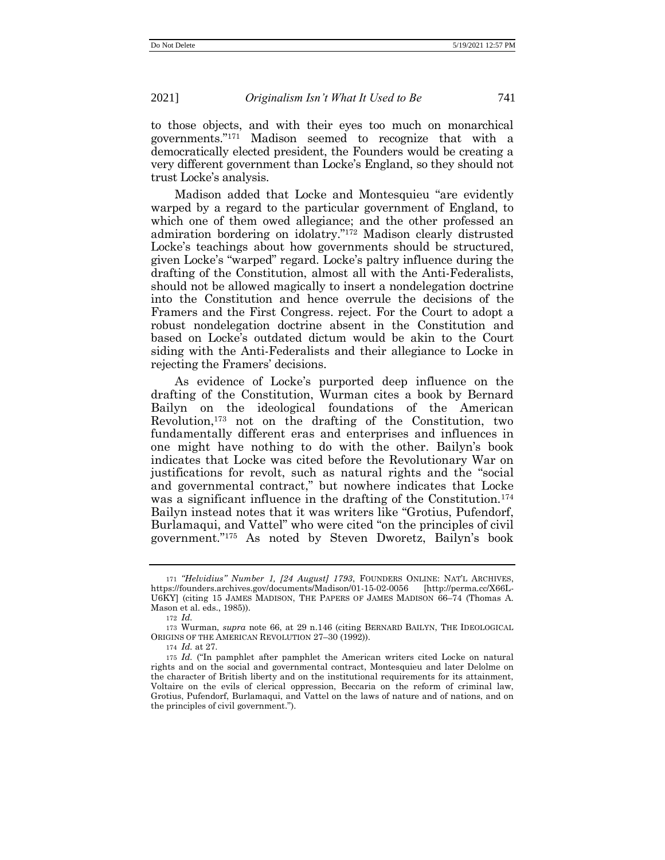to those objects, and with their eyes too much on monarchical governments." <sup>171</sup> Madison seemed to recognize that with a democratically elected president, the Founders would be creating a very different government than Locke's England, so they should not trust Locke's analysis.

Madison added that Locke and Montesquieu "are evidently warped by a regard to the particular government of England, to which one of them owed allegiance; and the other professed an admiration bordering on idolatry." <sup>172</sup> Madison clearly distrusted Locke's teachings about how governments should be structured, given Locke's "warped" regard. Locke's paltry influence during the drafting of the Constitution, almost all with the Anti-Federalists, should not be allowed magically to insert a nondelegation doctrine into the Constitution and hence overrule the decisions of the Framers and the First Congress. reject. For the Court to adopt a robust nondelegation doctrine absent in the Constitution and based on Locke's outdated dictum would be akin to the Court siding with the Anti-Federalists and their allegiance to Locke in rejecting the Framers' decisions.

As evidence of Locke's purported deep influence on the drafting of the Constitution, Wurman cites a book by Bernard Bailyn on the ideological foundations of the American Revolution,<sup>173</sup> not on the drafting of the Constitution, two fundamentally different eras and enterprises and influences in one might have nothing to do with the other. Bailyn's book indicates that Locke was cited before the Revolutionary War on justifications for revolt, such as natural rights and the "social and governmental contract," but nowhere indicates that Locke was a significant influence in the drafting of the Constitution.<sup>174</sup> Bailyn instead notes that it was writers like "Grotius, Pufendorf, Burlamaqui, and Vattel" who were cited "on the principles of civil government." <sup>175</sup> As noted by Steven Dworetz, Bailyn's book

174 *Id.* at 27.

<sup>171</sup> *"Helvidius" Number 1, [24 August] 1793*, FOUNDERS ONLINE: NAT'L ARCHIVES, https://founders.archives.gov/documents/Madison/01-15-02-0056 [\[http://perma.cc/X66L-](http://perma.cc/X66L-U6KY)[U6KY\]](http://perma.cc/X66L-U6KY) (citing 15 JAMES MADISON, THE PAPERS OF JAMES MADISON 66–74 (Thomas A. Mason et al. eds., 1985)).

<sup>172</sup> *Id.*

<sup>173</sup> Wurman, *supra* note [66,](#page-17-1) at 29 n.146 (citing BERNARD BAILYN, THE IDEOLOGICAL ORIGINS OF THE AMERICAN REVOLUTION 27–30 (1992)).

<sup>175</sup> *Id.* ("In pamphlet after pamphlet the American writers cited Locke on natural rights and on the social and governmental contract, Montesquieu and later Delolme on the character of British liberty and on the institutional requirements for its attainment, Voltaire on the evils of clerical oppression, Beccaria on the reform of criminal law, Grotius, Pufendorf, Burlamaqui, and Vattel on the laws of nature and of nations, and on the principles of civil government.").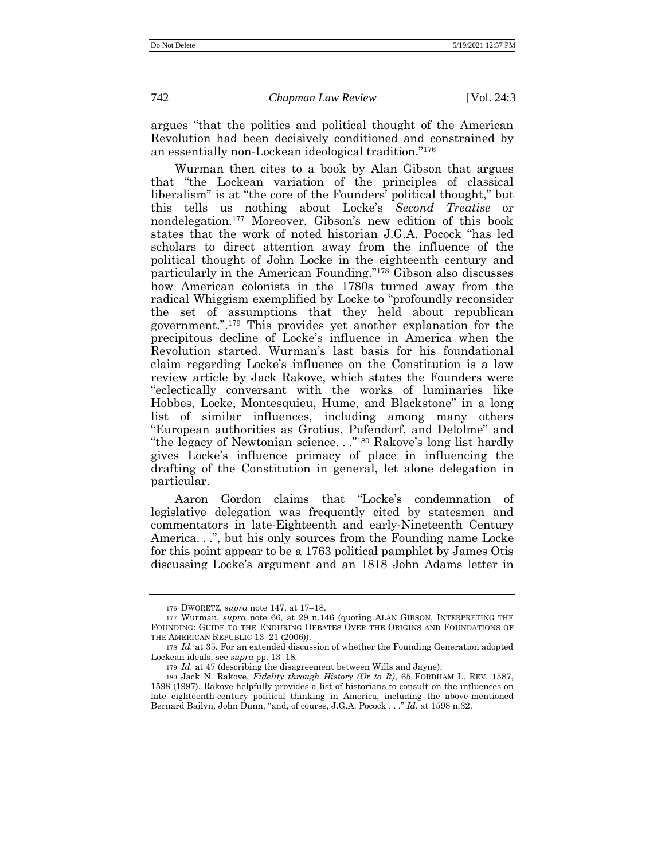argues "that the politics and political thought of the American Revolution had been decisively conditioned and constrained by an essentially non-Lockean ideological tradition." 176

Wurman then cites to a book by Alan Gibson that argues that "the Lockean variation of the principles of classical liberalism" is at "the core of the Founders' political thought," but this tells us nothing about Locke's *Second Treatise* or nondelegation.<sup>177</sup> Moreover, Gibson's new edition of this book states that the work of noted historian J.G.A. Pocock "has led scholars to direct attention away from the influence of the political thought of John Locke in the eighteenth century and particularly in the American Founding." <sup>178</sup> Gibson also discusses how American colonists in the 1780s turned away from the radical Whiggism exemplified by Locke to "profoundly reconsider the set of assumptions that they held about republican government.". <sup>179</sup> This provides yet another explanation for the precipitous decline of Locke's influence in America when the Revolution started. Wurman's last basis for his foundational claim regarding Locke's influence on the Constitution is a law review article by Jack Rakove, which states the Founders were "eclectically conversant with the works of luminaries like Hobbes, Locke, Montesquieu, Hume, and Blackstone" in a long list of similar influences, including among many others "European authorities as Grotius, Pufendorf, and Delolme" and "the legacy of Newtonian science. . ." <sup>180</sup> Rakove's long list hardly gives Locke's influence primacy of place in influencing the drafting of the Constitution in general, let alone delegation in particular.

<span id="page-36-0"></span>Aaron Gordon claims that "Locke's condemnation of legislative delegation was frequently cited by statesmen and commentators in late-Eighteenth and early-Nineteenth Century America...", but his only sources from the Founding name Locke for this point appear to be a 1763 political pamphlet by James Otis discussing Locke's argument and an 1818 John Adams letter in

<sup>176</sup> DWORETZ, *supra* not[e 147,](#page-31-0) at 17–18.

<sup>177</sup> Wurman, *supra* note [66,](#page-17-0) at 29 n.146 (quoting ALAN GIBSON, INTERPRETING THE FOUNDING: GUIDE TO THE ENDURING DEBATES OVER THE ORIGINS AND FOUNDATIONS OF THE AMERICAN REPUBLIC 13–21 (2006)).

<sup>178</sup> *Id.* at 35. For an extended discussion of whether the Founding Generation adopted Lockean ideals, see *supra* pp. 13–18.

<sup>179</sup> *Id.* at 47 (describing the disagreement between Wills and Jayne).

<sup>180</sup> Jack N. Rakove, *Fidelity through History (Or to It)*, 65 FORDHAM L. REV. 1587, 1598 (1997). Rakove helpfully provides a list of historians to consult on the influences on late eighteenth-century political thinking in America, including the above-mentioned Bernard Bailyn, John Dunn, "and, of course, J.G.A. Pocock . . ." *Id.* at 1598 n.32.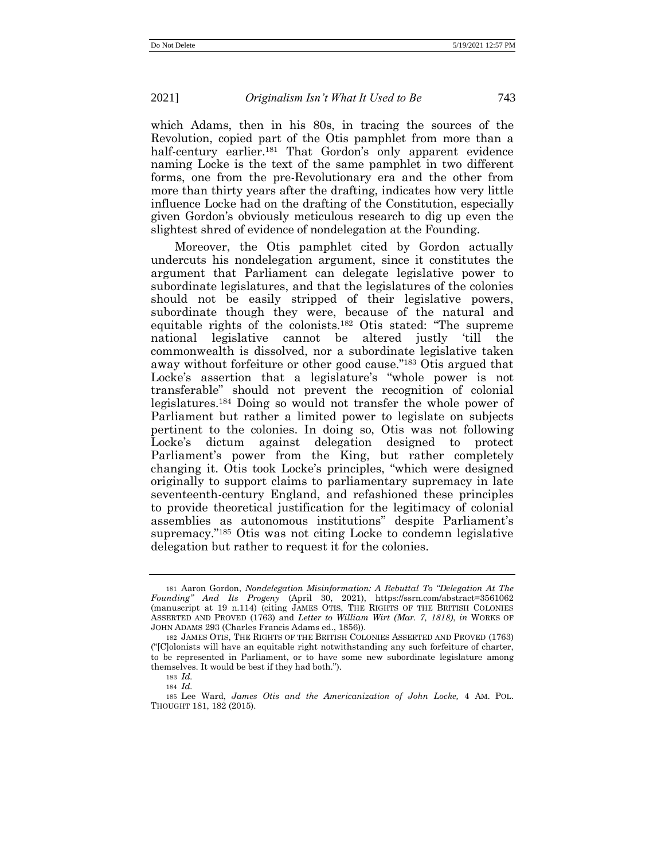which Adams, then in his 80s, in tracing the sources of the Revolution, copied part of the Otis pamphlet from more than a half-century earlier.<sup>181</sup> That Gordon's only apparent evidence naming Locke is the text of the same pamphlet in two different forms, one from the pre-Revolutionary era and the other from more than thirty years after the drafting, indicates how very little influence Locke had on the drafting of the Constitution, especially given Gordon's obviously meticulous research to dig up even the slightest shred of evidence of nondelegation at the Founding.

Moreover, the Otis pamphlet cited by Gordon actually undercuts his nondelegation argument, since it constitutes the argument that Parliament can delegate legislative power to subordinate legislatures, and that the legislatures of the colonies should not be easily stripped of their legislative powers, subordinate though they were, because of the natural and equitable rights of the colonists.<sup>182</sup> Otis stated: "The supreme national legislative cannot be altered justly 'till the commonwealth is dissolved, nor a subordinate legislative taken away without forfeiture or other good cause." <sup>183</sup> Otis argued that Locke's assertion that a legislature's "whole power is not transferable" should not prevent the recognition of colonial legislatures.<sup>184</sup> Doing so would not transfer the whole power of Parliament but rather a limited power to legislate on subjects pertinent to the colonies. In doing so, Otis was not following Locke's dictum against delegation designed to protect Parliament's power from the King, but rather completely changing it. Otis took Locke's principles, "which were designed originally to support claims to parliamentary supremacy in late seventeenth-century England, and refashioned these principles to provide theoretical justification for the legitimacy of colonial assemblies as autonomous institutions" despite Parliament's supremacy." <sup>185</sup> Otis was not citing Locke to condemn legislative delegation but rather to request it for the colonies.

<span id="page-37-0"></span><sup>181</sup> Aaron Gordon, *Nondelegation Misinformation: A Rebuttal To "Delegation At The Founding" And Its Progeny* (April 30, 2021), https://ssrn.com/abstract=3561062 (manuscript at 19 n.114) (citing JAMES OTIS, THE RIGHTS OF THE BRITISH COLONIES ASSERTED AND PROVED (1763) and *Letter to William Wirt (Mar. 7, 1818)*, *in* WORKS OF JOHN ADAMS 293 (Charles Francis Adams ed., 1856)).

<sup>182</sup> JAMES OTIS, THE RIGHTS OF THE BRITISH COLONIES ASSERTED AND PROVED (1763) ("[C]olonists will have an equitable right notwithstanding any such forfeiture of charter, to be represented in Parliament, or to have some new subordinate legislature among themselves. It would be best if they had both.").

<sup>183</sup> *Id.*

<sup>184</sup> *Id.*

<sup>185</sup> Lee Ward, *James Otis and the Americanization of John Locke,* 4 AM. POL. THOUGHT 181, 182 (2015).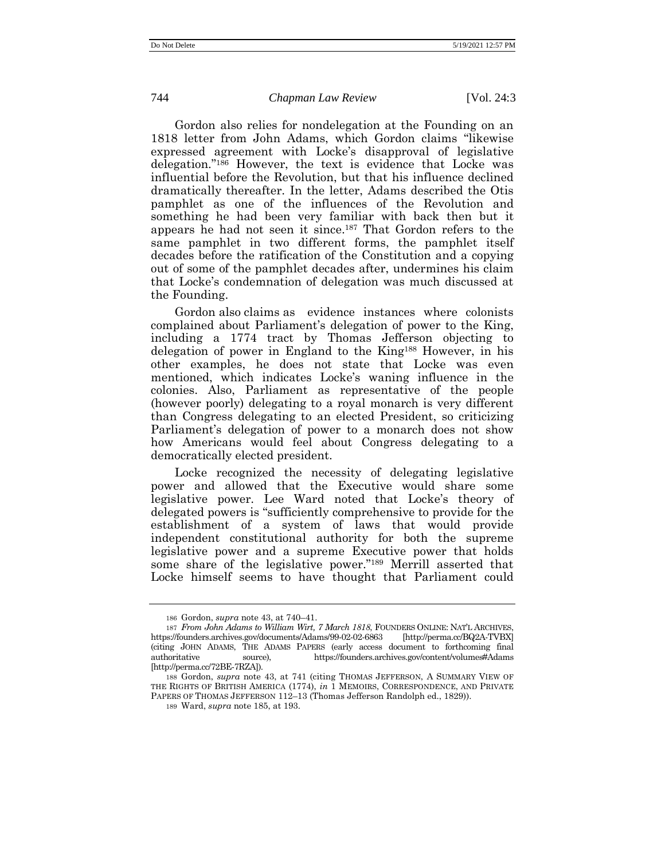Gordon also relies for nondelegation at the Founding on an 1818 letter from John Adams, which Gordon claims "likewise expressed agreement with Locke's disapproval of legislative delegation." <sup>186</sup> However, the text is evidence that Locke was influential before the Revolution, but that his influence declined dramatically thereafter. In the letter, Adams described the Otis pamphlet as one of the influences of the Revolution and something he had been very familiar with back then but it appears he had not seen it since. <sup>187</sup> That Gordon refers to the same pamphlet in two different forms, the pamphlet itself decades before the ratification of the Constitution and a copying out of some of the pamphlet decades after, undermines his claim that Locke's condemnation of delegation was much discussed at the Founding.

Gordon also claims as evidence instances where colonists complained about Parliament's delegation of power to the King, including a 1774 tract by Thomas Jefferson objecting to delegation of power in England to the King<sup>188</sup> However, in his other examples, he does not state that Locke was even mentioned, which indicates Locke's waning influence in the colonies. Also, Parliament as representative of the people (however poorly) delegating to a royal monarch is very different than Congress delegating to an elected President, so criticizing Parliament's delegation of power to a monarch does not show how Americans would feel about Congress delegating to a democratically elected president.

Locke recognized the necessity of delegating legislative power and allowed that the Executive would share some legislative power. Lee Ward noted that Locke's theory of delegated powers is "sufficiently comprehensive to provide for the establishment of a system of laws that would provide independent constitutional authority for both the supreme legislative power and a supreme Executive power that holds some share of the legislative power." <sup>189</sup> Merrill asserted that Locke himself seems to have thought that Parliament could

<sup>186</sup> Gordon, *supra* not[e 43,](#page-13-0) at 740–41.

<sup>187</sup> *From John Adams to William Wirt, 7 March 1818*, FOUNDERS ONLINE: NAT'L ARCHIVES, https://founders.archives.gov/documents/Adams/99-02-02-6863 [\[http://perma.cc/BQ2A-TVBX\]](http://perma.cc/BQ2A-TVBX) (citing JOHN ADAMS, THE ADAMS PAPERS (early access document to forthcoming final authoritative source), https://founders.archives.gov/content/volumes#Adams [\[http://perma.cc/72BE-7RZA\]\)](http://perma.cc/72BE-7RZA).

<sup>188</sup> Gordon, *supra* note [43,](#page-13-0) at 741 (citing THOMAS JEFFERSON, A SUMMARY VIEW OF THE RIGHTS OF BRITISH AMERICA (1774), *in* 1 MEMOIRS, CORRESPONDENCE, AND PRIVATE PAPERS OF THOMAS JEFFERSON 112–13 (Thomas Jefferson Randolph ed., 1829)).

<sup>189</sup> Ward, *supra* not[e 185,](#page-37-0) at 193.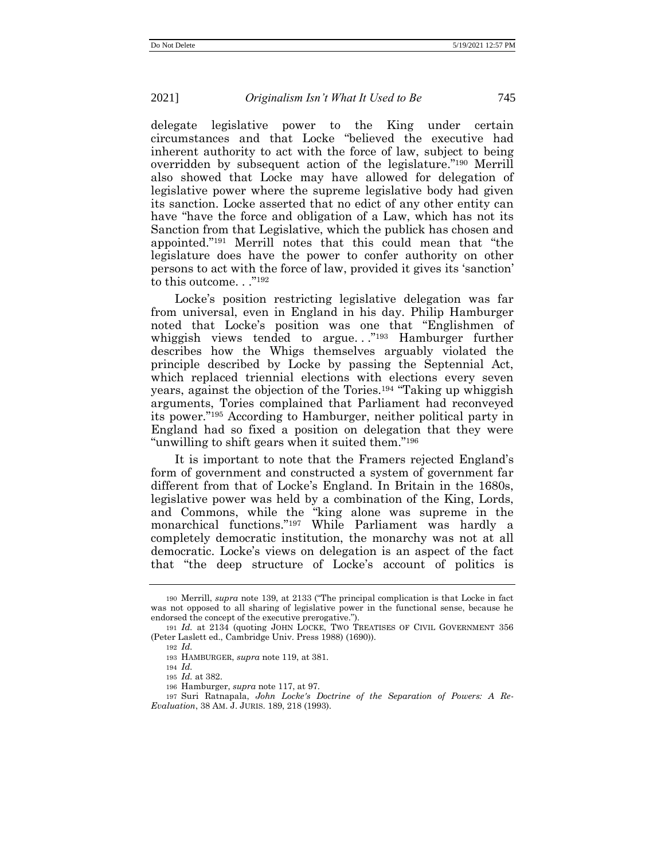delegate legislative power to the King under certain circumstances and that Locke "believed the executive had inherent authority to act with the force of law, subject to being overridden by subsequent action of the legislature." <sup>190</sup> Merrill also showed that Locke may have allowed for delegation of legislative power where the supreme legislative body had given its sanction. Locke asserted that no edict of any other entity can have "have the force and obligation of a Law, which has not its Sanction from that Legislative, which the publick has chosen and appointed." <sup>191</sup> Merrill notes that this could mean that "the legislature does have the power to confer authority on other persons to act with the force of law, provided it gives its 'sanction' to this outcome. . ."<sup>192</sup>

Locke's position restricting legislative delegation was far from universal, even in England in his day. Philip Hamburger noted that Locke's position was one that "Englishmen of whiggish views tended to argue..."<sup>193</sup> Hamburger further describes how the Whigs themselves arguably violated the principle described by Locke by passing the Septennial Act, which replaced triennial elections with elections every seven years, against the objection of the Tories.<sup>194</sup> "Taking up whiggish arguments, Tories complained that Parliament had reconveyed its power." <sup>195</sup> According to Hamburger, neither political party in England had so fixed a position on delegation that they were "unwilling to shift gears when it suited them."<sup>196</sup>

It is important to note that the Framers rejected England's form of government and constructed a system of government far different from that of Locke's England. In Britain in the 1680s, legislative power was held by a combination of the King, Lords, and Commons, while the "king alone was supreme in the monarchical functions." <sup>197</sup> While Parliament was hardly a completely democratic institution, the monarchy was not at all democratic. Locke's views on delegation is an aspect of the fact that "the deep structure of Locke's account of politics is

194 *Id.*

<sup>190</sup> Merrill, *supra* note [139](#page-30-0), at 2133 ("The principal complication is that Locke in fact was not opposed to all sharing of legislative power in the functional sense, because he endorsed the concept of the executive prerogative.").

<sup>191</sup> *Id.* at 2134 (quoting JOHN LOCKE, TWO TREATISES OF CIVIL GOVERNMENT 356 (Peter Laslett ed., Cambridge Univ. Press 1988) (1690)).

<sup>192</sup> *Id.*

<sup>193</sup> HAMBURGER, *supra* not[e 119,](#page-26-0) at 381.

<sup>195</sup> *Id.* at 382.

<sup>196</sup> Hamburger, *supra* note [117,](#page-26-1) at 97.

<sup>197</sup> Suri Ratnapala, *John Locke's Doctrine of the Separation of Powers: A Re-Evaluation*, 38 AM. J. JURIS. 189, 218 (1993).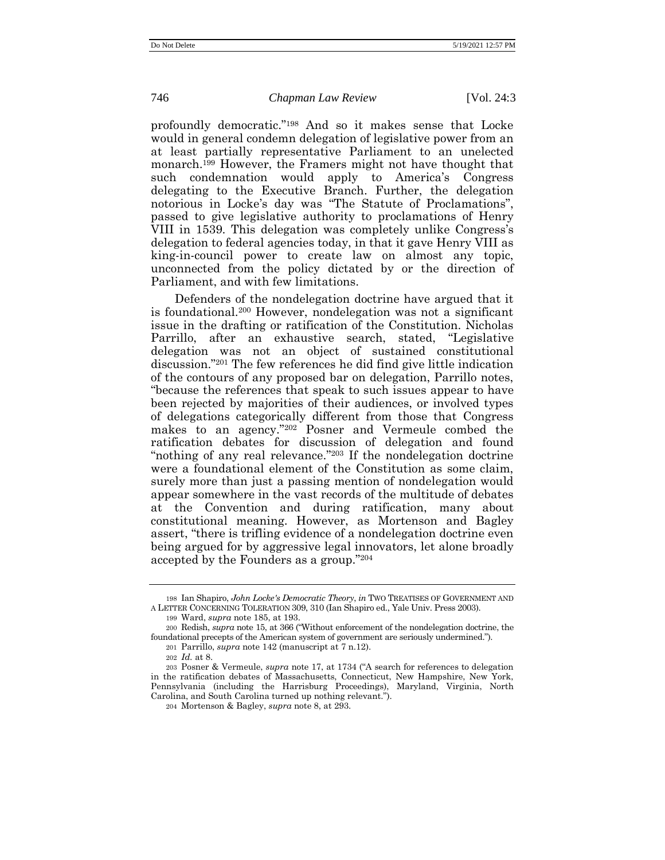profoundly democratic." <sup>198</sup> And so it makes sense that Locke would in general condemn delegation of legislative power from an at least partially representative Parliament to an unelected monarch.<sup>199</sup> However, the Framers might not have thought that such condemnation would apply to America's Congress delegating to the Executive Branch. Further, the delegation notorious in Locke's day was "The Statute of Proclamations", passed to give legislative authority to proclamations of Henry VIII in 1539. This delegation was completely unlike Congress's delegation to federal agencies today, in that it gave Henry VIII as king-in-council power to create law on almost any topic, unconnected from the policy dictated by or the direction of Parliament, and with few limitations.

Defenders of the nondelegation doctrine have argued that it is foundational.<sup>200</sup> However, nondelegation was not a significant issue in the drafting or ratification of the Constitution. Nicholas Parrillo, after an exhaustive search, stated, "Legislative delegation was not an object of sustained constitutional discussion." <sup>201</sup> The few references he did find give little indication of the contours of any proposed bar on delegation, Parrillo notes, "because the references that speak to such issues appear to have been rejected by majorities of their audiences, or involved types of delegations categorically different from those that Congress makes to an agency." <sup>202</sup> Posner and Vermeule combed the ratification debates for discussion of delegation and found "nothing of any real relevance." <sup>203</sup> If the nondelegation doctrine were a foundational element of the Constitution as some claim, surely more than just a passing mention of nondelegation would appear somewhere in the vast records of the multitude of debates at the Convention and during ratification, many about constitutional meaning. However, as Mortenson and Bagley assert, "there is trifling evidence of a nondelegation doctrine even being argued for by aggressive legal innovators, let alone broadly accepted by the Founders as a group." 204

<sup>198</sup> Ian Shapiro, *John Locke's Democratic Theory*, *in* TWO TREATISES OF GOVERNMENT AND A LETTER CONCERNING TOLERATION 309, 310 (Ian Shapiro ed., Yale Univ. Press 2003).

<sup>199</sup> Ward, *supra* not[e 185,](#page-37-0) at 193.

<sup>200</sup> Redish, *supra* not[e 15,](#page-7-0) at 366 ("Without enforcement of the nondelegation doctrine, the foundational precepts of the American system of government are seriously undermined.").

<sup>201</sup> Parrillo, *supra* note [142](#page-31-1) (manuscript at 7 n.12).

<sup>202</sup> *Id.* at 8.

<sup>203</sup> Posner & Vermeule, *supra* note [17](#page-8-0), at 1734 ("A search for references to delegation in the ratification debates of Massachusetts, Connecticut, New Hampshire, New York, Pennsylvania (including the Harrisburg Proceedings), Maryland, Virginia, North Carolina, and South Carolina turned up nothing relevant.").

<sup>204</sup> Mortenson & Bagley, *supra* note [8,](#page-5-0) at 293.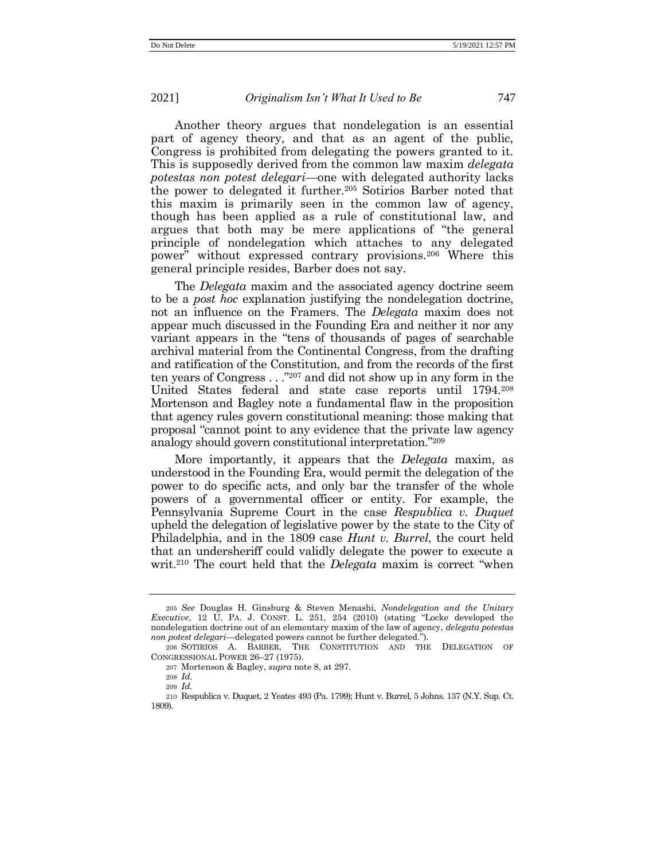Another theory argues that nondelegation is an essential part of agency theory, and that as an agent of the public, Congress is prohibited from delegating the powers granted to it. This is supposedly derived from the common law maxim *delegata potestas non potest delegari*—one with delegated authority lacks the power to delegated it further.<sup>205</sup> Sotirios Barber noted that this maxim is primarily seen in the common law of agency, though has been applied as a rule of constitutional law, and argues that both may be mere applications of "the general principle of nondelegation which attaches to any delegated power" without expressed contrary provisions.<sup>206</sup> Where this general principle resides, Barber does not say.

The *Delegata* maxim and the associated agency doctrine seem to be a *post hoc* explanation justifying the nondelegation doctrine, not an influence on the Framers. The *Delegata* maxim does not appear much discussed in the Founding Era and neither it nor any variant appears in the "tens of thousands of pages of searchable archival material from the Continental Congress, from the drafting and ratification of the Constitution, and from the records of the first ten years of Congress . . ." <sup>207</sup> and did not show up in any form in the United States federal and state case reports until 1794. 208 Mortenson and Bagley note a fundamental flaw in the proposition that agency rules govern constitutional meaning: those making that proposal "cannot point to any evidence that the private law agency analogy should govern constitutional interpretation." 209

More importantly, it appears that the *Delegata* maxim, as understood in the Founding Era, would permit the delegation of the power to do specific acts, and only bar the transfer of the whole powers of a governmental officer or entity. For example, the Pennsylvania Supreme Court in the case *Respublica v. Duquet* upheld the delegation of legislative power by the state to the City of Philadelphia, and in the 1809 case *Hunt v. Burrel*, the court held that an undersheriff could validly delegate the power to execute a writ.<sup>210</sup> The court held that the *Delegata* maxim is correct "when

<sup>205</sup> *See* Douglas H. Ginsburg & Steven Menashi, *Nondelegation and the Unitary Executive*, 12 U. PA. J. CONST. L. 251, 254 (2010) (stating "Locke developed the nondelegation doctrine out of an elementary maxim of the law of agency, *delegata potestas non potest delegari*—delegated powers cannot be further delegated.").

<sup>206</sup> SOTIRIOS A. BARBER, THE CONSTITUTION AND THE DELEGATION OF CONGRESSIONAL POWER 26–27 (1975).

<sup>207</sup> Mortenson & Bagley, *supra* note [8,](#page-5-0) at 297.

<sup>208</sup> *Id.*

<sup>209</sup> *Id.*

<sup>210</sup> Respublica v. Duquet, 2 Yeates 493 (Pa. 1799); Hunt v. Burrel, 5 Johns. 137 (N.Y. Sup. Ct. 1809).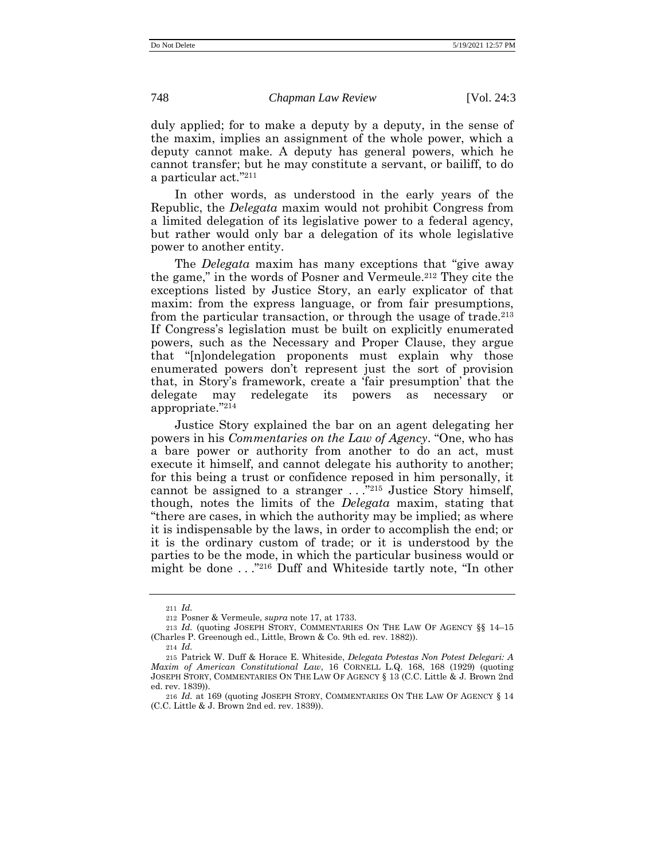duly applied; for to make a deputy by a deputy, in the sense of the maxim, implies an assignment of the whole power, which a deputy cannot make. A deputy has general powers, which he cannot transfer; but he may constitute a servant, or bailiff, to do a particular act." 211

In other words, as understood in the early years of the Republic, the *Delegata* maxim would not prohibit Congress from a limited delegation of its legislative power to a federal agency, but rather would only bar a delegation of its whole legislative power to another entity.

The *Delegata* maxim has many exceptions that "give away the game," in the words of Posner and Vermeule.<sup>212</sup> They cite the exceptions listed by Justice Story, an early explicator of that maxim: from the express language, or from fair presumptions, from the particular transaction, or through the usage of trade.<sup>213</sup> If Congress's legislation must be built on explicitly enumerated powers, such as the Necessary and Proper Clause, they argue that "[n]ondelegation proponents must explain why those enumerated powers don't represent just the sort of provision that, in Story's framework, create a 'fair presumption' that the delegate may redelegate its powers as necessary or appropriate." 214

<span id="page-42-0"></span>Justice Story explained the bar on an agent delegating her powers in his *Commentaries on the Law of Agency*. "One, who has a bare power or authority from another to do an act, must execute it himself, and cannot delegate his authority to another; for this being a trust or confidence reposed in him personally, it cannot be assigned to a stranger . . ." <sup>215</sup> Justice Story himself, though, notes the limits of the *Delegata* maxim, stating that "there are cases, in which the authority may be implied; as where it is indispensable by the laws, in order to accomplish the end; or it is the ordinary custom of trade; or it is understood by the parties to be the mode, in which the particular business would or might be done . . ." <sup>216</sup> Duff and Whiteside tartly note, "In other

<sup>211</sup> *Id.*

<sup>212</sup> Posner & Vermeule, *supra* note [17,](#page-8-0) at 1733.

<sup>213</sup> *Id.* (quoting JOSEPH STORY, COMMENTARIES ON THE LAW OF AGENCY §§ 14–15 (Charles P. Greenough ed., Little, Brown & Co. 9th ed. rev. 1882)).

<sup>214</sup> *Id.*

<sup>215</sup> Patrick W. Duff & Horace E. Whiteside, *Delegata Potestas Non Potest Delegari: A Maxim of American Constitutional Law*, 16 CORNELL L.Q. 168, 168 (1929) (quoting JOSEPH STORY, COMMENTARIES ON THE LAW OF AGENCY § 13 (C.C. Little & J. Brown 2nd ed. rev. 1839)).

<sup>216</sup> *Id.* at 169 (quoting JOSEPH STORY, COMMENTARIES ON THE LAW OF AGENCY § 14 (C.C. Little & J. Brown 2nd ed. rev. 1839)).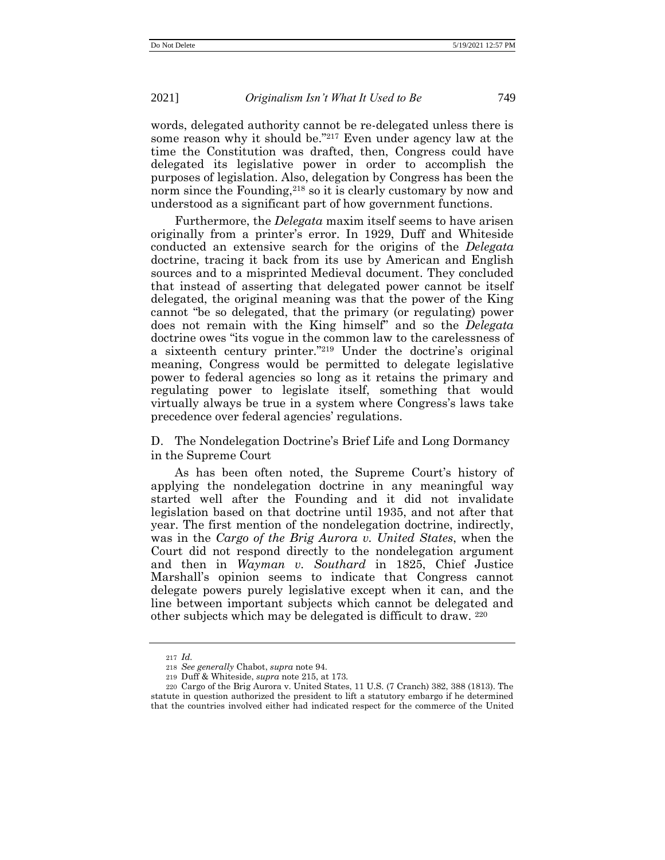words, delegated authority cannot be re-delegated unless there is some reason why it should be." <sup>217</sup> Even under agency law at the time the Constitution was drafted, then, Congress could have delegated its legislative power in order to accomplish the purposes of legislation. Also, delegation by Congress has been the norm since the Founding,<sup>218</sup> so it is clearly customary by now and understood as a significant part of how government functions.

Furthermore, the *Delegata* maxim itself seems to have arisen originally from a printer's error. In 1929, Duff and Whiteside conducted an extensive search for the origins of the *Delegata* doctrine, tracing it back from its use by American and English sources and to a misprinted Medieval document. They concluded that instead of asserting that delegated power cannot be itself delegated, the original meaning was that the power of the King cannot "be so delegated, that the primary (or regulating) power does not remain with the King himself" and so the *Delegata* doctrine owes "its vogue in the common law to the carelessness of a sixteenth century printer." <sup>219</sup> Under the doctrine's original meaning, Congress would be permitted to delegate legislative power to federal agencies so long as it retains the primary and regulating power to legislate itself, something that would virtually always be true in a system where Congress's laws take precedence over federal agencies' regulations.

D. The Nondelegation Doctrine's Brief Life and Long Dormancy in the Supreme Court

As has been often noted, the Supreme Court's history of applying the nondelegation doctrine in any meaningful way started well after the Founding and it did not invalidate legislation based on that doctrine until 1935, and not after that year. The first mention of the nondelegation doctrine, indirectly, was in the *Cargo of the Brig Aurora v. United States*, when the Court did not respond directly to the nondelegation argument and then in *Wayman v. Southard* in 1825, Chief Justice Marshall's opinion seems to indicate that Congress cannot delegate powers purely legislative except when it can, and the line between important subjects which cannot be delegated and other subjects which may be delegated is difficult to draw. <sup>220</sup>

<sup>217</sup> *Id.*

<sup>218</sup> *See generally* Chabot, *supra* note [94.](#page-23-0)

<sup>219</sup> Duff & Whiteside, *supra* not[e 215,](#page-42-0) at 173.

<sup>220</sup> Cargo of the Brig Aurora v. United States, 11 U.S. (7 Cranch) 382, 388 (1813). The statute in question authorized the president to lift a statutory embargo if he determined that the countries involved either had indicated respect for the commerce of the United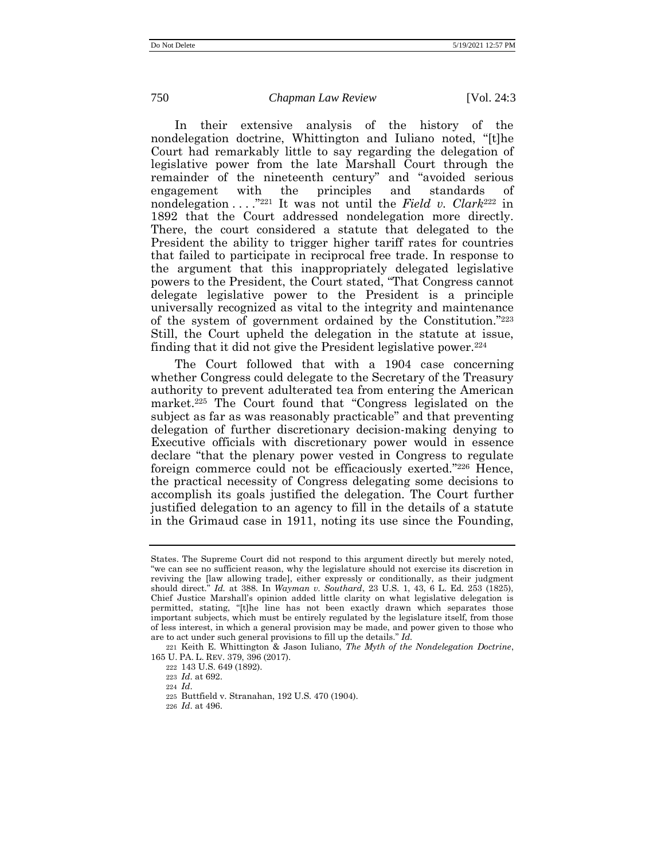<span id="page-44-0"></span>In their extensive analysis of the history of the nondelegation doctrine, Whittington and Iuliano noted, "[t]he Court had remarkably little to say regarding the delegation of legislative power from the late Marshall Court through the remainder of the nineteenth century" and "avoided serious engagement with the principles and standards of nondelegation . . . ." <sup>221</sup> It was not until the *Field v. Clark*<sup>222</sup> in 1892 that the Court addressed nondelegation more directly. There, the court considered a statute that delegated to the President the ability to trigger higher tariff rates for countries that failed to participate in reciprocal free trade. In response to the argument that this inappropriately delegated legislative powers to the President, the Court stated, "That Congress cannot delegate legislative power to the President is a principle universally recognized as vital to the integrity and maintenance of the system of government ordained by the Constitution." 223 Still, the Court upheld the delegation in the statute at issue, finding that it did not give the President legislative power.<sup>224</sup>

The Court followed that with a 1904 case concerning whether Congress could delegate to the Secretary of the Treasury authority to prevent adulterated tea from entering the American market.<sup>225</sup> The Court found that "Congress legislated on the subject as far as was reasonably practicable" and that preventing delegation of further discretionary decision-making denying to Executive officials with discretionary power would in essence declare "that the plenary power vested in Congress to regulate foreign commerce could not be efficaciously exerted." <sup>226</sup> Hence, the practical necessity of Congress delegating some decisions to accomplish its goals justified the delegation. The Court further justified delegation to an agency to fill in the details of a statute in the Grimaud case in 1911, noting its use since the Founding,

221 Keith E. Whittington & Jason Iuliano, *The Myth of the Nondelegation Doctrine*, 165 U. PA. L. REV. 379, 396 (2017).

States. The Supreme Court did not respond to this argument directly but merely noted, "we can see no sufficient reason, why the legislature should not exercise its discretion in reviving the [law allowing trade], either expressly or conditionally, as their judgment should direct." *Id.* at 388. In *Wayman v. Southard*, 23 U.S. 1, 43, 6 L. Ed. 253 (1825), Chief Justice Marshall's opinion added little clarity on what legislative delegation is permitted, stating, "[t]he line has not been exactly drawn which separates those important subjects, which must be entirely regulated by the legislature itself, from those of less interest, in which a general provision may be made, and power given to those who are to act under such general provisions to fill up the details." *Id.*

<sup>222</sup> 143 U.S. 649 (1892).

<sup>223</sup> *Id*. at 692.

<sup>224</sup> *Id*.

<sup>225</sup> Buttfield v. Stranahan, 192 U.S. 470 (1904).

<sup>226</sup> *Id*. at 496.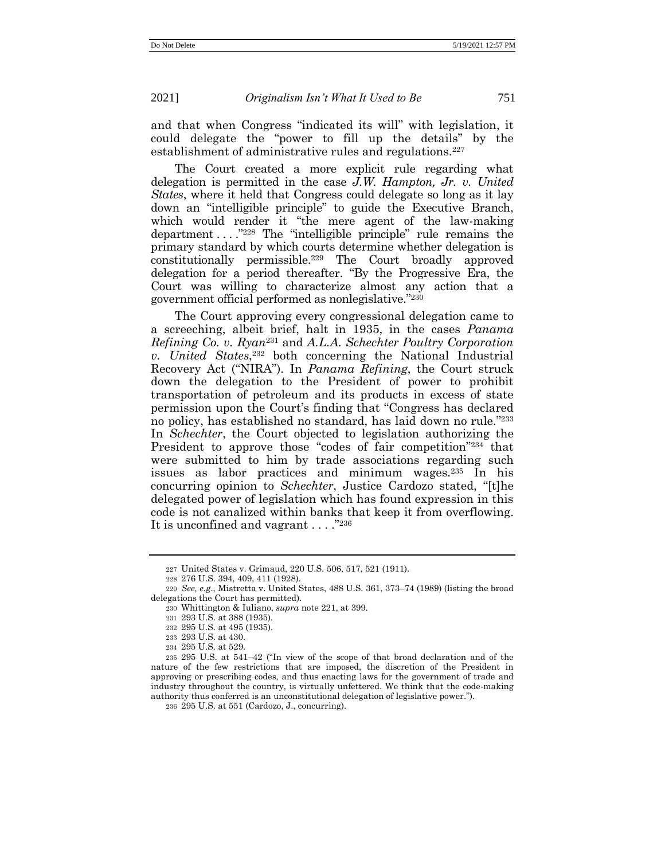and that when Congress "indicated its will" with legislation, it could delegate the "power to fill up the details" by the establishment of administrative rules and regulations.<sup>227</sup>

The Court created a more explicit rule regarding what delegation is permitted in the case *J.W. Hampton, Jr. v. United States*, where it held that Congress could delegate so long as it lay down an "intelligible principle" to guide the Executive Branch, which would render it "the mere agent of the law-making department . . . ." <sup>228</sup> The "intelligible principle" rule remains the primary standard by which courts determine whether delegation is constitutionally permissible.<sup>229</sup> The Court broadly approved delegation for a period thereafter. "By the Progressive Era, the Court was willing to characterize almost any action that a government official performed as nonlegislative." 230

The Court approving every congressional delegation came to a screeching, albeit brief, halt in 1935, in the cases *Panama Refining Co. v. Ryan*<sup>231</sup> and *A.L.A. Schechter Poultry Corporation v. United States*, <sup>232</sup> both concerning the National Industrial Recovery Act ("NIRA"). In *Panama Refining*, the Court struck down the delegation to the President of power to prohibit transportation of petroleum and its products in excess of state permission upon the Court's finding that "Congress has declared no policy, has established no standard, has laid down no rule." 233 In *Schechter*, the Court objected to legislation authorizing the President to approve those "codes of fair competition"<sup>234</sup> that were submitted to him by trade associations regarding such issues as labor practices and minimum wages.<sup>235</sup> In his concurring opinion to *Schechter*, Justice Cardozo stated, "[t]he delegated power of legislation which has found expression in this code is not canalized within banks that keep it from overflowing. It is unconfined and vagrant . . . . "236

<sup>227</sup> United States v. Grimaud, 220 U.S. 506, 517, 521 (1911).

<sup>228</sup> 276 U.S. 394, 409, 411 (1928).

<sup>229</sup> *See, e.g*., Mistretta v. United States, 488 U.S. 361, 373–74 (1989) (listing the broad delegations the Court has permitted).

<sup>230</sup> Whittington & Iuliano, *supra* not[e 221,](#page-44-0) at 399.

<sup>231</sup> 293 U.S. at 388 (1935).

<sup>232</sup> 295 U.S. at 495 (1935).

<sup>233</sup> 293 U.S. at 430.

<sup>234</sup> 295 U.S. at 529.

<sup>235</sup> 295 U.S. at 541–42 ("In view of the scope of that broad declaration and of the nature of the few restrictions that are imposed, the discretion of the President in approving or prescribing codes, and thus enacting laws for the government of trade and industry throughout the country, is virtually unfettered. We think that the code-making authority thus conferred is an unconstitutional delegation of legislative power.").

<sup>236</sup> 295 U.S. at 551 (Cardozo, J., concurring).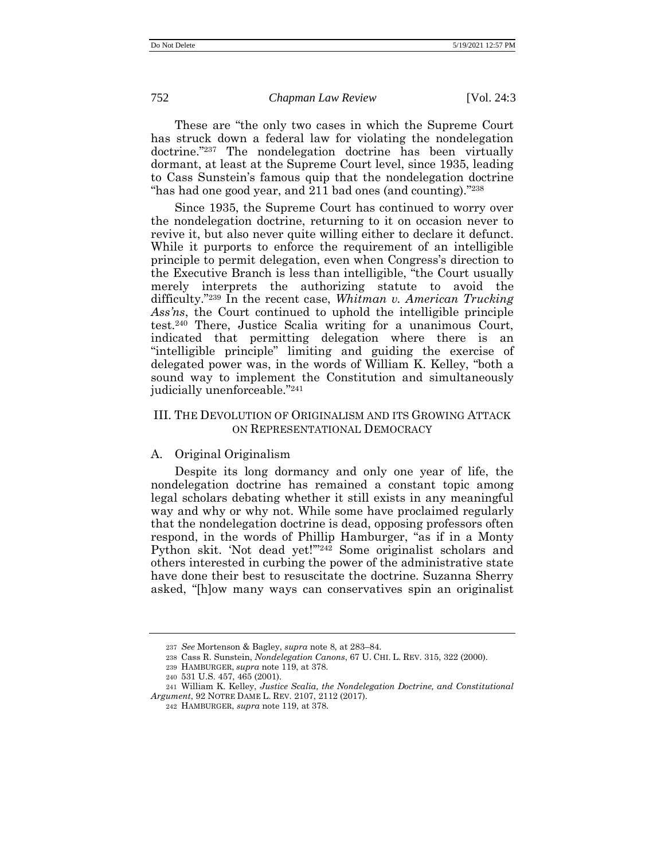These are "the only two cases in which the Supreme Court has struck down a federal law for violating the nondelegation doctrine." <sup>237</sup> The nondelegation doctrine has been virtually dormant, at least at the Supreme Court level, since 1935, leading to Cass Sunstein's famous quip that the nondelegation doctrine "has had one good year, and 211 bad ones (and counting)."<sup>238</sup>

Since 1935, the Supreme Court has continued to worry over the nondelegation doctrine, returning to it on occasion never to revive it, but also never quite willing either to declare it defunct. While it purports to enforce the requirement of an intelligible principle to permit delegation, even when Congress's direction to the Executive Branch is less than intelligible, "the Court usually merely interprets the authorizing statute to avoid the difficulty." <sup>239</sup> In the recent case, *Whitman v. American Trucking Ass'ns*, the Court continued to uphold the intelligible principle test.<sup>240</sup> There, Justice Scalia writing for a unanimous Court, indicated that permitting delegation where there is an "intelligible principle" limiting and guiding the exercise of delegated power was, in the words of William K. Kelley, "both a sound way to implement the Constitution and simultaneously judicially unenforceable." 241

# <span id="page-46-0"></span>III. THE DEVOLUTION OF ORIGINALISM AND ITS GROWING ATTACK ON REPRESENTATIONAL DEMOCRACY

### A. Original Originalism

Despite its long dormancy and only one year of life, the nondelegation doctrine has remained a constant topic among legal scholars debating whether it still exists in any meaningful way and why or why not. While some have proclaimed regularly that the nondelegation doctrine is dead, opposing professors often respond, in the words of Phillip Hamburger, "as if in a Monty Python skit. 'Not dead yet!'" <sup>242</sup> Some originalist scholars and others interested in curbing the power of the administrative state have done their best to resuscitate the doctrine. Suzanna Sherry asked, "[h]ow many ways can conservatives spin an originalist

<sup>237</sup> *See* Mortenson & Bagley, *supra* note [8,](#page-5-0) at 283–84.

<sup>238</sup> Cass R. Sunstein, *Nondelegation Canons*, 67 U. CHI. L. REV. 315, 322 (2000).

<sup>239</sup> HAMBURGER, *supra* not[e 119,](#page-26-0) at 378.

<sup>240</sup> 531 U.S. 457, 465 (2001).

<sup>241</sup> William K. Kelley, *Justice Scalia, the Nondelegation Doctrine, and Constitutional Argument*, 92 NOTRE DAME L. REV. 2107, 2112 (2017).

<sup>242</sup> HAMBURGER, *supra* note [119,](#page-26-0) at 378.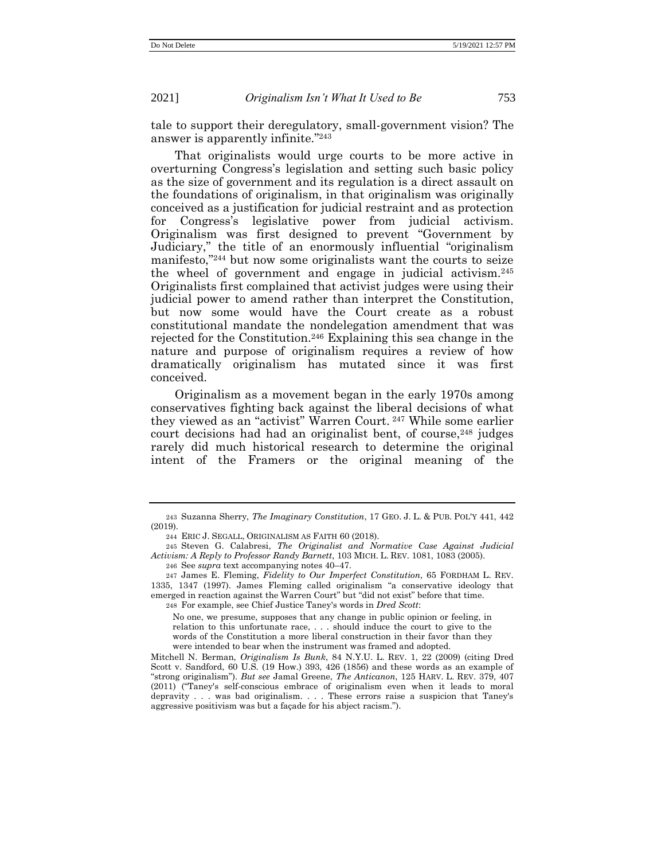tale to support their deregulatory, small-government vision? The answer is apparently infinite." 243

<span id="page-47-0"></span>That originalists would urge courts to be more active in overturning Congress's legislation and setting such basic policy as the size of government and its regulation is a direct assault on the foundations of originalism, in that originalism was originally conceived as a justification for judicial restraint and as protection for Congress's legislative power from judicial activism. Originalism was first designed to prevent "Government by Judiciary," the title of an enormously influential "originalism manifesto," <sup>244</sup> but now some originalists want the courts to seize the wheel of government and engage in judicial activism.<sup>245</sup> Originalists first complained that activist judges were using their judicial power to amend rather than interpret the Constitution, but now some would have the Court create as a robust constitutional mandate the nondelegation amendment that was rejected for the Constitution.<sup>246</sup> Explaining this sea change in the nature and purpose of originalism requires a review of how dramatically originalism has mutated since it was first conceived.

Originalism as a movement began in the early 1970s among conservatives fighting back against the liberal decisions of what they viewed as an "activist" Warren Court. <sup>247</sup> While some earlier court decisions had had an originalist bent, of course,<sup>248</sup> judges rarely did much historical research to determine the original intent of the Framers or the original meaning of the

<sup>243</sup> Suzanna Sherry, *The Imaginary Constitution*, 17 GEO. J. L. & PUB. POL'Y 441, 442 (2019).

<sup>244</sup> ERIC J. SEGALL, ORIGINALISM AS FAITH 60 (2018).

<sup>245</sup> Steven G. Calabresi, *The Originalist and Normative Case Against Judicial Activism: A Reply to Professor Randy Barnett*, 103 MICH. L. REV. 1081, 1083 (2005).

<sup>246</sup> See *supra* text accompanying notes 40–47.

<sup>247</sup> James E. Fleming, *Fidelity to Our Imperfect Constitution*, 65 FORDHAM L. REV. 1335, 1347 (1997). James Fleming called originalism "a conservative ideology that emerged in reaction against the Warren Court" but "did not exist" before that time. 248 For example, see Chief Justice Taney's words in *Dred Scott*:

No one, we presume, supposes that any change in public opinion or feeling, in relation to this unfortunate race, . . . should induce the court to give to the words of the Constitution a more liberal construction in their favor than they were intended to bear when the instrument was framed and adopted.

Mitchell N. Berman, *Originalism Is Bunk*, 84 N.Y.U. L. REV. 1, 22 (2009) (citing Dred Scott v. Sandford, 60 U.S. (19 How.) 393, 426 (1856) and these words as an example of "strong originalism"). *But see* Jamal Greene, *The Anticanon*, 125 HARV. L. REV. 379, 407 (2011) ("Taney's self-conscious embrace of originalism even when it leads to moral depravity . . . was bad originalism. . . . These errors raise a suspicion that Taney's aggressive positivism was but a façade for his abject racism.").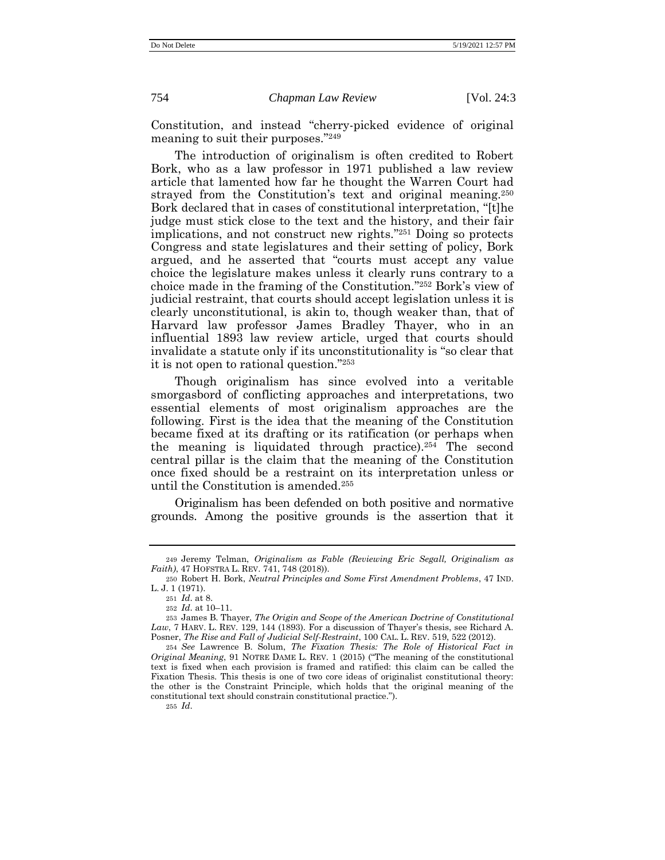Constitution, and instead "cherry-picked evidence of original meaning to suit their purposes." 249

<span id="page-48-0"></span>The introduction of originalism is often credited to Robert Bork, who as a law professor in 1971 published a law review article that lamented how far he thought the Warren Court had strayed from the Constitution's text and original meaning.<sup>250</sup> Bork declared that in cases of constitutional interpretation, "[t]he judge must stick close to the text and the history, and their fair implications, and not construct new rights." <sup>251</sup> Doing so protects Congress and state legislatures and their setting of policy, Bork argued, and he asserted that "courts must accept any value choice the legislature makes unless it clearly runs contrary to a choice made in the framing of the Constitution." <sup>252</sup> Bork's view of judicial restraint, that courts should accept legislation unless it is clearly unconstitutional, is akin to, though weaker than, that of Harvard law professor James Bradley Thayer, who in an influential 1893 law review article, urged that courts should invalidate a statute only if its unconstitutionality is "so clear that it is not open to rational question." 253

Though originalism has since evolved into a veritable smorgasbord of conflicting approaches and interpretations, two essential elements of most originalism approaches are the following. First is the idea that the meaning of the Constitution became fixed at its drafting or its ratification (or perhaps when the meaning is liquidated through practice).<sup>254</sup> The second central pillar is the claim that the meaning of the Constitution once fixed should be a restraint on its interpretation unless or until the Constitution is amended.<sup>255</sup>

Originalism has been defended on both positive and normative grounds. Among the positive grounds is the assertion that it

255 *Id*.

<sup>249</sup> Jeremy Telman, *Originalism as Fable (Reviewing Eric Segall, Originalism as Faith)*, 47 HOFSTRA L. REV. 741, 748 (2018)).

<sup>250</sup> Robert H. Bork, *Neutral Principles and Some First Amendment Problems*, 47 IND. L. J. 1 (1971).

<sup>251</sup> *Id*. at 8.

<sup>252</sup> *Id*. at 10–11.

<sup>253</sup> James B. Thayer, *The Origin and Scope of the American Doctrine of Constitutional Law*, 7 HARV. L. REV. 129, 144 (1893). For a discussion of Thayer's thesis, see Richard A. Posner, *The Rise and Fall of Judicial Self-Restraint*, 100 CAL. L. REV. 519, 522 (2012).

<sup>254</sup> *See* Lawrence B. Solum, *The Fixation Thesis: The Role of Historical Fact in Original Meaning*, 91 NOTRE DAME L. REV. 1 (2015) ("The meaning of the constitutional text is fixed when each provision is framed and ratified: this claim can be called the Fixation Thesis. This thesis is one of two core ideas of originalist constitutional theory: the other is the Constraint Principle, which holds that the original meaning of the constitutional text should constrain constitutional practice.").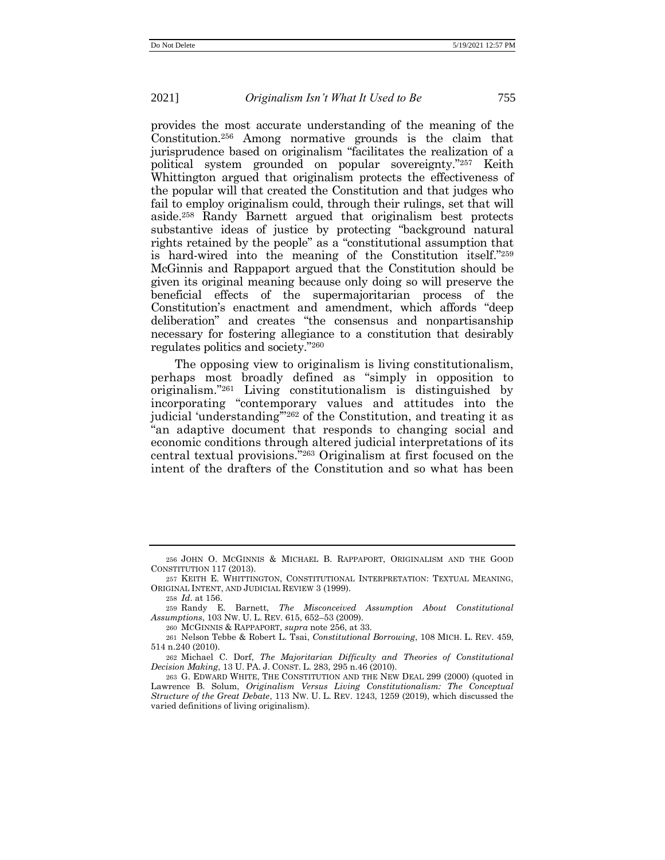<span id="page-49-0"></span>provides the most accurate understanding of the meaning of the Constitution.<sup>256</sup> Among normative grounds is the claim that jurisprudence based on originalism "facilitates the realization of a political system grounded on popular sovereignty." <sup>257</sup> Keith Whittington argued that originalism protects the effectiveness of the popular will that created the Constitution and that judges who fail to employ originalism could, through their rulings, set that will aside.<sup>258</sup> Randy Barnett argued that originalism best protects substantive ideas of justice by protecting "background natural rights retained by the people" as a "constitutional assumption that is hard-wired into the meaning of the Constitution itself." 259 McGinnis and Rappaport argued that the Constitution should be given its original meaning because only doing so will preserve the beneficial effects of the supermajoritarian process of the Constitution's enactment and amendment, which affords "deep deliberation" and creates "the consensus and nonpartisanship necessary for fostering allegiance to a constitution that desirably regulates politics and society." 260

The opposing view to originalism is living constitutionalism, perhaps most broadly defined as "simply in opposition to originalism." <sup>261</sup> Living constitutionalism is distinguished by incorporating "contemporary values and attitudes into the judicial 'understanding'" <sup>262</sup> of the Constitution, and treating it as "an adaptive document that responds to changing social and economic conditions through altered judicial interpretations of its central textual provisions." <sup>263</sup> Originalism at first focused on the intent of the drafters of the Constitution and so what has been

260 MCGINNIS & RAPPAPORT, *supra* note [256,](#page-49-0) at 33.

<sup>256</sup> JOHN O. MCGINNIS & MICHAEL B. RAPPAPORT, ORIGINALISM AND THE GOOD CONSTITUTION 117 (2013).

<sup>257</sup> KEITH E. WHITTINGTON, CONSTITUTIONAL INTERPRETATION: TEXTUAL MEANING, ORIGINAL INTENT, AND JUDICIAL REVIEW 3 (1999).

<sup>258</sup> *Id*. at 156.

<sup>259</sup> Randy E. Barnett, *The Misconceived Assumption About Constitutional Assumptions*, 103 NW. U. L. REV. 615, 652–53 (2009).

<sup>261</sup> Nelson Tebbe & Robert L. Tsai, *Constitutional Borrowing*, 108 MICH. L. REV. 459, 514 n.240 (2010).

<sup>262</sup> Michael C. Dorf, *The Majoritarian Difficulty and Theories of Constitutional Decision Making*, 13 U. PA. J. CONST. L. 283, 295 n.46 (2010).

<sup>263</sup> G. EDWARD WHITE, THE CONSTITUTION AND THE NEW DEAL 299 (2000) (quoted in Lawrence B. Solum, *Originalism Versus Living Constitutionalism: The Conceptual Structure of the Great Debate*, 113 NW. U. L. REV. 1243, 1259 (2019), which discussed the varied definitions of living originalism).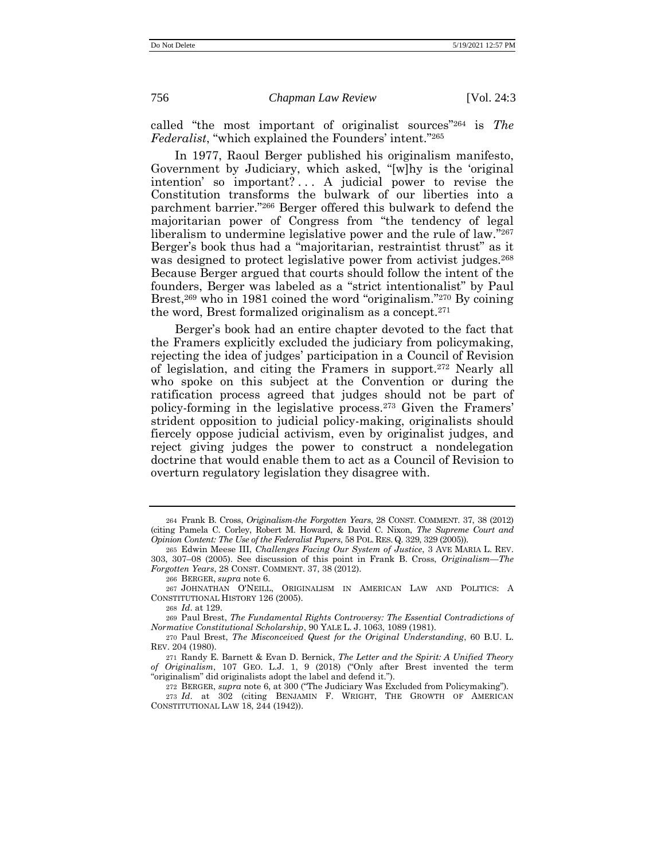called "the most important of originalist sources" <sup>264</sup> is *The Federalist*, "which explained the Founders' intent." 265

<span id="page-50-0"></span>In 1977, Raoul Berger published his originalism manifesto, Government by Judiciary, which asked, "[w]hy is the 'original intention' so important? ... A judicial power to revise the Constitution transforms the bulwark of our liberties into a parchment barrier." <sup>266</sup> Berger offered this bulwark to defend the majoritarian power of Congress from "the tendency of legal liberalism to undermine legislative power and the rule of law."267 Berger's book thus had a "majoritarian, restraintist thrust" as it was designed to protect legislative power from activist judges.<sup>268</sup> Because Berger argued that courts should follow the intent of the founders, Berger was labeled as a "strict intentionalist" by Paul Brest,<sup>269</sup> who in 1981 coined the word "originalism."<sup>270</sup> By coining the word, Brest formalized originalism as a concept.<sup>271</sup>

<span id="page-50-2"></span><span id="page-50-1"></span>Berger's book had an entire chapter devoted to the fact that the Framers explicitly excluded the judiciary from policymaking, rejecting the idea of judges' participation in a Council of Revision of legislation, and citing the Framers in support.<sup>272</sup> Nearly all who spoke on this subject at the Convention or during the ratification process agreed that judges should not be part of policy-forming in the legislative process.<sup>273</sup> Given the Framers' strident opposition to judicial policy-making, originalists should fiercely oppose judicial activism, even by originalist judges, and reject giving judges the power to construct a nondelegation doctrine that would enable them to act as a Council of Revision to overturn regulatory legislation they disagree with.

266 BERGER, *supra* not[e 6.](#page-4-0)

268 *Id*. at 129.

269 Paul Brest, *The Fundamental Rights Controversy: The Essential Contradictions of Normative Constitutional Scholarship*, 90 YALE L. J. 1063, 1089 (1981).

270 Paul Brest, *The Misconceived Quest for the Original Understanding*, 60 B.U. L. REV. 204 (1980).

271 Randy E. Barnett & Evan D. Bernick, *The Letter and the Spirit: A Unified Theory of Originalism*, 107 GEO. L.J. 1, 9 (2018) ("Only after Brest invented the term "originalism" did originalists adopt the label and defend it.").

272 BERGER, *supra* note [6](#page-4-0), at 300 ("The Judiciary Was Excluded from Policymaking").

<sup>264</sup> Frank B. Cross, *Originalism-the Forgotten Years*, 28 CONST. COMMENT. 37, 38 (2012) (citing Pamela C. Corley, Robert M. Howard, & David C. Nixon, *The Supreme Court and Opinion Content: The Use of the Federalist Papers*, 58 POL. RES. Q. 329, 329 (2005)).

<sup>265</sup> Edwin Meese III, *Challenges Facing Our System of Justice*, 3 AVE MARIA L. REV. 303, 307–08 (2005). See discussion of this point in Frank B. Cross, *Originalism—The Forgotten Years*, 28 CONST. COMMENT. 37, 38 (2012).

<sup>267</sup> JOHNATHAN O'NEILL, ORIGINALISM IN AMERICAN LAW AND POLITICS: A CONSTITUTIONAL HISTORY 126 (2005).

<sup>273</sup> *Id*. at 302 (citing BENJAMIN F. WRIGHT, THE GROWTH OF AMERICAN CONSTITUTIONAL LAW 18, 244 (1942)).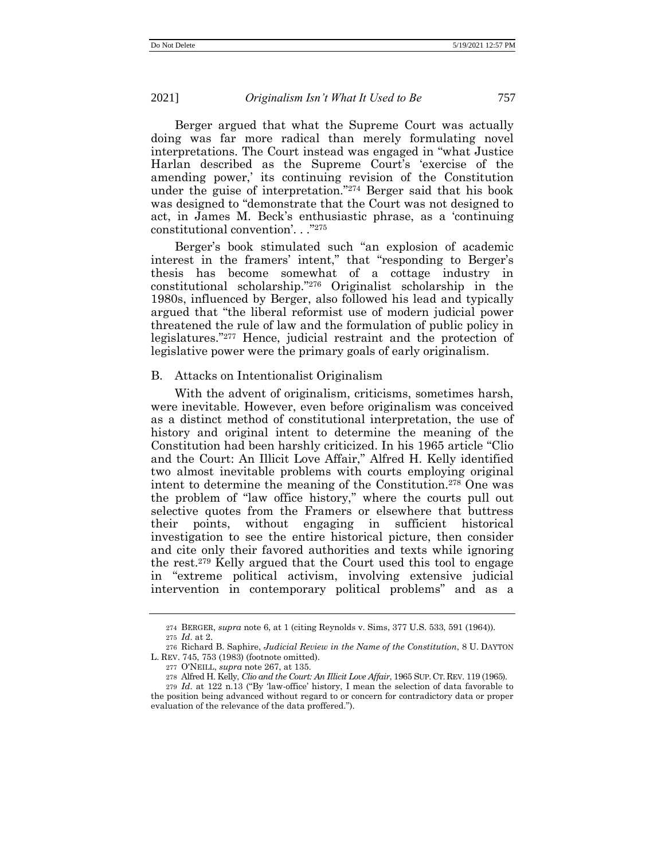Berger argued that what the Supreme Court was actually doing was far more radical than merely formulating novel interpretations. The Court instead was engaged in "what Justice Harlan described as the Supreme Court's 'exercise of the amending power,' its continuing revision of the Constitution under the guise of interpretation." <sup>274</sup> Berger said that his book was designed to "demonstrate that the Court was not designed to act, in James M. Beck's enthusiastic phrase, as a 'continuing constitutional convention'. . ." 275

Berger's book stimulated such "an explosion of academic interest in the framers' intent," that "responding to Berger's thesis has become somewhat of a cottage industry in constitutional scholarship." <sup>276</sup> Originalist scholarship in the 1980s, influenced by Berger, also followed his lead and typically argued that "the liberal reformist use of modern judicial power threatened the rule of law and the formulation of public policy in legislatures." <sup>277</sup> Hence, judicial restraint and the protection of legislative power were the primary goals of early originalism.

# B. Attacks on Intentionalist Originalism

With the advent of originalism, criticisms, sometimes harsh, were inevitable. However, even before originalism was conceived as a distinct method of constitutional interpretation, the use of history and original intent to determine the meaning of the Constitution had been harshly criticized. In his 1965 article "Clio and the Court: An Illicit Love Affair," Alfred H. Kelly identified two almost inevitable problems with courts employing original intent to determine the meaning of the Constitution.<sup>278</sup> One was the problem of "law office history," where the courts pull out selective quotes from the Framers or elsewhere that buttress their points, without engaging in sufficient historical investigation to see the entire historical picture, then consider and cite only their favored authorities and texts while ignoring the rest.<sup>279</sup> Kelly argued that the Court used this tool to engage in "extreme political activism, involving extensive judicial intervention in contemporary political problems" and as a

<sup>274</sup> BERGER, *supra* note [6,](#page-4-0) at 1 (citing Reynolds v. Sims, 377 U.S. 533, 591 (1964)).

<sup>275</sup> *Id*. at 2.

<sup>276</sup> Richard B. Saphire, *Judicial Review in the Name of the Constitution*, 8 U. DAYTON L. REV. 745, 753 (1983) (footnote omitted).

<sup>277</sup> O'NEILL, *supra* not[e 267,](#page-50-0) at 135.

<sup>278</sup> Alfred H. Kelly, *Clio and the Court: An Illicit Love Affair*, 1965 SUP. CT. REV. 119 (1965).

<sup>279</sup> *Id*. at 122 n.13 ("By 'law-office' history, I mean the selection of data favorable to the position being advanced without regard to or concern for contradictory data or proper evaluation of the relevance of the data proffered.").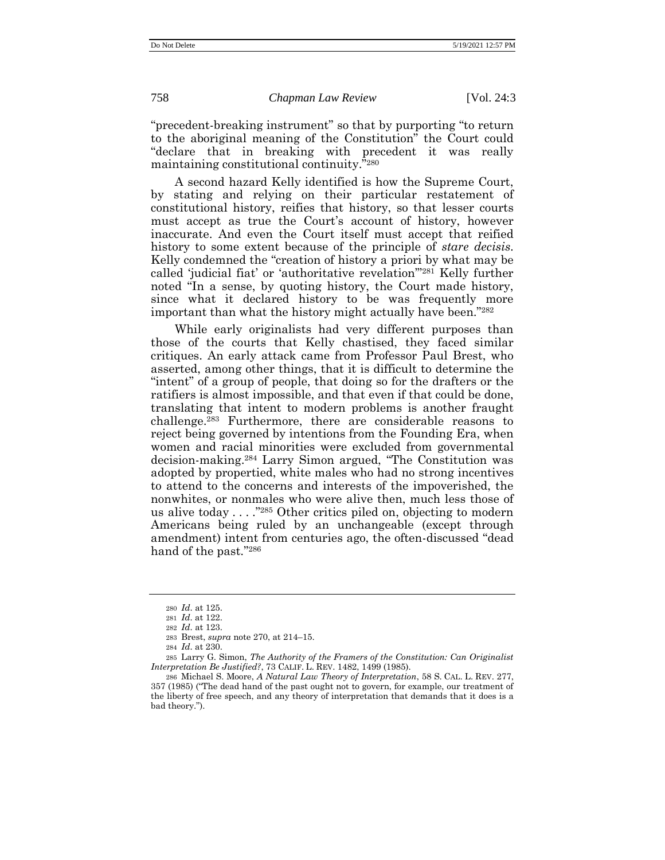"precedent-breaking instrument" so that by purporting "to return to the aboriginal meaning of the Constitution" the Court could "declare that in breaking with precedent it was really maintaining constitutional continuity." 280

A second hazard Kelly identified is how the Supreme Court, by stating and relying on their particular restatement of constitutional history, reifies that history, so that lesser courts must accept as true the Court's account of history, however inaccurate. And even the Court itself must accept that reified history to some extent because of the principle of *stare decisis*. Kelly condemned the "creation of history a priori by what may be called 'judicial fiat' or 'authoritative revelation'" <sup>281</sup> Kelly further noted "In a sense, by quoting history, the Court made history, since what it declared history to be was frequently more important than what the history might actually have been."282

While early originalists had very different purposes than those of the courts that Kelly chastised, they faced similar critiques. An early attack came from Professor Paul Brest, who asserted, among other things, that it is difficult to determine the "intent" of a group of people, that doing so for the drafters or the ratifiers is almost impossible, and that even if that could be done, translating that intent to modern problems is another fraught challenge. <sup>283</sup> Furthermore, there are considerable reasons to reject being governed by intentions from the Founding Era, when women and racial minorities were excluded from governmental decision-making. <sup>284</sup> Larry Simon argued, "The Constitution was adopted by propertied, white males who had no strong incentives to attend to the concerns and interests of the impoverished, the nonwhites, or nonmales who were alive then, much less those of us alive today . . . ." <sup>285</sup> Other critics piled on, objecting to modern Americans being ruled by an unchangeable (except through amendment) intent from centuries ago, the often-discussed "dead hand of the past."286

<sup>280</sup> *Id*. at 125.

<sup>281</sup> *Id*. at 122.

<sup>282</sup> *Id*. at 123.

<sup>283</sup> Brest, *supra* note [270,](#page-50-1) at 214–15.

<sup>284</sup> *Id*. at 230.

<sup>285</sup> Larry G. Simon, *The Authority of the Framers of the Constitution: Can Originalist Interpretation Be Justified?*, 73 CALIF. L. REV. 1482, 1499 (1985).

<sup>286</sup> Michael S. Moore, *A Natural Law Theory of Interpretation*, 58 S. CAL. L. REV. 277, 357 (1985) ("The dead hand of the past ought not to govern, for example, our treatment of the liberty of free speech, and any theory of interpretation that demands that it does is a bad theory.").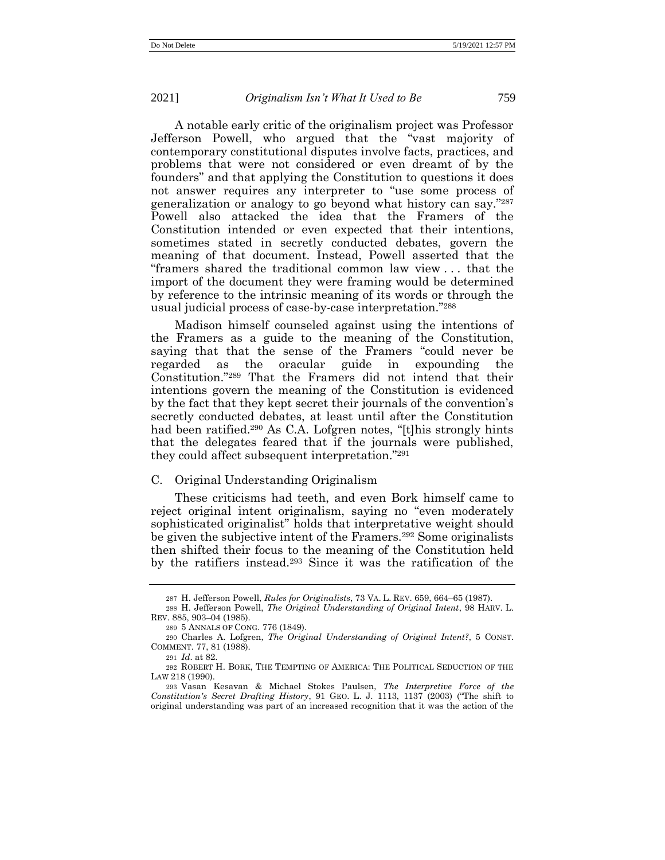A notable early critic of the originalism project was Professor Jefferson Powell, who argued that the "vast majority of contemporary constitutional disputes involve facts, practices, and problems that were not considered or even dreamt of by the founders" and that applying the Constitution to questions it does not answer requires any interpreter to "use some process of generalization or analogy to go beyond what history can say." 287 Powell also attacked the idea that the Framers of the Constitution intended or even expected that their intentions, sometimes stated in secretly conducted debates, govern the meaning of that document. Instead, Powell asserted that the "framers shared the traditional common law view . . . that the import of the document they were framing would be determined by reference to the intrinsic meaning of its words or through the usual judicial process of case-by-case interpretation." 288

Madison himself counseled against using the intentions of the Framers as a guide to the meaning of the Constitution, saying that that the sense of the Framers "could never be regarded as the oracular guide in expounding the Constitution." <sup>289</sup> That the Framers did not intend that their intentions govern the meaning of the Constitution is evidenced by the fact that they kept secret their journals of the convention's secretly conducted debates, at least until after the Constitution had been ratified.<sup>290</sup> As C.A. Lofgren notes, "[t]his strongly hints that the delegates feared that if the journals were published, they could affect subsequent interpretation." 291

### <span id="page-53-0"></span>C. Original Understanding Originalism

These criticisms had teeth, and even Bork himself came to reject original intent originalism, saying no "even moderately sophisticated originalist" holds that interpretative weight should be given the subjective intent of the Framers.<sup>292</sup> Some originalists then shifted their focus to the meaning of the Constitution held by the ratifiers instead.<sup>293</sup> Since it was the ratification of the

<span id="page-53-1"></span><sup>287</sup> H. Jefferson Powell, *Rules for Originalists*, 73 VA. L. REV. 659, 664–65 (1987).

<sup>288</sup> H. Jefferson Powell, *The Original Understanding of Original Intent*, 98 HARV. L. REV. 885, 903–04 (1985).

<sup>289</sup> 5 ANNALS OF CONG. 776 (1849).

<sup>290</sup> Charles A. Lofgren, *The Original Understanding of Original Intent?*, 5 CONST. COMMENT. 77, 81 (1988).

<sup>291</sup> *Id*. at 82.

<sup>292</sup> ROBERT H. BORK, THE TEMPTING OF AMERICA: THE POLITICAL SEDUCTION OF THE LAW 218 (1990).

<sup>293</sup> Vasan Kesavan & Michael Stokes Paulsen, *The Interpretive Force of the Constitution's Secret Drafting History*, 91 GEO. L. J. 1113, 1137 (2003) ("The shift to original understanding was part of an increased recognition that it was the action of the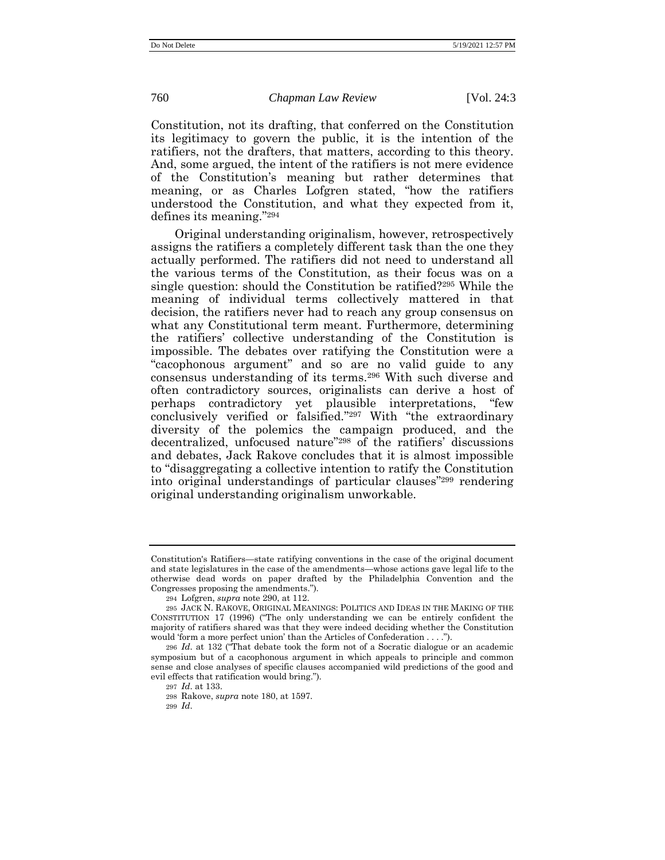Constitution, not its drafting, that conferred on the Constitution its legitimacy to govern the public, it is the intention of the ratifiers, not the drafters, that matters, according to this theory. And, some argued, the intent of the ratifiers is not mere evidence of the Constitution's meaning but rather determines that meaning, or as Charles Lofgren stated, "how the ratifiers understood the Constitution, and what they expected from it, defines its meaning." 294

Original understanding originalism, however, retrospectively assigns the ratifiers a completely different task than the one they actually performed. The ratifiers did not need to understand all the various terms of the Constitution, as their focus was on a single question: should the Constitution be ratified?<sup>295</sup> While the meaning of individual terms collectively mattered in that decision, the ratifiers never had to reach any group consensus on what any Constitutional term meant. Furthermore, determining the ratifiers' collective understanding of the Constitution is impossible. The debates over ratifying the Constitution were a "cacophonous argument" and so are no valid guide to any consensus understanding of its terms.<sup>296</sup> With such diverse and often contradictory sources, originalists can derive a host of perhaps contradictory yet plausible interpretations, "few conclusively verified or falsified." <sup>297</sup> With "the extraordinary diversity of the polemics the campaign produced, and the decentralized, unfocused nature" <sup>298</sup> of the ratifiers' discussions and debates, Jack Rakove concludes that it is almost impossible to "disaggregating a collective intention to ratify the Constitution into original understandings of particular clauses" <sup>299</sup> rendering original understanding originalism unworkable.

Constitution's Ratifiers—state ratifying conventions in the case of the original document and state legislatures in the case of the amendments—whose actions gave legal life to the otherwise dead words on paper drafted by the Philadelphia Convention and the Congresses proposing the amendments.").

<sup>294</sup> Lofgren, *supra* note [290,](#page-53-0) at 112.

<sup>295</sup> JACK N. RAKOVE, ORIGINAL MEANINGS: POLITICS AND IDEAS IN THE MAKING OF THE CONSTITUTION 17 (1996) ("The only understanding we can be entirely confident the majority of ratifiers shared was that they were indeed deciding whether the Constitution would 'form a more perfect union' than the Articles of Confederation . . . .").

<sup>296</sup> *Id*. at 132 ("That debate took the form not of a Socratic dialogue or an academic symposium but of a cacophonous argument in which appeals to principle and common sense and close analyses of specific clauses accompanied wild predictions of the good and evil effects that ratification would bring.").

<sup>297</sup> *Id*. at 133.

<sup>298</sup> Rakove, *supra* not[e 180,](#page-36-0) at 1597.

<sup>299</sup> *Id*.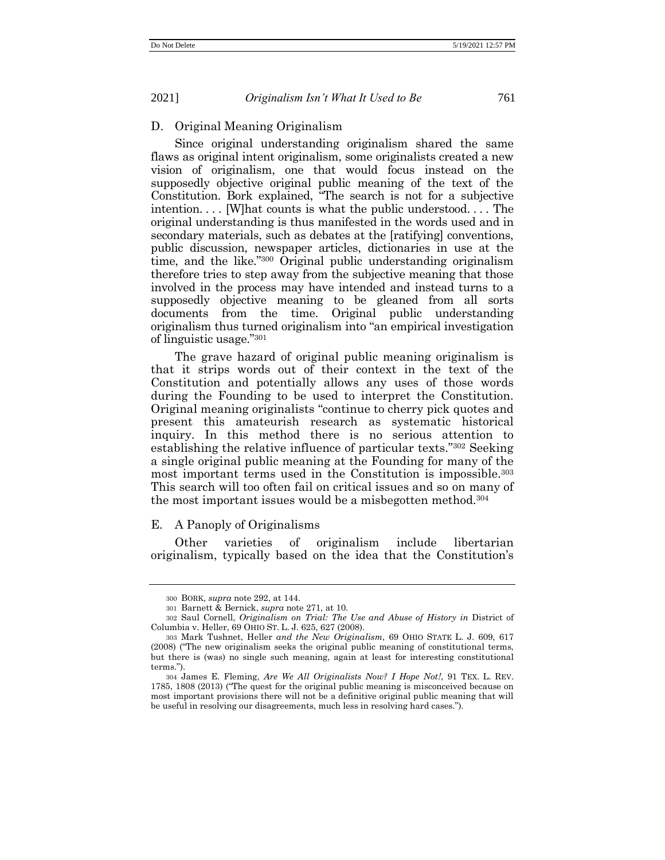# D. Original Meaning Originalism

Since original understanding originalism shared the same flaws as original intent originalism, some originalists created a new vision of originalism, one that would focus instead on the supposedly objective original public meaning of the text of the Constitution. Bork explained, "The search is not for a subjective intention. . . . [W]hat counts is what the public understood. . . . The original understanding is thus manifested in the words used and in secondary materials, such as debates at the [ratifying] conventions, public discussion, newspaper articles, dictionaries in use at the time, and the like." <sup>300</sup> Original public understanding originalism therefore tries to step away from the subjective meaning that those involved in the process may have intended and instead turns to a supposedly objective meaning to be gleaned from all sorts documents from the time. Original public understanding originalism thus turned originalism into "an empirical investigation of linguistic usage." 301

The grave hazard of original public meaning originalism is that it strips words out of their context in the text of the Constitution and potentially allows any uses of those words during the Founding to be used to interpret the Constitution. Original meaning originalists "continue to cherry pick quotes and present this amateurish research as systematic historical inquiry. In this method there is no serious attention to establishing the relative influence of particular texts." <sup>302</sup> Seeking a single original public meaning at the Founding for many of the most important terms used in the Constitution is impossible.<sup>303</sup> This search will too often fail on critical issues and so on many of the most important issues would be a misbegotten method.<sup>304</sup>

### E. A Panoply of Originalisms

Other varieties of originalism include libertarian originalism, typically based on the idea that the Constitution's

<sup>300</sup> BORK, *supra* not[e 292,](#page-53-1) at 144.

<sup>301</sup> Barnett & Bernick, *supra* note [271,](#page-50-2) at 10.

<sup>302</sup> Saul Cornell, *Originalism on Trial: The Use and Abuse of History in* District of Columbia v. Heller, 69 OHIO ST. L. J. 625, 627 (2008).

<sup>303</sup> Mark Tushnet, Heller *and the New Originalism*, 69 OHIO STATE L. J. 609, 617 (2008) ("The new originalism seeks the original public meaning of constitutional terms, but there is (was) no single such meaning, again at least for interesting constitutional terms.").

<sup>304</sup> James E. Fleming, *Are We All Originalists Now? I Hope Not!*, 91 TEX. L. REV. 1785, 1808 (2013) ("The quest for the original public meaning is misconceived because on most important provisions there will not be a definitive original public meaning that will be useful in resolving our disagreements, much less in resolving hard cases.").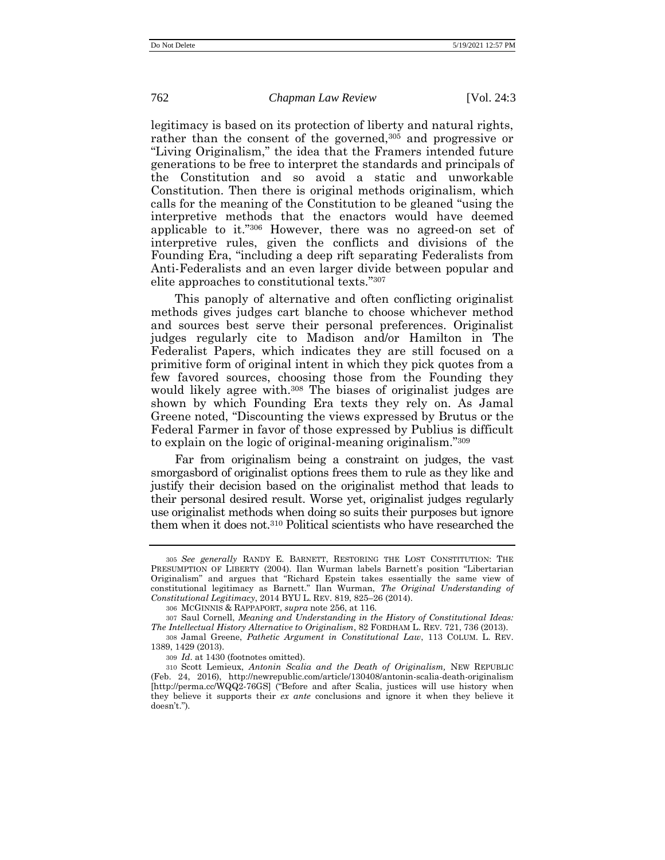<span id="page-56-0"></span>legitimacy is based on its protection of liberty and natural rights, rather than the consent of the governed,<sup>305</sup> and progressive or "Living Originalism," the idea that the Framers intended future generations to be free to interpret the standards and principals of the Constitution and so avoid a static and unworkable Constitution. Then there is original methods originalism, which calls for the meaning of the Constitution to be gleaned "using the interpretive methods that the enactors would have deemed applicable to it." <sup>306</sup> However, there was no agreed-on set of interpretive rules, given the conflicts and divisions of the Founding Era, "including a deep rift separating Federalists from Anti-Federalists and an even larger divide between popular and elite approaches to constitutional texts." 307

This panoply of alternative and often conflicting originalist methods gives judges cart blanche to choose whichever method and sources best serve their personal preferences. Originalist judges regularly cite to Madison and/or Hamilton in The Federalist Papers, which indicates they are still focused on a primitive form of original intent in which they pick quotes from a few favored sources, choosing those from the Founding they would likely agree with. <sup>308</sup> The biases of originalist judges are shown by which Founding Era texts they rely on. As Jamal Greene noted, "Discounting the views expressed by Brutus or the Federal Farmer in favor of those expressed by Publius is difficult to explain on the logic of original-meaning originalism."<sup>309</sup>

Far from originalism being a constraint on judges, the vast smorgasbord of originalist options frees them to rule as they like and justify their decision based on the originalist method that leads to their personal desired result. Worse yet, originalist judges regularly use originalist methods when doing so suits their purposes but ignore them when it does not.<sup>310</sup> Political scientists who have researched the

<sup>305</sup> *See generally* RANDY E. BARNETT, RESTORING THE LOST CONSTITUTION: THE PRESUMPTION OF LIBERTY (2004). Ilan Wurman labels Barnett's position "Libertarian Originalism" and argues that "Richard Epstein takes essentially the same view of constitutional legitimacy as Barnett." Ilan Wurman, *The Original Understanding of Constitutional Legitimacy*, 2014 BYU L. REV. 819, 825–26 (2014).

<sup>306</sup> MCGINNIS & RAPPAPORT, *supra* note [256,](#page-49-0) at 116.

<sup>307</sup> Saul Cornell, *Meaning and Understanding in the History of Constitutional Ideas: The Intellectual History Alternative to Originalism*, 82 FORDHAM L. REV. 721, 736 (2013).

<sup>308</sup> Jamal Greene, *Pathetic Argument in Constitutional Law*, 113 COLUM. L. REV. 1389, 1429 (2013).

<sup>309</sup> *Id*. at 1430 (footnotes omitted).

<sup>310</sup> Scott Lemieux, *Antonin Scalia and the Death of Originalism,* NEW REPUBLIC (Feb. 24, 2016), http://newrepublic.com/article/130408/antonin-scalia-death-originalism [\[http://perma.cc/WQQ2-76GS](http://perma.cc/WQQ2-76GS)] ("Before and after Scalia, justices will use history when they believe it supports their *ex ante* conclusions and ignore it when they believe it doesn't.").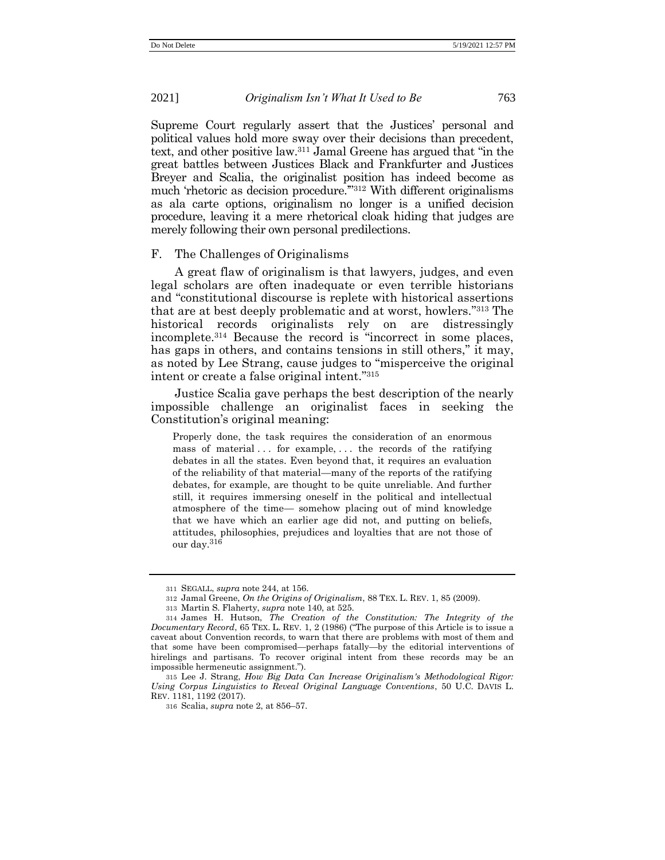Supreme Court regularly assert that the Justices' personal and political values hold more sway over their decisions than precedent, text, and other positive law.<sup>311</sup> Jamal Greene has argued that "in the great battles between Justices Black and Frankfurter and Justices Breyer and Scalia, the originalist position has indeed become as much 'rhetoric as decision procedure.'" <sup>312</sup> With different originalisms as ala carte options, originalism no longer is a unified decision procedure, leaving it a mere rhetorical cloak hiding that judges are merely following their own personal predilections.

#### F. The Challenges of Originalisms

A great flaw of originalism is that lawyers, judges, and even legal scholars are often inadequate or even terrible historians and "constitutional discourse is replete with historical assertions that are at best deeply problematic and at worst, howlers." <sup>313</sup> The historical records originalists rely on are distressingly incomplete.<sup>314</sup> Because the record is "incorrect in some places, has gaps in others, and contains tensions in still others," it may, as noted by Lee Strang, cause judges to "misperceive the original intent or create a false original intent." 315

Justice Scalia gave perhaps the best description of the nearly impossible challenge an originalist faces in seeking the Constitution's original meaning:

Properly done, the task requires the consideration of an enormous mass of material  $\ldots$  for example,  $\ldots$  the records of the ratifying debates in all the states. Even beyond that, it requires an evaluation of the reliability of that material—many of the reports of the ratifying debates, for example, are thought to be quite unreliable. And further still, it requires immersing oneself in the political and intellectual atmosphere of the time— somehow placing out of mind knowledge that we have which an earlier age did not, and putting on beliefs, attitudes, philosophies, prejudices and loyalties that are not those of our day.<sup>316</sup>

<sup>311</sup> SEGALL, *supra* not[e 244,](#page-47-0) at 156.

<sup>312</sup> Jamal Greene, *On the Origins of Originalism*, 88 TEX. L. REV. 1, 85 (2009).

<sup>313</sup> Martin S. Flaherty, *supra* note [140,](#page-30-1) at 525.

<sup>314</sup> James H. Hutson, *The Creation of the Constitution: The Integrity of the Documentary Record*, 65 TEX. L. REV. 1, 2 (1986) ("The purpose of this Article is to issue a caveat about Convention records, to warn that there are problems with most of them and that some have been compromised—perhaps fatally—by the editorial interventions of hirelings and partisans. To recover original intent from these records may be an impossible hermeneutic assignment.").

<sup>315</sup> Lee J. Strang, *How Big Data Can Increase Originalism's Methodological Rigor: Using Corpus Linguistics to Reveal Original Language Conventions*, 50 U.C. DAVIS L. REV. 1181, 1192 (2017).

<sup>316</sup> Scalia, *supra* not[e 2,](#page-1-0) at 856–57.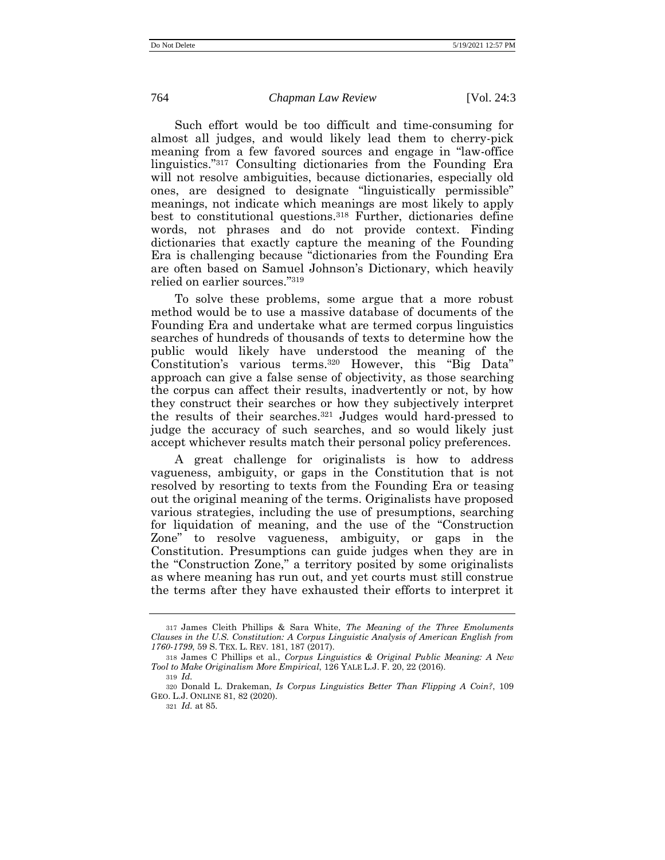Such effort would be too difficult and time-consuming for almost all judges, and would likely lead them to cherry-pick meaning from a few favored sources and engage in "law-office linguistics." <sup>317</sup> Consulting dictionaries from the Founding Era will not resolve ambiguities, because dictionaries, especially old ones, are designed to designate "linguistically permissible" meanings, not indicate which meanings are most likely to apply best to constitutional questions.<sup>318</sup> Further, dictionaries define words, not phrases and do not provide context. Finding dictionaries that exactly capture the meaning of the Founding Era is challenging because "dictionaries from the Founding Era are often based on Samuel Johnson's Dictionary, which heavily relied on earlier sources." 319

To solve these problems, some argue that a more robust method would be to use a massive database of documents of the Founding Era and undertake what are termed corpus linguistics searches of hundreds of thousands of texts to determine how the public would likely have understood the meaning of the Constitution's various terms.<sup>320</sup> However, this "Big Data" approach can give a false sense of objectivity, as those searching the corpus can affect their results, inadvertently or not, by how they construct their searches or how they subjectively interpret the results of their searches.<sup>321</sup> Judges would hard-pressed to judge the accuracy of such searches, and so would likely just accept whichever results match their personal policy preferences.

A great challenge for originalists is how to address vagueness, ambiguity, or gaps in the Constitution that is not resolved by resorting to texts from the Founding Era or teasing out the original meaning of the terms. Originalists have proposed various strategies, including the use of presumptions, searching for liquidation of meaning, and the use of the "Construction Zone" to resolve vagueness, ambiguity, or gaps in the Constitution. Presumptions can guide judges when they are in the "Construction Zone," a territory posited by some originalists as where meaning has run out, and yet courts must still construe the terms after they have exhausted their efforts to interpret it

<sup>317</sup> James Cleith Phillips & Sara White, *The Meaning of the Three Emoluments Clauses in the U.S. Constitution: A Corpus Linguistic Analysis of American English from 1760-1799*, 59 S. TEX. L. REV. 181, 187 (2017).

<sup>318</sup> James C Phillips et al., *Corpus Linguistics & Original Public Meaning: A New Tool to Make Originalism More Empirical*, 126 YALE L.J. F. 20, 22 (2016).

<sup>319</sup> *Id.*

<sup>320</sup> Donald L. Drakeman, *Is Corpus Linguistics Better Than Flipping A Coin?*, 109 GEO. L.J. ONLINE 81, 82 (2020).

<sup>321</sup> *Id.* at 85.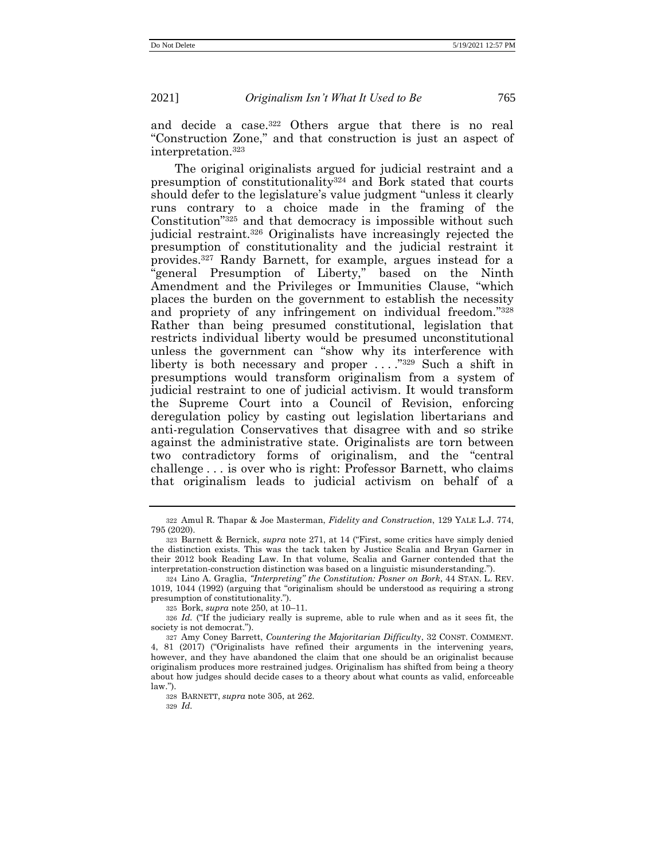and decide a case.<sup>322</sup> Others argue that there is no real "Construction Zone," and that construction is just an aspect of interpretation.<sup>323</sup>

<span id="page-59-0"></span>The original originalists argued for judicial restraint and a presumption of constitutionality<sup>324</sup> and Bork stated that courts should defer to the legislature's value judgment "unless it clearly runs contrary to a choice made in the framing of the Constitution" <sup>325</sup> and that democracy is impossible without such judicial restraint.<sup>326</sup> Originalists have increasingly rejected the presumption of constitutionality and the judicial restraint it provides.<sup>327</sup> Randy Barnett, for example, argues instead for a "general Presumption of Liberty," based on the Ninth Amendment and the Privileges or Immunities Clause, "which places the burden on the government to establish the necessity and propriety of any infringement on individual freedom." 328 Rather than being presumed constitutional, legislation that restricts individual liberty would be presumed unconstitutional unless the government can "show why its interference with liberty is both necessary and proper ...."<sup>329</sup> Such a shift in presumptions would transform originalism from a system of judicial restraint to one of judicial activism. It would transform the Supreme Court into a Council of Revision, enforcing deregulation policy by casting out legislation libertarians and anti-regulation Conservatives that disagree with and so strike against the administrative state. Originalists are torn between two contradictory forms of originalism, and the "central challenge . . . is over who is right: Professor Barnett, who claims that originalism leads to judicial activism on behalf of a

329 *Id.*

<sup>322</sup> Amul R. Thapar & Joe Masterman, *Fidelity and Construction*, 129 YALE L.J. 774, 795 (2020).

<sup>323</sup> Barnett & Bernick, *supra* note [271,](#page-50-2) at 14 ("First, some critics have simply denied the distinction exists. This was the tack taken by Justice Scalia and Bryan Garner in their 2012 book Reading Law. In that volume, Scalia and Garner contended that the interpretation-construction distinction was based on a linguistic misunderstanding.").

<sup>324</sup> Lino A. Graglia, *''Interpreting" the Constitution: Posner on Bork*, 44 STAN. L. REV. 1019, 1044 (1992) (arguing that "originalism should be understood as requiring a strong presumption of constitutionality.").

<sup>325</sup> Bork, *supra* note [250,](#page-48-0) at 10–11.

<sup>326</sup> *Id.* ("If the judiciary really is supreme, able to rule when and as it sees fit, the society is not democrat.").

<sup>327</sup> Amy Coney Barrett, *Countering the Majoritarian Difficulty*, 32 CONST. COMMENT. 4, 81 (2017) ("Originalists have refined their arguments in the intervening years, however, and they have abandoned the claim that one should be an originalist because originalism produces more restrained judges. Originalism has shifted from being a theory about how judges should decide cases to a theory about what counts as valid, enforceable law.").

<sup>328</sup> BARNETT, *supra* not[e 305,](#page-56-0) at 262.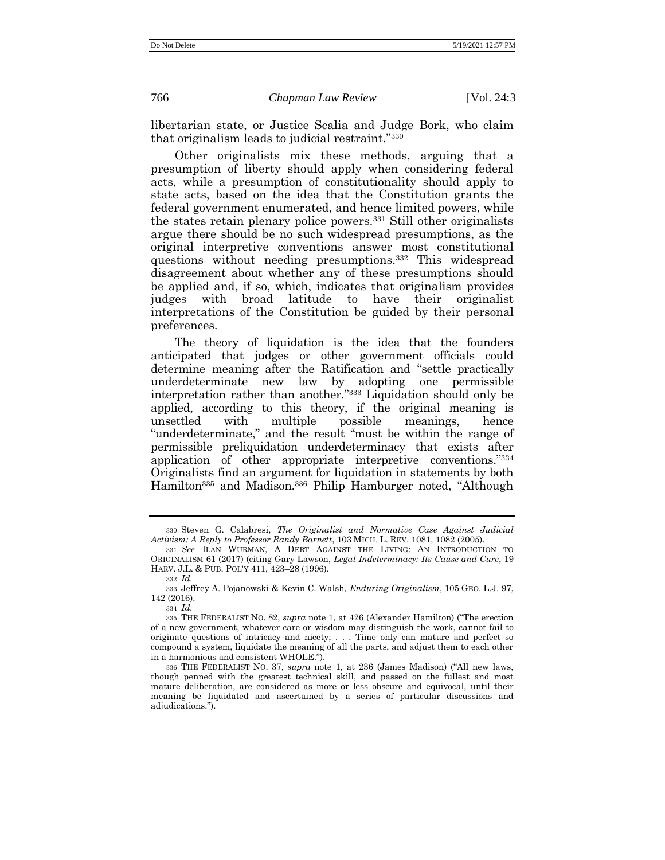libertarian state, or Justice Scalia and Judge Bork, who claim that originalism leads to judicial restraint." 330

Other originalists mix these methods, arguing that a presumption of liberty should apply when considering federal acts, while a presumption of constitutionality should apply to state acts, based on the idea that the Constitution grants the federal government enumerated, and hence limited powers, while the states retain plenary police powers.<sup>331</sup> Still other originalists argue there should be no such widespread presumptions, as the original interpretive conventions answer most constitutional questions without needing presumptions.<sup>332</sup> This widespread disagreement about whether any of these presumptions should be applied and, if so, which, indicates that originalism provides judges with broad latitude to have their originalist interpretations of the Constitution be guided by their personal preferences.

The theory of liquidation is the idea that the founders anticipated that judges or other government officials could determine meaning after the Ratification and "settle practically underdeterminate new law by adopting one permissible interpretation rather than another." <sup>333</sup> Liquidation should only be applied, according to this theory, if the original meaning is unsettled with multiple possible meanings, hence "underdeterminate," and the result "must be within the range of permissible preliquidation underdeterminacy that exists after application of other appropriate interpretive conventions." 334 Originalists find an argument for liquidation in statements by both Hamilton<sup>335</sup> and Madison.<sup>336</sup> Philip Hamburger noted, "Although

334 *Id.*

<sup>330</sup> Steven G. Calabresi, *The Originalist and Normative Case Against Judicial Activism: A Reply to Professor Randy Barnett*, 103 MICH. L. REV. 1081, 1082 (2005).

<sup>331</sup> *See* ILAN WURMAN, A DEBT AGAINST THE LIVING: AN INTRODUCTION TO ORIGINALISM 61 (2017) (citing Gary Lawson, *Legal Indeterminacy: Its Cause and Cure*, 19 HARV. J.L. & PUB. POL'Y 411, 423–28 (1996).

<sup>332</sup> *Id.*

<sup>333</sup> Jeffrey A. Pojanowski & Kevin C. Walsh, *Enduring Originalism*, 105 GEO. L.J. 97, 142 (2016).

<sup>335</sup> THE FEDERALIST NO. 82, *supra* not[e 1,](#page-1-1) at 426 (Alexander Hamilton) ("The erection of a new government, whatever care or wisdom may distinguish the work, cannot fail to originate questions of intricacy and nicety; . . . Time only can mature and perfect so compound a system, liquidate the meaning of all the parts, and adjust them to each other in a harmonious and consistent WHOLE.").

<sup>336</sup> THE FEDERALIST NO. 37, *supra* note [1,](#page-1-1) at 236 (James Madison) ("All new laws, though penned with the greatest technical skill, and passed on the fullest and most mature deliberation, are considered as more or less obscure and equivocal, until their meaning be liquidated and ascertained by a series of particular discussions and adjudications.").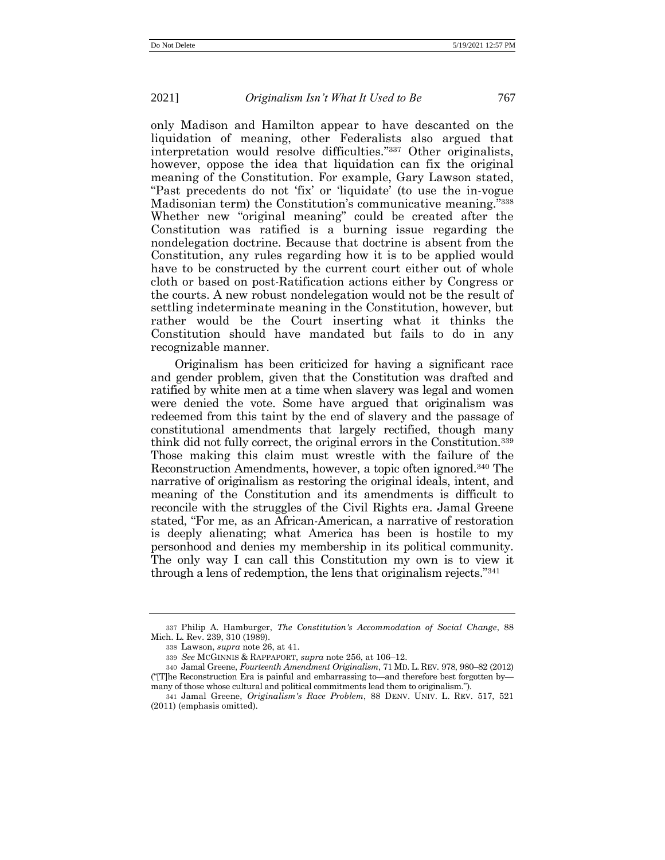only Madison and Hamilton appear to have descanted on the liquidation of meaning, other Federalists also argued that interpretation would resolve difficulties." <sup>337</sup> Other originalists, however, oppose the idea that liquidation can fix the original meaning of the Constitution. For example, Gary Lawson stated, "Past precedents do not 'fix' or 'liquidate' (to use the in-vogue Madisonian term) the Constitution's communicative meaning." 338 Whether new "original meaning" could be created after the Constitution was ratified is a burning issue regarding the nondelegation doctrine. Because that doctrine is absent from the Constitution, any rules regarding how it is to be applied would have to be constructed by the current court either out of whole cloth or based on post-Ratification actions either by Congress or the courts. A new robust nondelegation would not be the result of settling indeterminate meaning in the Constitution, however, but rather would be the Court inserting what it thinks the Constitution should have mandated but fails to do in any recognizable manner.

Originalism has been criticized for having a significant race and gender problem, given that the Constitution was drafted and ratified by white men at a time when slavery was legal and women were denied the vote. Some have argued that originalism was redeemed from this taint by the end of slavery and the passage of constitutional amendments that largely rectified, though many think did not fully correct, the original errors in the Constitution.<sup>339</sup> Those making this claim must wrestle with the failure of the Reconstruction Amendments, however, a topic often ignored.<sup>340</sup> The narrative of originalism as restoring the original ideals, intent, and meaning of the Constitution and its amendments is difficult to reconcile with the struggles of the Civil Rights era. Jamal Greene stated, "For me, as an African-American, a narrative of restoration is deeply alienating; what America has been is hostile to my personhood and denies my membership in its political community. The only way I can call this Constitution my own is to view it through a lens of redemption, the lens that originalism rejects." 341

<sup>337</sup> Philip A. Hamburger, *The Constitution's Accommodation of Social Change*, 88 Mich. L. Rev. 239, 310 (1989).

<sup>338</sup> Lawson, *supra* not[e 26,](#page-9-0) at 41.

<sup>339</sup> *See* MCGINNIS & RAPPAPORT, *supra* not[e 256,](#page-49-0) at 106–12.

<sup>340</sup> Jamal Greene, *Fourteenth Amendment Originalism*, 71 MD. L. REV. 978, 980–82 (2012) ("[T]he Reconstruction Era is painful and embarrassing to—and therefore best forgotten by many of those whose cultural and political commitments lead them to originalism.").

<sup>341</sup> Jamal Greene, *Originalism's Race Problem*, 88 DENV. UNIV. L. REV. 517, 521 (2011) (emphasis omitted).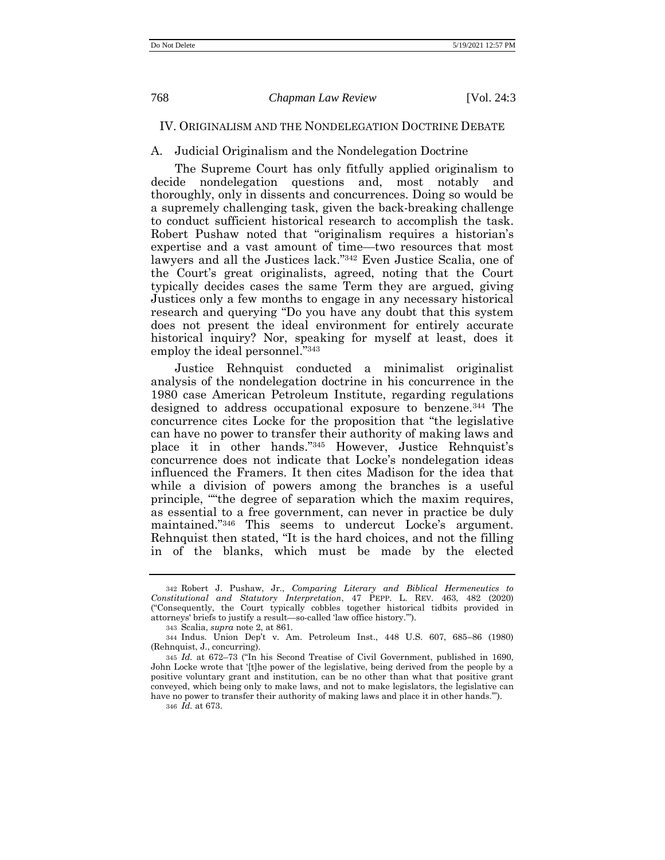# IV. ORIGINALISM AND THE NONDELEGATION DOCTRINE DEBATE

# A. Judicial Originalism and the Nondelegation Doctrine

The Supreme Court has only fitfully applied originalism to decide nondelegation questions and, most notably and thoroughly, only in dissents and concurrences. Doing so would be a supremely challenging task, given the back-breaking challenge to conduct sufficient historical research to accomplish the task. Robert Pushaw noted that "originalism requires a historian's expertise and a vast amount of time—two resources that most lawyers and all the Justices lack." <sup>342</sup> Even Justice Scalia, one of the Court's great originalists, agreed, noting that the Court typically decides cases the same Term they are argued, giving Justices only a few months to engage in any necessary historical research and querying "Do you have any doubt that this system does not present the ideal environment for entirely accurate historical inquiry? Nor, speaking for myself at least, does it employ the ideal personnel." 343

Justice Rehnquist conducted a minimalist originalist analysis of the nondelegation doctrine in his concurrence in the 1980 case American Petroleum Institute, regarding regulations designed to address occupational exposure to benzene.<sup>344</sup> The concurrence cites Locke for the proposition that "the legislative can have no power to transfer their authority of making laws and place it in other hands." <sup>345</sup> However, Justice Rehnquist's concurrence does not indicate that Locke's nondelegation ideas influenced the Framers. It then cites Madison for the idea that while a division of powers among the branches is a useful principle, ""the degree of separation which the maxim requires, as essential to a free government, can never in practice be duly maintained." <sup>346</sup> This seems to undercut Locke's argument. Rehnquist then stated, "It is the hard choices, and not the filling in of the blanks, which must be made by the elected

346 *Id.* at 673.

<sup>342</sup> Robert J. Pushaw, Jr., *Comparing Literary and Biblical Hermeneutics to Constitutional and Statutory Interpretation*, 47 PEPP. L. REV. 463, 482 (2020) ("Consequently, the Court typically cobbles together historical tidbits provided in attorneys' briefs to justify a result—so-called 'law office history.'").

<sup>343</sup> Scalia, *supra* not[e 2,](#page-1-0) at 861.

<sup>344</sup> Indus. Union Dep't v. Am. Petroleum Inst., 448 U.S. 607, 685–86 (1980) (Rehnquist, J., concurring).

<sup>345</sup> *Id.* at 672–73 ("In his Second Treatise of Civil Government, published in 1690, John Locke wrote that '[t]he power of the legislative, being derived from the people by a positive voluntary grant and institution, can be no other than what that positive grant conveyed, which being only to make laws, and not to make legislators, the legislative can have no power to transfer their authority of making laws and place it in other hands.'").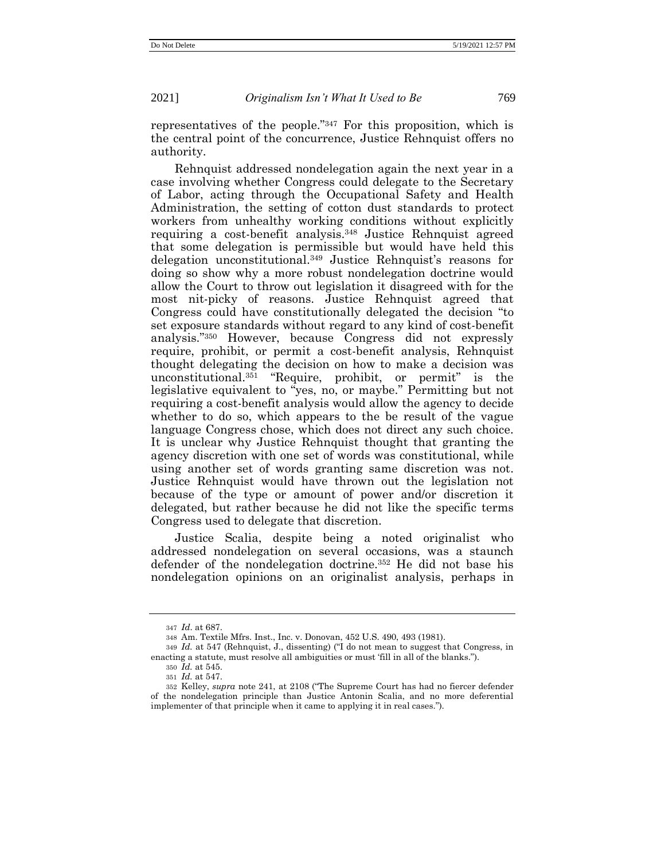representatives of the people." <sup>347</sup> For this proposition, which is the central point of the concurrence, Justice Rehnquist offers no authority.

Rehnquist addressed nondelegation again the next year in a case involving whether Congress could delegate to the Secretary of Labor, acting through the Occupational Safety and Health Administration, the setting of cotton dust standards to protect workers from unhealthy working conditions without explicitly requiring a cost-benefit analysis.<sup>348</sup> Justice Rehnquist agreed that some delegation is permissible but would have held this delegation unconstitutional.<sup>349</sup> Justice Rehnquist's reasons for doing so show why a more robust nondelegation doctrine would allow the Court to throw out legislation it disagreed with for the most nit-picky of reasons. Justice Rehnquist agreed that Congress could have constitutionally delegated the decision "to set exposure standards without regard to any kind of cost-benefit analysis." <sup>350</sup> However, because Congress did not expressly require, prohibit, or permit a cost-benefit analysis, Rehnquist thought delegating the decision on how to make a decision was unconstitutional.<sup>351</sup> "Require, prohibit, or permit" is the legislative equivalent to "yes, no, or maybe." Permitting but not requiring a cost-benefit analysis would allow the agency to decide whether to do so, which appears to the be result of the vague language Congress chose, which does not direct any such choice. It is unclear why Justice Rehnquist thought that granting the agency discretion with one set of words was constitutional, while using another set of words granting same discretion was not. Justice Rehnquist would have thrown out the legislation not because of the type or amount of power and/or discretion it delegated, but rather because he did not like the specific terms Congress used to delegate that discretion.

Justice Scalia, despite being a noted originalist who addressed nondelegation on several occasions, was a staunch defender of the nondelegation doctrine.<sup>352</sup> He did not base his nondelegation opinions on an originalist analysis, perhaps in

<sup>347</sup> *Id*. at 687.

<sup>348</sup> Am. Textile Mfrs. Inst., Inc. v. Donovan, 452 U.S. 490, 493 (1981).

<sup>349</sup> *Id.* at 547 (Rehnquist, J., dissenting) ("I do not mean to suggest that Congress, in enacting a statute, must resolve all ambiguities or must 'fill in all of the blanks.").

<sup>350</sup> *Id.* at 545.

<sup>351</sup> *Id.* at 547.

<sup>352</sup> Kelley, *supra* note [241,](#page-46-0) at 2108 ("The Supreme Court has had no fiercer defender of the nondelegation principle than Justice Antonin Scalia, and no more deferential implementer of that principle when it came to applying it in real cases.").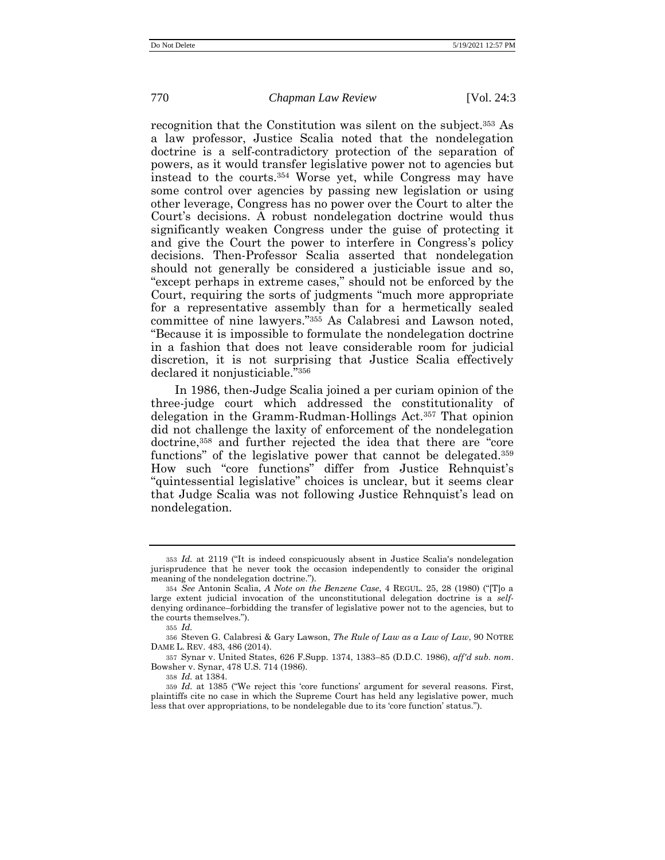recognition that the Constitution was silent on the subject.<sup>353</sup> As a law professor, Justice Scalia noted that the nondelegation doctrine is a self-contradictory protection of the separation of powers, as it would transfer legislative power not to agencies but instead to the courts.<sup>354</sup> Worse yet, while Congress may have some control over agencies by passing new legislation or using other leverage, Congress has no power over the Court to alter the Court's decisions. A robust nondelegation doctrine would thus significantly weaken Congress under the guise of protecting it and give the Court the power to interfere in Congress's policy decisions. Then-Professor Scalia asserted that nondelegation should not generally be considered a justiciable issue and so, "except perhaps in extreme cases," should not be enforced by the Court, requiring the sorts of judgments "much more appropriate for a representative assembly than for a hermetically sealed committee of nine lawyers." <sup>355</sup> As Calabresi and Lawson noted, "Because it is impossible to formulate the nondelegation doctrine in a fashion that does not leave considerable room for judicial discretion, it is not surprising that Justice Scalia effectively declared it nonjusticiable." 356

In 1986, then-Judge Scalia joined a per curiam opinion of the three-judge court which addressed the constitutionality of delegation in the Gramm-Rudman-Hollings Act.<sup>357</sup> That opinion did not challenge the laxity of enforcement of the nondelegation doctrine,<sup>358</sup> and further rejected the idea that there are "core functions" of the legislative power that cannot be delegated.<sup>359</sup> How such "core functions" differ from Justice Rehnquist's "quintessential legislative" choices is unclear, but it seems clear that Judge Scalia was not following Justice Rehnquist's lead on nondelegation.

357 Synar v. United States, 626 F.Supp. 1374, 1383–85 (D.D.C. 1986), *aff'd sub. nom*. Bowsher v. Synar, 478 U.S. 714 (1986).

358 *Id.* at 1384.

<sup>353</sup> *Id.* at 2119 ("It is indeed conspicuously absent in Justice Scalia's nondelegation jurisprudence that he never took the occasion independently to consider the original meaning of the nondelegation doctrine.").

<sup>354</sup> *See* Antonin Scalia, *A Note on the Benzene Case*, 4 REGUL. 25, 28 (1980) ("[T]o a large extent judicial invocation of the unconstitutional delegation doctrine is a *self*denying ordinance–forbidding the transfer of legislative power not to the agencies, but to the courts themselves.").

<sup>355</sup> *Id.*

<sup>356</sup> Steven G. Calabresi & Gary Lawson, *The Rule of Law as a Law of Law*, 90 NOTRE DAME L. REV. 483, 486 (2014).

<sup>359</sup> *Id.* at 1385 ("We reject this 'core functions' argument for several reasons. First, plaintiffs cite no case in which the Supreme Court has held any legislative power, much less that over appropriations, to be nondelegable due to its 'core function' status.").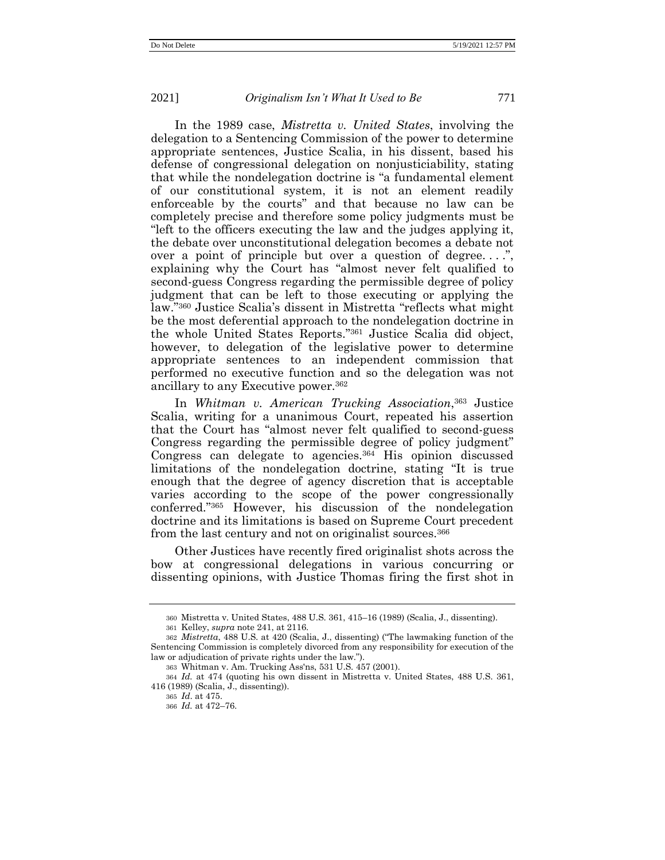In the 1989 case, *Mistretta v. United States*, involving the delegation to a Sentencing Commission of the power to determine appropriate sentences, Justice Scalia, in his dissent, based his defense of congressional delegation on nonjusticiability, stating that while the nondelegation doctrine is "a fundamental element of our constitutional system, it is not an element readily enforceable by the courts" and that because no law can be completely precise and therefore some policy judgments must be "left to the officers executing the law and the judges applying it, the debate over unconstitutional delegation becomes a debate not over a point of principle but over a question of degree....", explaining why the Court has "almost never felt qualified to second-guess Congress regarding the permissible degree of policy judgment that can be left to those executing or applying the law." <sup>360</sup> Justice Scalia's dissent in Mistretta "reflects what might be the most deferential approach to the nondelegation doctrine in the whole United States Reports." <sup>361</sup> Justice Scalia did object, however, to delegation of the legislative power to determine appropriate sentences to an independent commission that performed no executive function and so the delegation was not ancillary to any Executive power.<sup>362</sup>

In *Whitman v. American Trucking Association*, <sup>363</sup> Justice Scalia, writing for a unanimous Court, repeated his assertion that the Court has "almost never felt qualified to second-guess Congress regarding the permissible degree of policy judgment" Congress can delegate to agencies.<sup>364</sup> His opinion discussed limitations of the nondelegation doctrine, stating "It is true enough that the degree of agency discretion that is acceptable varies according to the scope of the power congressionally conferred." <sup>365</sup> However, his discussion of the nondelegation doctrine and its limitations is based on Supreme Court precedent from the last century and not on originalist sources.<sup>366</sup>

Other Justices have recently fired originalist shots across the bow at congressional delegations in various concurring or dissenting opinions, with Justice Thomas firing the first shot in

<sup>360</sup> Mistretta v. United States, 488 U.S. 361, 415–16 (1989) (Scalia, J., dissenting). 361 Kelley, *supra* note [241,](#page-46-0) at 2116.

<sup>362</sup> *Mistretta*, 488 U.S. at 420 (Scalia, J., dissenting) ("The lawmaking function of the Sentencing Commission is completely divorced from any responsibility for execution of the law or adjudication of private rights under the law.").

<sup>363</sup> Whitman v. Am. Trucking Ass'ns, 531 U.S. 457 (2001).

<sup>364</sup> *Id.* at 474 (quoting his own dissent in Mistretta v. United States, 488 U.S. 361, 416 (1989) (Scalia, J., dissenting)).

<sup>365</sup> *Id*. at 475.

<sup>366</sup> *Id.* at 472–76.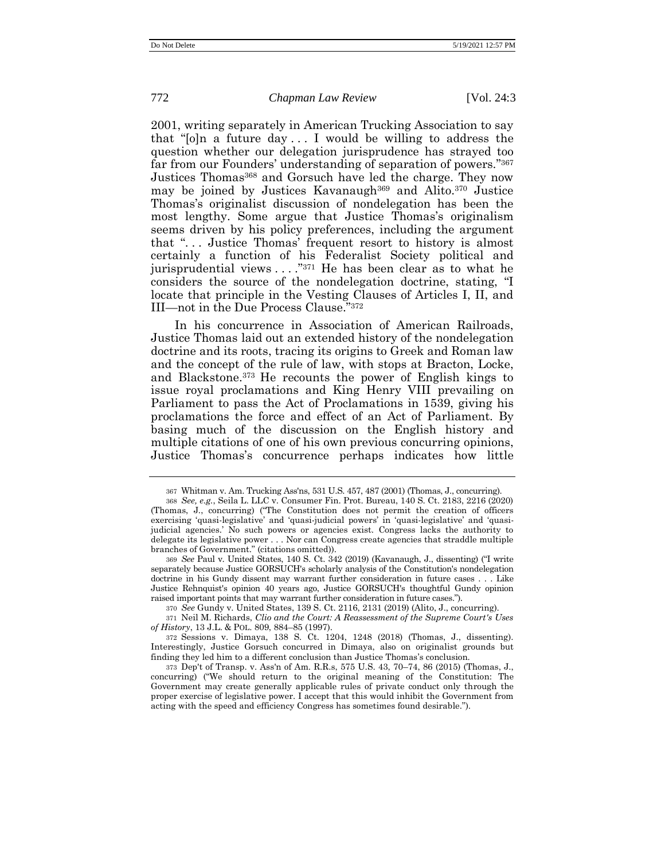2001, writing separately in American Trucking Association to say that " $[0]$ n a future day ... I would be willing to address the question whether our delegation jurisprudence has strayed too far from our Founders' understanding of separation of powers." 367 Justices Thomas<sup>368</sup> and Gorsuch have led the charge. They now may be joined by Justices Kavanaugh<sup>369</sup> and Alito.<sup>370</sup> Justice Thomas's originalist discussion of nondelegation has been the most lengthy. Some argue that Justice Thomas's originalism seems driven by his policy preferences, including the argument that ". . . Justice Thomas' frequent resort to history is almost certainly a function of his Federalist Society political and jurisprudential views . . . ." <sup>371</sup> He has been clear as to what he considers the source of the nondelegation doctrine, stating, "I locate that principle in the Vesting Clauses of Articles I, II, and III—not in the Due Process Clause." 372

In his concurrence in Association of American Railroads, Justice Thomas laid out an extended history of the nondelegation doctrine and its roots, tracing its origins to Greek and Roman law and the concept of the rule of law, with stops at Bracton, Locke, and Blackstone.<sup>373</sup> He recounts the power of English kings to issue royal proclamations and King Henry VIII prevailing on Parliament to pass the Act of Proclamations in 1539, giving his proclamations the force and effect of an Act of Parliament. By basing much of the discussion on the English history and multiple citations of one of his own previous concurring opinions, Justice Thomas's concurrence perhaps indicates how little

370 *See* Gundy v. United States, 139 S. Ct. 2116, 2131 (2019) (Alito, J., concurring).

371 Neil M. Richards, *Clio and the Court: A Reassessment of the Supreme Court's Uses of History*, 13 J.L. & POL. 809, 884–85 (1997).

372 Sessions v. Dimaya, 138 S. Ct. 1204, 1248 (2018) (Thomas, J., dissenting). Interestingly, Justice Gorsuch concurred in Dimaya, also on originalist grounds but finding they led him to a different conclusion than Justice Thomas's conclusion.

<sup>367</sup> Whitman v. Am. Trucking Ass'ns, 531 U.S. 457, 487 (2001) (Thomas, J., concurring).

<sup>368</sup> *See, e.g.*, Seila L. LLC v. Consumer Fin. Prot. Bureau, 140 S. Ct. 2183, 2216 (2020) (Thomas, J., concurring) ("The Constitution does not permit the creation of officers exercising 'quasi-legislative' and 'quasi-judicial powers' in 'quasi-legislative' and 'quasijudicial agencies.' No such powers or agencies exist. Congress lacks the authority to delegate its legislative power . . . Nor can Congress create agencies that straddle multiple branches of Government." (citations omitted)).

<sup>369</sup> *See* Paul v. United States, 140 S. Ct. 342 (2019) (Kavanaugh, J., dissenting) ("I write separately because Justice GORSUCH's scholarly analysis of the Constitution's nondelegation doctrine in his Gundy dissent may warrant further consideration in future cases . . . Like Justice Rehnquist's opinion 40 years ago, Justice GORSUCH's thoughtful Gundy opinion raised important points that may warrant further consideration in future cases.").

<sup>373</sup> Dep't of Transp. v. Ass'n of Am. R.R.s, 575 U.S. 43, 70–74, 86 (2015) (Thomas, J., concurring) ("We should return to the original meaning of the Constitution: The Government may create generally applicable rules of private conduct only through the proper exercise of legislative power. I accept that this would inhibit the Government from acting with the speed and efficiency Congress has sometimes found desirable.").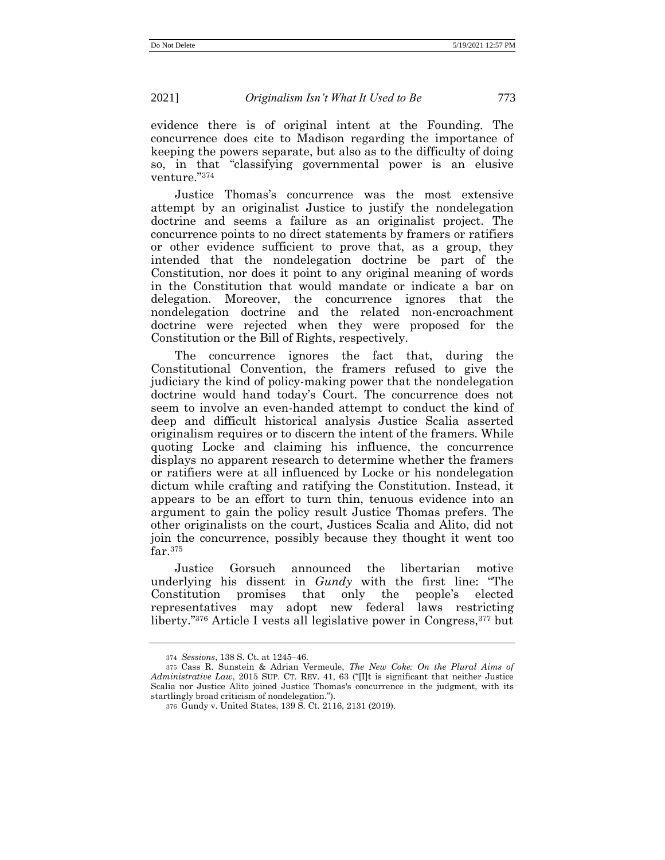evidence there is of original intent at the Founding. The concurrence does cite to Madison regarding the importance of keeping the powers separate, but also as to the difficulty of doing so, in that "classifying governmental power is an elusive venture." 374

Justice Thomas's concurrence was the most extensive attempt by an originalist Justice to justify the nondelegation doctrine and seems a failure as an originalist project. The concurrence points to no direct statements by framers or ratifiers or other evidence sufficient to prove that, as a group, they intended that the nondelegation doctrine be part of the Constitution, nor does it point to any original meaning of words in the Constitution that would mandate or indicate a bar on delegation. Moreover, the concurrence ignores that the nondelegation doctrine and the related non-encroachment doctrine were rejected when they were proposed for the Constitution or the Bill of Rights, respectively.

The concurrence ignores the fact that, during the Constitutional Convention, the framers refused to give the judiciary the kind of policy-making power that the nondelegation doctrine would hand today's Court. The concurrence does not seem to involve an even-handed attempt to conduct the kind of deep and difficult historical analysis Justice Scalia asserted originalism requires or to discern the intent of the framers. While quoting Locke and claiming his influence, the concurrence displays no apparent research to determine whether the framers or ratifiers were at all influenced by Locke or his nondelegation dictum while crafting and ratifying the Constitution. Instead, it appears to be an effort to turn thin, tenuous evidence into an argument to gain the policy result Justice Thomas prefers. The other originalists on the court, Justices Scalia and Alito, did not join the concurrence, possibly because they thought it went too far.<sup>375</sup>

Justice Gorsuch announced the libertarian motive underlying his dissent in *Gundy* with the first line: "The Constitution promises that only the people's elected representatives may adopt new federal laws restricting liberty." <sup>376</sup> Article I vests all legislative power in Congress,<sup>377</sup> but

<sup>374</sup> *Sessions*, 138 S. Ct. at 1245–46.

<sup>375</sup> Cass R. Sunstein & Adrian Vermeule, *The New Coke: On the Plural Aims of Administrative Law*, 2015 SUP. CT. REV. 41, 63 ("[I]t is significant that neither Justice Scalia nor Justice Alito joined Justice Thomas's concurrence in the judgment, with its startlingly broad criticism of nondelegation.").

<sup>376</sup> Gundy v. United States, 139 S. Ct. 2116, 2131 (2019).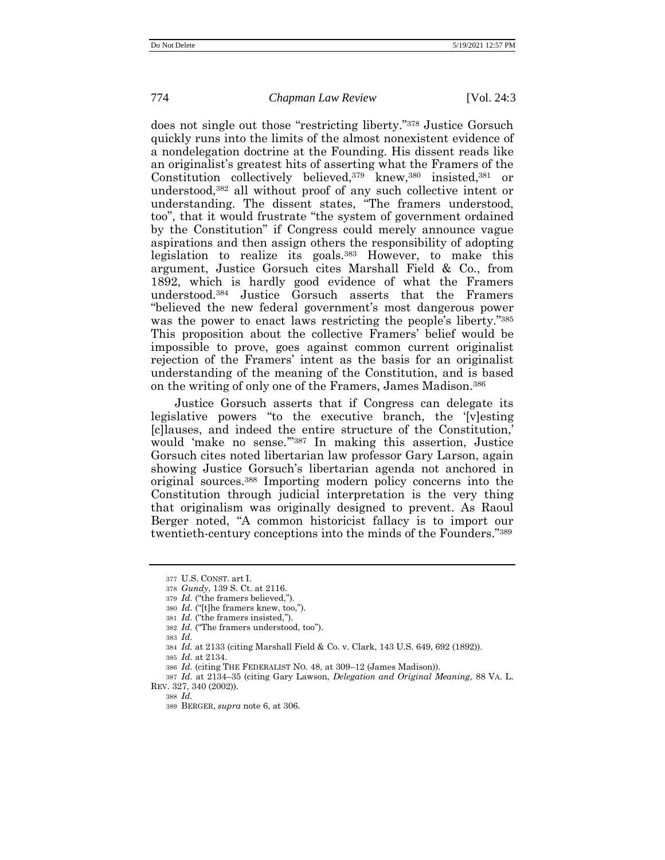does not single out those "restricting liberty." <sup>378</sup> Justice Gorsuch quickly runs into the limits of the almost nonexistent evidence of a nondelegation doctrine at the Founding. His dissent reads like an originalist's greatest hits of asserting what the Framers of the Constitution collectively believed,<sup>379</sup> knew,<sup>380</sup> insisted,<sup>381</sup> or understood,<sup>382</sup> all without proof of any such collective intent or understanding. The dissent states, "The framers understood, too", that it would frustrate "the system of government ordained by the Constitution" if Congress could merely announce vague aspirations and then assign others the responsibility of adopting legislation to realize its goals.<sup>383</sup> However, to make this argument, Justice Gorsuch cites Marshall Field & Co., from 1892, which is hardly good evidence of what the Framers understood.<sup>384</sup> Justice Gorsuch asserts that the Framers "believed the new federal government's most dangerous power was the power to enact laws restricting the people's liberty."<sup>385</sup> This proposition about the collective Framers' belief would be impossible to prove, goes against common current originalist rejection of the Framers' intent as the basis for an originalist understanding of the meaning of the Constitution, and is based on the writing of only one of the Framers, James Madison.<sup>386</sup>

Justice Gorsuch asserts that if Congress can delegate its legislative powers "to the executive branch, the '[v]esting [c]lauses, and indeed the entire structure of the Constitution,' would 'make no sense.'" <sup>387</sup> In making this assertion, Justice Gorsuch cites noted libertarian law professor Gary Larson, again showing Justice Gorsuch's libertarian agenda not anchored in original sources.<sup>388</sup> Importing modern policy concerns into the Constitution through judicial interpretation is the very thing that originalism was originally designed to prevent. As Raoul Berger noted, "A common historicist fallacy is to import our twentieth-century conceptions into the minds of the Founders."<sup>389</sup>

382 *Id.* ("The framers understood, too").

385 *Id.* at 2134.

<sup>377</sup> U.S. CONST. art I.

<sup>378</sup> *Gundy*, 139 S. Ct. at 2116.

<sup>379</sup> *Id.* ("the framers believed,").

<sup>380</sup> *Id.* ("[t]he framers knew, too,").

<sup>381</sup> *Id.* ("the framers insisted,").

<sup>383</sup> *Id.*

<sup>384</sup> *Id.* at 2133 (citing Marshall Field & Co. v. Clark, 143 U.S. 649, 692 (1892)).

<sup>386</sup> *Id.* (citing THE FEDERALIST NO. 48, at 309–12 (James Madison)).

<sup>387</sup> *Id.* at 2134–35 (citing Gary Lawson, *Delegation and Original Meaning*, 88 VA. L. REV. 327, 340 (2002)).

<sup>388</sup> *Id.*

<sup>389</sup> BERGER, *supra* not[e 6,](#page-4-0) at 306.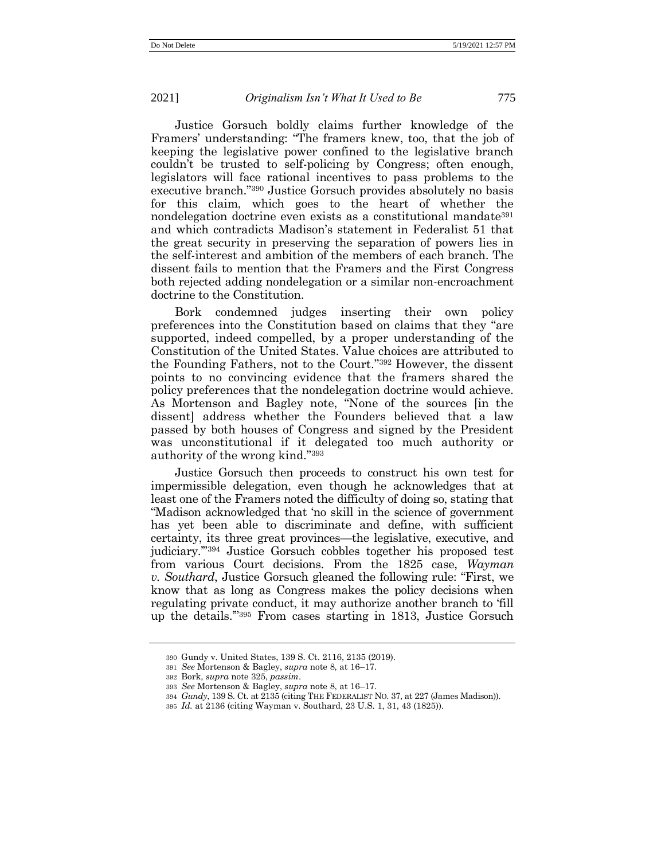Justice Gorsuch boldly claims further knowledge of the Framers' understanding: "The framers knew, too, that the job of keeping the legislative power confined to the legislative branch couldn't be trusted to self-policing by Congress; often enough, legislators will face rational incentives to pass problems to the executive branch." <sup>390</sup> Justice Gorsuch provides absolutely no basis for this claim, which goes to the heart of whether the nondelegation doctrine even exists as a constitutional mandate<sup>391</sup> and which contradicts Madison's statement in Federalist 51 that the great security in preserving the separation of powers lies in the self-interest and ambition of the members of each branch. The dissent fails to mention that the Framers and the First Congress both rejected adding nondelegation or a similar non-encroachment doctrine to the Constitution.

Bork condemned judges inserting their own policy preferences into the Constitution based on claims that they "are supported, indeed compelled, by a proper understanding of the Constitution of the United States. Value choices are attributed to the Founding Fathers, not to the Court." <sup>392</sup> However, the dissent points to no convincing evidence that the framers shared the policy preferences that the nondelegation doctrine would achieve. As Mortenson and Bagley note, "None of the sources [in the dissent] address whether the Founders believed that a law passed by both houses of Congress and signed by the President was unconstitutional if it delegated too much authority or authority of the wrong kind." 393

Justice Gorsuch then proceeds to construct his own test for impermissible delegation, even though he acknowledges that at least one of the Framers noted the difficulty of doing so, stating that "Madison acknowledged that 'no skill in the science of government has yet been able to discriminate and define, with sufficient certainty, its three great provinces—the legislative, executive, and judiciary.'" <sup>394</sup> Justice Gorsuch cobbles together his proposed test from various Court decisions. From the 1825 case, *Wayman v. Southard*, Justice Gorsuch gleaned the following rule: "First, we know that as long as Congress makes the policy decisions when regulating private conduct, it may authorize another branch to 'fill up the details.'" <sup>395</sup> From cases starting in 1813, Justice Gorsuch

<sup>390</sup> Gundy v. United States, 139 S. Ct. 2116, 2135 (2019).

<sup>391</sup> *See* Mortenson & Bagley, *supra* note [8,](#page-5-0) at 16–17.

<sup>392</sup> Bork, *supra* note [325,](#page-59-0) *passim*.

<sup>393</sup> *See* Mortenson & Bagley, *supra* note [8,](#page-5-0) at 16–17.

<sup>394</sup> *Gundy*, 139 S. Ct. at 2135 (citing THE FEDERALIST NO. 37, at 227 (James Madison)).

<sup>395</sup> *Id.* at 2136 (citing Wayman v. Southard, 23 U.S. 1, 31, 43 (1825)).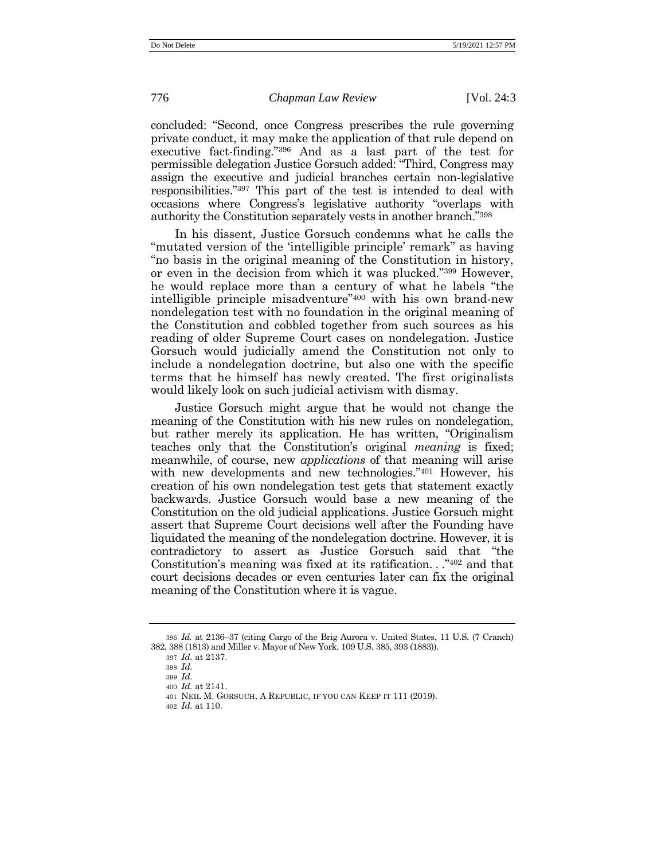concluded: "Second, once Congress prescribes the rule governing private conduct, it may make the application of that rule depend on executive fact-finding." <sup>396</sup> And as a last part of the test for permissible delegation Justice Gorsuch added: "Third, Congress may assign the executive and judicial branches certain non-legislative responsibilities." <sup>397</sup> This part of the test is intended to deal with occasions where Congress's legislative authority "overlaps with authority the Constitution separately vests in another branch." 398

In his dissent, Justice Gorsuch condemns what he calls the "mutated version of the 'intelligible principle' remark" as having "no basis in the original meaning of the Constitution in history, or even in the decision from which it was plucked." <sup>399</sup> However, he would replace more than a century of what he labels "the intelligible principle misadventure" <sup>400</sup> with his own brand-new nondelegation test with no foundation in the original meaning of the Constitution and cobbled together from such sources as his reading of older Supreme Court cases on nondelegation. Justice Gorsuch would judicially amend the Constitution not only to include a nondelegation doctrine, but also one with the specific terms that he himself has newly created. The first originalists would likely look on such judicial activism with dismay.

Justice Gorsuch might argue that he would not change the meaning of the Constitution with his new rules on nondelegation, but rather merely its application. He has written, "Originalism teaches only that the Constitution's original *meaning* is fixed; meanwhile, of course, new *applications* of that meaning will arise with new developments and new technologies."<sup>401</sup> However, his creation of his own nondelegation test gets that statement exactly backwards. Justice Gorsuch would base a new meaning of the Constitution on the old judicial applications. Justice Gorsuch might assert that Supreme Court decisions well after the Founding have liquidated the meaning of the nondelegation doctrine. However, it is contradictory to assert as Justice Gorsuch said that "the Constitution's meaning was fixed at its ratification. . ." <sup>402</sup> and that court decisions decades or even centuries later can fix the original meaning of the Constitution where it is vague.

398 *Id.*

402 *Id.* at 110.

<sup>396</sup> *Id.* at 2136–37 (citing Cargo of the Brig Aurora v. United States, 11 U.S. (7 Cranch) 382, 388 (1813) and Miller v. Mayor of New York, 109 U.S. 385, 393 (1883)).

<sup>397</sup> *Id.* at 2137.

<sup>399</sup> *Id.*

<sup>400</sup> *Id.* at 2141.

<sup>401</sup> NEIL M. GORSUCH, A REPUBLIC, IF YOU CAN KEEP IT 111 (2019).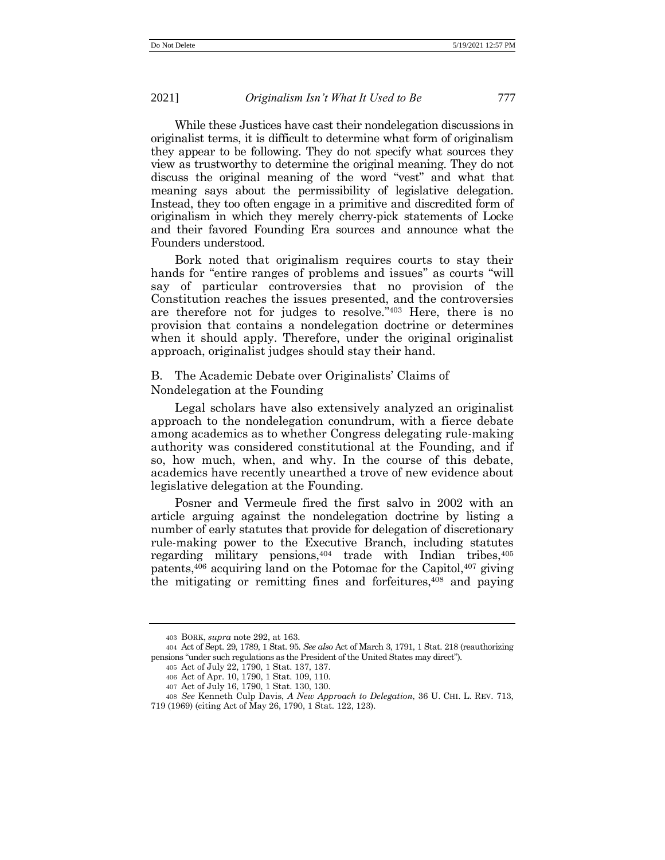While these Justices have cast their nondelegation discussions in originalist terms, it is difficult to determine what form of originalism they appear to be following. They do not specify what sources they view as trustworthy to determine the original meaning. They do not discuss the original meaning of the word "vest" and what that meaning says about the permissibility of legislative delegation. Instead, they too often engage in a primitive and discredited form of originalism in which they merely cherry-pick statements of Locke and their favored Founding Era sources and announce what the Founders understood.

Bork noted that originalism requires courts to stay their hands for "entire ranges of problems and issues" as courts "will say of particular controversies that no provision of the Constitution reaches the issues presented, and the controversies are therefore not for judges to resolve." <sup>403</sup> Here, there is no provision that contains a nondelegation doctrine or determines when it should apply. Therefore, under the original originalist approach, originalist judges should stay their hand.

# B. The Academic Debate over Originalists' Claims of Nondelegation at the Founding

Legal scholars have also extensively analyzed an originalist approach to the nondelegation conundrum, with a fierce debate among academics as to whether Congress delegating rule-making authority was considered constitutional at the Founding, and if so, how much, when, and why. In the course of this debate, academics have recently unearthed a trove of new evidence about legislative delegation at the Founding.

Posner and Vermeule fired the first salvo in 2002 with an article arguing against the nondelegation doctrine by listing a number of early statutes that provide for delegation of discretionary rule-making power to the Executive Branch, including statutes regarding military pensions,  $404$  trade with Indian tribes,  $405$ patents, $406$  acquiring land on the Potomac for the Capitol, $407$  giving the mitigating or remitting fines and forfeitures, $408$  and paying

<sup>403</sup> BORK, *supra* note [292,](#page-53-1) at 163.

<sup>404</sup> Act of Sept. 29, 1789, 1 Stat. 95. *See also* Act of March 3, 1791, 1 Stat. 218 (reauthorizing pensions "under such regulations as the President of the United States may direct").

<sup>405</sup> Act of July 22, 1790, 1 Stat. 137, 137.

<sup>406</sup> Act of Apr. 10, 1790, 1 Stat. 109, 110.

<sup>407</sup> Act of July 16, 1790, 1 Stat. 130, 130.

<sup>408</sup> *See* Kenneth Culp Davis, *A New Approach to Delegation*, 36 U. CHI. L. REV. 713,

<sup>719 (1969) (</sup>citing Act of May 26, 1790, 1 Stat. 122, 123).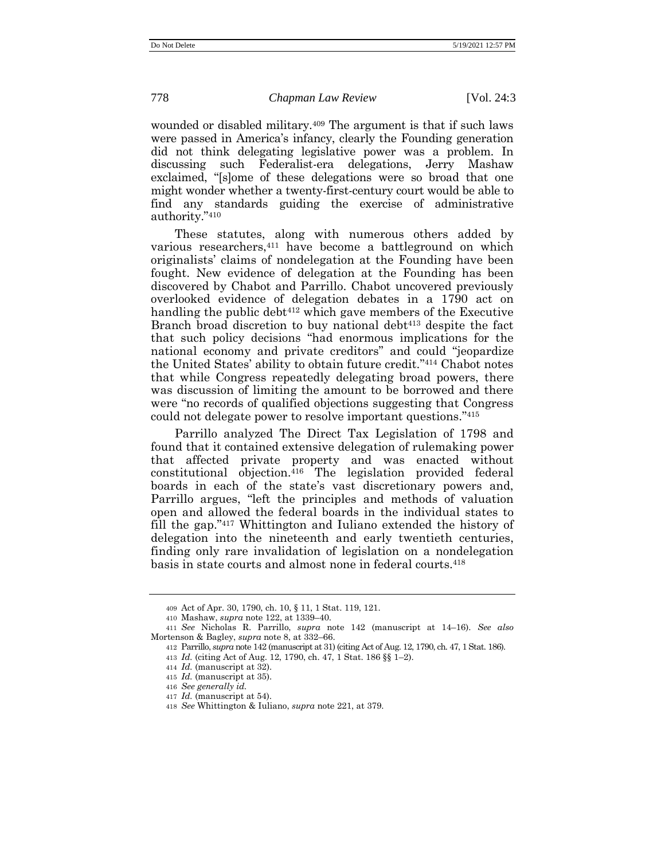wounded or disabled military.<sup>409</sup> The argument is that if such laws were passed in America's infancy, clearly the Founding generation did not think delegating legislative power was a problem. In discussing such Federalist-era delegations, Jerry Mashaw exclaimed, "[s]ome of these delegations were so broad that one might wonder whether a twenty-first-century court would be able to find any standards guiding the exercise of administrative authority." 410

These statutes, along with numerous others added by various researchers,<sup>411</sup> have become a battleground on which originalists' claims of nondelegation at the Founding have been fought. New evidence of delegation at the Founding has been discovered by Chabot and Parrillo. Chabot uncovered previously overlooked evidence of delegation debates in a 1790 act on handling the public debt<sup>412</sup> which gave members of the Executive Branch broad discretion to buy national debt<sup>413</sup> despite the fact that such policy decisions "had enormous implications for the national economy and private creditors" and could "jeopardize the United States' ability to obtain future credit." <sup>414</sup> Chabot notes that while Congress repeatedly delegating broad powers, there was discussion of limiting the amount to be borrowed and there were "no records of qualified objections suggesting that Congress could not delegate power to resolve important questions." 415

Parrillo analyzed The Direct Tax Legislation of 1798 and found that it contained extensive delegation of rulemaking power that affected private property and was enacted without constitutional objection.<sup>416</sup> The legislation provided federal boards in each of the state's vast discretionary powers and, Parrillo argues, "left the principles and methods of valuation open and allowed the federal boards in the individual states to fill the gap."<sup>417</sup> Whittington and Iuliano extended the history of delegation into the nineteenth and early twentieth centuries, finding only rare invalidation of legislation on a nondelegation basis in state courts and almost none in federal courts.<sup>418</sup>

<sup>409</sup> Act of Apr. 30, 1790, ch. 10, § 11, 1 Stat. 119, 121.

<sup>410</sup> Mashaw, *supra* not[e 122,](#page-27-0) at 1339–40.

<sup>411</sup> *See* Nicholas R. Parrillo, *supra* note [142](#page-31-0) (manuscript at 14–16). *See also* Mortenson & Bagley, *supra* note [8,](#page-5-0) at 332–66.

<sup>412</sup> Parrillo, *supra* not[e 142](#page-31-0) (manuscript at 31) (citing Act of Aug. 12, 1790, ch. 47, 1 Stat. 186).

<sup>413</sup> *Id.* (citing Act of Aug. 12, 1790, ch. 47, 1 Stat. 186 §§ 1–2).

<sup>414</sup> *Id.* (manuscript at 32).

<sup>415</sup> *Id.* (manuscript at 35).

<sup>416</sup> *See generally id.*

<sup>417</sup> *Id.* (manuscript at 54).

<sup>418</sup> *See* Whittington & Iuliano, *supra* not[e 221,](#page-44-0) at 379.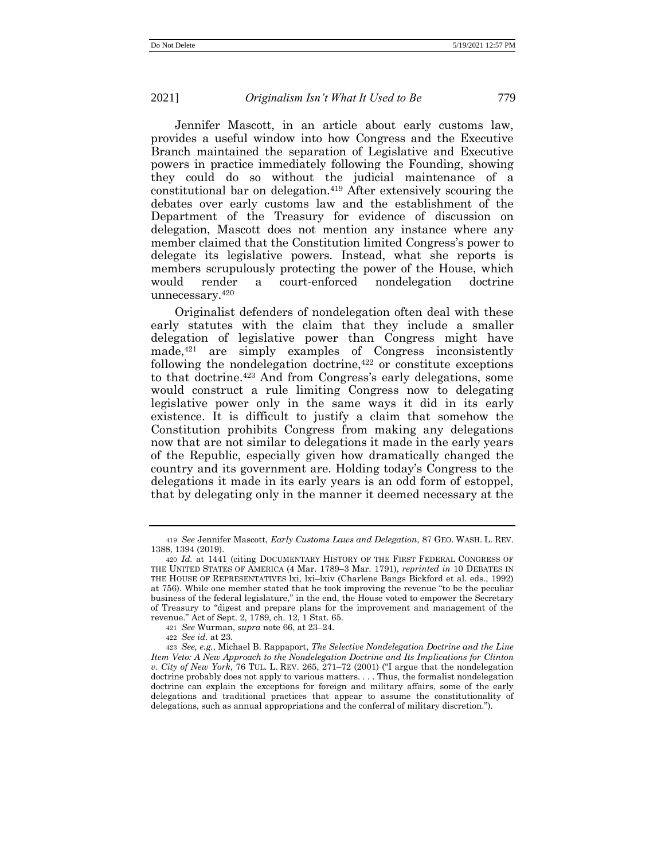Jennifer Mascott, in an article about early customs law, provides a useful window into how Congress and the Executive Branch maintained the separation of Legislative and Executive powers in practice immediately following the Founding, showing they could do so without the judicial maintenance of a constitutional bar on delegation.<sup>419</sup> After extensively scouring the debates over early customs law and the establishment of the Department of the Treasury for evidence of discussion on delegation, Mascott does not mention any instance where any member claimed that the Constitution limited Congress's power to delegate its legislative powers. Instead, what she reports is members scrupulously protecting the power of the House, which would render a court-enforced nondelegation doctrine unnecessary.<sup>420</sup>

Originalist defenders of nondelegation often deal with these early statutes with the claim that they include a smaller delegation of legislative power than Congress might have made,<sup>421</sup> are simply examples of Congress inconsistently following the nondelegation doctrine,  $422$  or constitute exceptions to that doctrine.<sup>423</sup> And from Congress's early delegations, some would construct a rule limiting Congress now to delegating legislative power only in the same ways it did in its early existence. It is difficult to justify a claim that somehow the Constitution prohibits Congress from making any delegations now that are not similar to delegations it made in the early years of the Republic, especially given how dramatically changed the country and its government are. Holding today's Congress to the delegations it made in its early years is an odd form of estoppel, that by delegating only in the manner it deemed necessary at the

<sup>419</sup> *See* Jennifer Mascott, *Early Customs Laws and Delegation*, 87 GEO. WASH. L. REV. 1388, 1394 (2019).

<sup>420</sup> *Id.* at 1441 (citing DOCUMENTARY HISTORY OF THE FIRST FEDERAL CONGRESS OF THE UNITED STATES OF AMERICA (4 Mar. 1789–3 Mar. 1791), *reprinted in* 10 DEBATES IN THE HOUSE OF REPRESENTATIVES lxi, lxi–lxiv (Charlene Bangs Bickford et al. eds., 1992) at 756). While one member stated that he took improving the revenue "to be the peculiar business of the federal legislature," in the end, the House voted to empower the Secretary of Treasury to "digest and prepare plans for the improvement and management of the revenue." Act of Sept. 2, 1789, ch. 12, 1 Stat. 65.

<sup>421</sup> *See* Wurman, *supra* note [66,](#page-17-0) at 23–24.

<sup>422</sup> *See id.* at 23.

<sup>423</sup> *See, e.g.*, Michael B. Rappaport, *The Selective Nondelegation Doctrine and the Line Item Veto: A New Approach to the Nondelegation Doctrine and Its Implications for Clinton v. City of New York*, 76 TUL. L. REV. 265, 271–72 (2001) ("I argue that the nondelegation doctrine probably does not apply to various matters. . . . Thus, the formalist nondelegation doctrine can explain the exceptions for foreign and military affairs, some of the early delegations and traditional practices that appear to assume the constitutionality of delegations, such as annual appropriations and the conferral of military discretion.").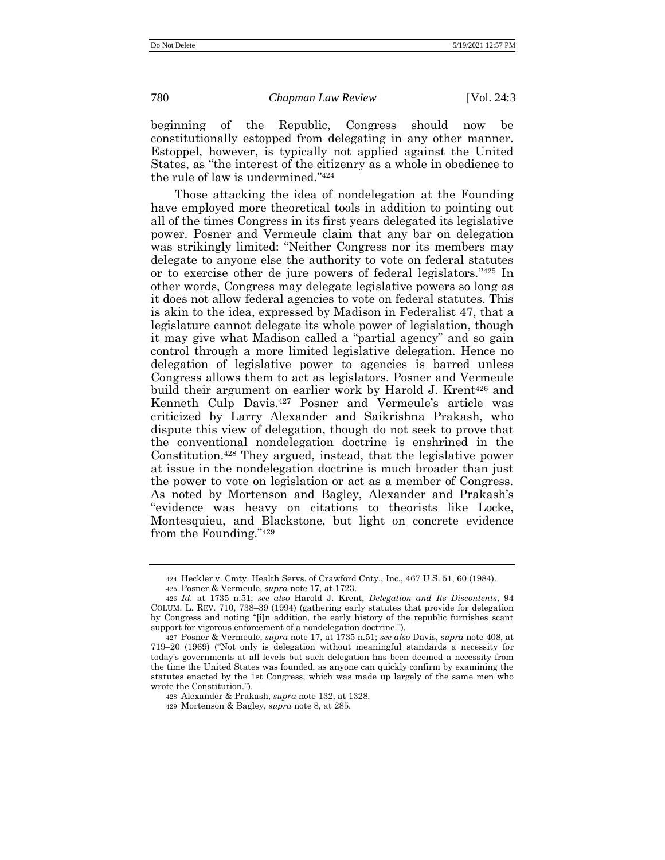beginning of the Republic, Congress should now be constitutionally estopped from delegating in any other manner. Estoppel, however, is typically not applied against the United States, as "the interest of the citizenry as a whole in obedience to the rule of law is undermined." 424

Those attacking the idea of nondelegation at the Founding have employed more theoretical tools in addition to pointing out all of the times Congress in its first years delegated its legislative power. Posner and Vermeule claim that any bar on delegation was strikingly limited: "Neither Congress nor its members may delegate to anyone else the authority to vote on federal statutes or to exercise other de jure powers of federal legislators." <sup>425</sup> In other words, Congress may delegate legislative powers so long as it does not allow federal agencies to vote on federal statutes. This is akin to the idea, expressed by Madison in Federalist 47, that a legislature cannot delegate its whole power of legislation, though it may give what Madison called a "partial agency" and so gain control through a more limited legislative delegation. Hence no delegation of legislative power to agencies is barred unless Congress allows them to act as legislators. Posner and Vermeule build their argument on earlier work by Harold J. Krent<sup>426</sup> and Kenneth Culp Davis.<sup>427</sup> Posner and Vermeule's article was criticized by Larry Alexander and Saikrishna Prakash, who dispute this view of delegation, though do not seek to prove that the conventional nondelegation doctrine is enshrined in the Constitution.<sup>428</sup> They argued, instead, that the legislative power at issue in the nondelegation doctrine is much broader than just the power to vote on legislation or act as a member of Congress. As noted by Mortenson and Bagley, Alexander and Prakash's "evidence was heavy on citations to theorists like Locke, Montesquieu, and Blackstone, but light on concrete evidence from the Founding."<sup>429</sup>

<sup>424</sup> Heckler v. Cmty. Health Servs. of Crawford Cnty., Inc., 467 U.S. 51, 60 (1984).

<sup>425</sup> Posner & Vermeule, *supra* note [17,](#page-8-0) at 1723.

<sup>426</sup> *Id.* at 1735 n.51; *see also* Harold J. Krent, *Delegation and Its Discontents*, 94 COLUM. L. REV. 710, 738–39 (1994) (gathering early statutes that provide for delegation by Congress and noting "[i]n addition, the early history of the republic furnishes scant support for vigorous enforcement of a nondelegation doctrine.").

<sup>427</sup> Posner & Vermeule, *supra* note [17,](#page-8-0) at 1735 n.51; *see also* Davis, *supra* not[e 408,](#page-71-0) at 719–20 (1969) ("Not only is delegation without meaningful standards a necessity for today's governments at all levels but such delegation has been deemed a necessity from the time the United States was founded, as anyone can quickly confirm by examining the statutes enacted by the 1st Congress, which was made up largely of the same men who wrote the Constitution.").

<sup>428</sup> Alexander & Prakash, *supra* note [132,](#page-29-0) at 1328.

<sup>429</sup> Mortenson & Bagley, *supra* note [8,](#page-5-0) at 285.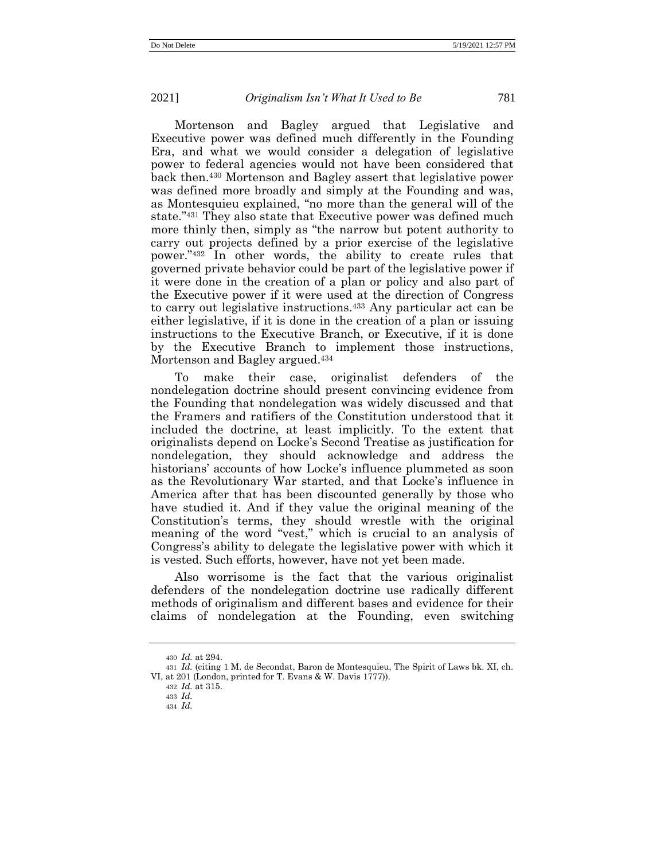Mortenson and Bagley argued that Legislative and Executive power was defined much differently in the Founding Era, and what we would consider a delegation of legislative power to federal agencies would not have been considered that back then.<sup>430</sup> Mortenson and Bagley assert that legislative power was defined more broadly and simply at the Founding and was, as Montesquieu explained, "no more than the general will of the state." <sup>431</sup> They also state that Executive power was defined much more thinly then, simply as "the narrow but potent authority to carry out projects defined by a prior exercise of the legislative power." <sup>432</sup> In other words, the ability to create rules that governed private behavior could be part of the legislative power if it were done in the creation of a plan or policy and also part of the Executive power if it were used at the direction of Congress to carry out legislative instructions.<sup>433</sup> Any particular act can be either legislative, if it is done in the creation of a plan or issuing instructions to the Executive Branch, or Executive, if it is done by the Executive Branch to implement those instructions, Mortenson and Bagley argued. 434

To make their case, originalist defenders of the nondelegation doctrine should present convincing evidence from the Founding that nondelegation was widely discussed and that the Framers and ratifiers of the Constitution understood that it included the doctrine, at least implicitly. To the extent that originalists depend on Locke's Second Treatise as justification for nondelegation, they should acknowledge and address the historians' accounts of how Locke's influence plummeted as soon as the Revolutionary War started, and that Locke's influence in America after that has been discounted generally by those who have studied it. And if they value the original meaning of the Constitution's terms, they should wrestle with the original meaning of the word "vest," which is crucial to an analysis of Congress's ability to delegate the legislative power with which it is vested. Such efforts, however, have not yet been made.

Also worrisome is the fact that the various originalist defenders of the nondelegation doctrine use radically different methods of originalism and different bases and evidence for their claims of nondelegation at the Founding, even switching

<sup>430</sup> *Id.* at 294.

<sup>431</sup> *Id.* (citing 1 M. de Secondat, Baron de Montesquieu, The Spirit of Laws bk. XI, ch. VI, at 201 (London, printed for T. Evans & W. Davis 1777)).

<sup>432</sup> *Id.* at 315.

<sup>433</sup> *Id.*

<sup>434</sup> *Id.*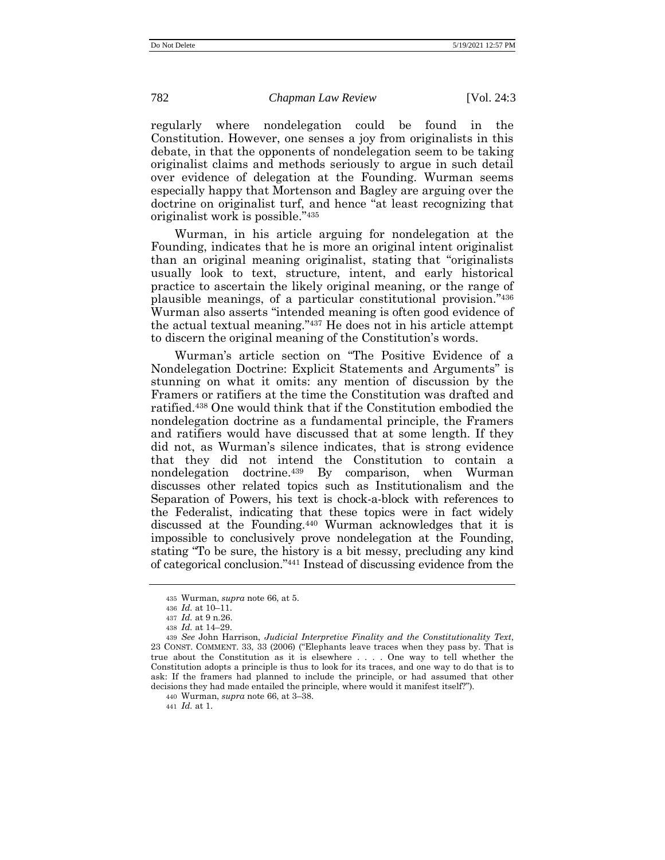regularly where nondelegation could be found in the Constitution. However, one senses a joy from originalists in this debate, in that the opponents of nondelegation seem to be taking originalist claims and methods seriously to argue in such detail over evidence of delegation at the Founding. Wurman seems especially happy that Mortenson and Bagley are arguing over the doctrine on originalist turf, and hence "at least recognizing that originalist work is possible." 435

Wurman, in his article arguing for nondelegation at the Founding, indicates that he is more an original intent originalist than an original meaning originalist, stating that "originalists usually look to text, structure, intent, and early historical practice to ascertain the likely original meaning, or the range of plausible meanings, of a particular constitutional provision." 436 Wurman also asserts "intended meaning is often good evidence of the actual textual meaning." <sup>437</sup> He does not in his article attempt to discern the original meaning of the Constitution's words.

Wurman's article section on "The Positive Evidence of a Nondelegation Doctrine: Explicit Statements and Arguments" is stunning on what it omits: any mention of discussion by the Framers or ratifiers at the time the Constitution was drafted and ratified.<sup>438</sup> One would think that if the Constitution embodied the nondelegation doctrine as a fundamental principle, the Framers and ratifiers would have discussed that at some length. If they did not, as Wurman's silence indicates, that is strong evidence that they did not intend the Constitution to contain a nondelegation doctrine.<sup>439</sup> By comparison, when Wurman discusses other related topics such as Institutionalism and the Separation of Powers, his text is chock-a-block with references to the Federalist, indicating that these topics were in fact widely discussed at the Founding.<sup>440</sup> Wurman acknowledges that it is impossible to conclusively prove nondelegation at the Founding, stating "To be sure, the history is a bit messy, precluding any kind of categorical conclusion." <sup>441</sup> Instead of discussing evidence from the

441 *Id.* at 1.

<sup>435</sup> Wurman, *supra* note [66,](#page-17-0) at 5.

<sup>436</sup> *Id.* at 10–11.

<sup>437</sup> *Id.* at 9 n.26.

<sup>438</sup> *Id.* at 14–29.

<sup>439</sup> *See* John Harrison, *Judicial Interpretive Finality and the Constitutionality Text*, 23 CONST. COMMENT. 33, 33 (2006) ("Elephants leave traces when they pass by. That is true about the Constitution as it is elsewhere . . . . One way to tell whether the Constitution adopts a principle is thus to look for its traces, and one way to do that is to ask: If the framers had planned to include the principle, or had assumed that other decisions they had made entailed the principle, where would it manifest itself?").

<sup>440</sup> Wurman, *supra* note [66,](#page-17-0) at 3–38.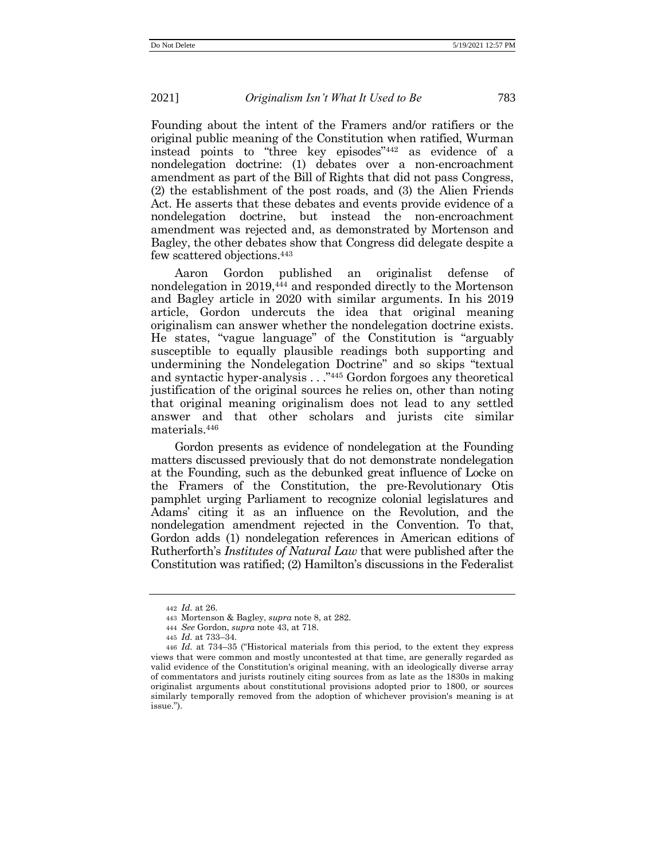Founding about the intent of the Framers and/or ratifiers or the original public meaning of the Constitution when ratified, Wurman instead points to "three key episodes" <sup>442</sup> as evidence of a nondelegation doctrine: (1) debates over a non-encroachment amendment as part of the Bill of Rights that did not pass Congress, (2) the establishment of the post roads, and (3) the Alien Friends Act. He asserts that these debates and events provide evidence of a nondelegation doctrine, but instead the non-encroachment amendment was rejected and, as demonstrated by Mortenson and Bagley, the other debates show that Congress did delegate despite a few scattered objections.<sup>443</sup>

Aaron Gordon published an originalist defense of nondelegation in 2019,<sup>444</sup> and responded directly to the Mortenson and Bagley article in 2020 with similar arguments. In his 2019 article, Gordon undercuts the idea that original meaning originalism can answer whether the nondelegation doctrine exists. He states, "vague language" of the Constitution is "arguably susceptible to equally plausible readings both supporting and undermining the Nondelegation Doctrine" and so skips "textual and syntactic hyper-analysis . . ." <sup>445</sup> Gordon forgoes any theoretical justification of the original sources he relies on, other than noting that original meaning originalism does not lead to any settled answer and that other scholars and jurists cite similar materials.<sup>446</sup>

Gordon presents as evidence of nondelegation at the Founding matters discussed previously that do not demonstrate nondelegation at the Founding, such as the debunked great influence of Locke on the Framers of the Constitution, the pre-Revolutionary Otis pamphlet urging Parliament to recognize colonial legislatures and Adams' citing it as an influence on the Revolution, and the nondelegation amendment rejected in the Convention. To that, Gordon adds (1) nondelegation references in American editions of Rutherforth's *Institutes of Natural Law* that were published after the Constitution was ratified; (2) Hamilton's discussions in the Federalist

<sup>442</sup> *Id.* at 26.

<sup>443</sup> Mortenson & Bagley, *supra* note [8,](#page-5-0) at 282.

<sup>444</sup> *See* Gordon, *supra* note [43,](#page-13-0) at 718.

<sup>445</sup> *Id.* at 733–34.

<sup>446</sup> *Id.* at 734–35 ("Historical materials from this period, to the extent they express views that were common and mostly uncontested at that time, are generally regarded as valid evidence of the Constitution's original meaning, with an ideologically diverse array of commentators and jurists routinely citing sources from as late as the 1830s in making originalist arguments about constitutional provisions adopted prior to 1800, or sources similarly temporally removed from the adoption of whichever provision's meaning is at issue.").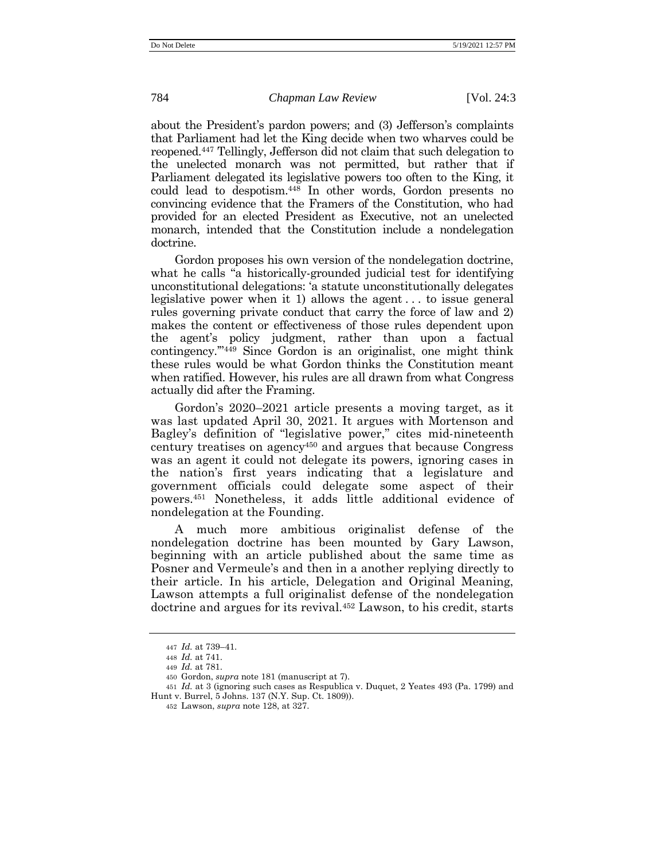about the President's pardon powers; and (3) Jefferson's complaints that Parliament had let the King decide when two wharves could be reopened.<sup>447</sup> Tellingly, Jefferson did not claim that such delegation to the unelected monarch was not permitted, but rather that if Parliament delegated its legislative powers too often to the King, it could lead to despotism.<sup>448</sup> In other words, Gordon presents no convincing evidence that the Framers of the Constitution, who had provided for an elected President as Executive, not an unelected monarch, intended that the Constitution include a nondelegation doctrine.

Gordon proposes his own version of the nondelegation doctrine, what he calls "a historically-grounded judicial test for identifying unconstitutional delegations: 'a statute unconstitutionally delegates legislative power when it 1) allows the agent . . . to issue general rules governing private conduct that carry the force of law and 2) makes the content or effectiveness of those rules dependent upon the agent's policy judgment, rather than upon a factual contingency.'" <sup>449</sup> Since Gordon is an originalist, one might think these rules would be what Gordon thinks the Constitution meant when ratified. However, his rules are all drawn from what Congress actually did after the Framing.

Gordon's 2020–2021 article presents a moving target, as it was last updated April 30, 2021. It argues with Mortenson and Bagley's definition of "legislative power," cites mid-nineteenth century treatises on agency<sup>450</sup> and argues that because Congress was an agent it could not delegate its powers, ignoring cases in the nation's first years indicating that a legislature and government officials could delegate some aspect of their powers. <sup>451</sup> Nonetheless, it adds little additional evidence of nondelegation at the Founding.

much more ambitious originalist defense of the nondelegation doctrine has been mounted by Gary Lawson, beginning with an article published about the same time as Posner and Vermeule's and then in a another replying directly to their article. In his article, Delegation and Original Meaning, Lawson attempts a full originalist defense of the nondelegation doctrine and argues for its revival.<sup>452</sup> Lawson, to his credit, starts

<sup>447</sup> *Id.* at 739–41.

<sup>448</sup> *Id.* at 741.

<sup>449</sup> *Id.* at 781.

<sup>450</sup> Gordon, *supra* not[e 181](#page-37-0) (manuscript at 7).

<sup>451</sup> *Id.* at 3 (ignoring such cases as Respublica v. Duquet, 2 Yeates 493 (Pa. 1799) and Hunt v. Burrel, 5 Johns. 137 (N.Y. Sup. Ct. 1809)).

<sup>452</sup> Lawson, *supra* note [128,](#page-28-0) at 327.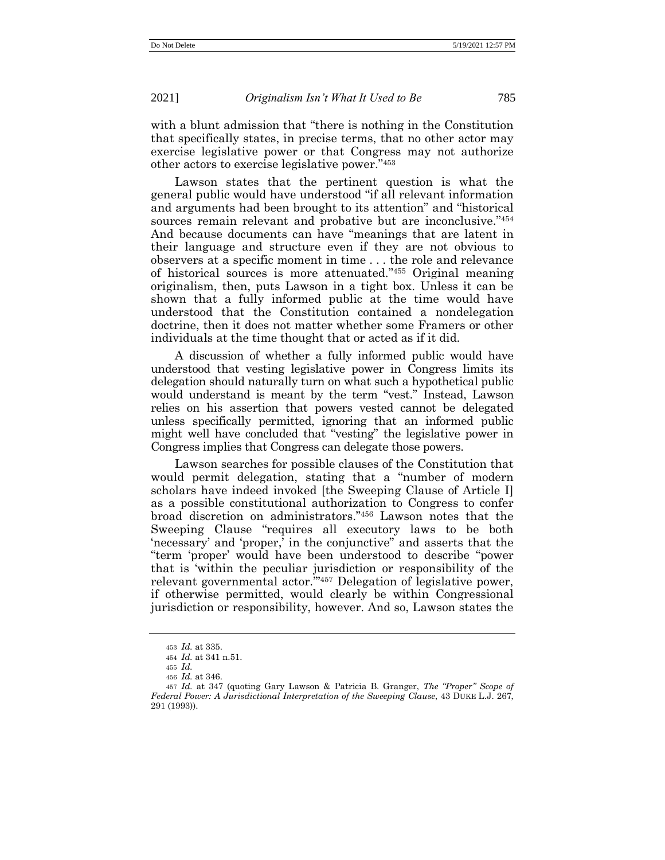with a blunt admission that "there is nothing in the Constitution that specifically states, in precise terms, that no other actor may exercise legislative power or that Congress may not authorize other actors to exercise legislative power." 453

Lawson states that the pertinent question is what the general public would have understood "if all relevant information and arguments had been brought to its attention" and "historical sources remain relevant and probative but are inconclusive."454 And because documents can have "meanings that are latent in their language and structure even if they are not obvious to observers at a specific moment in time . . . the role and relevance of historical sources is more attenuated." <sup>455</sup> Original meaning originalism, then, puts Lawson in a tight box. Unless it can be shown that a fully informed public at the time would have understood that the Constitution contained a nondelegation doctrine, then it does not matter whether some Framers or other individuals at the time thought that or acted as if it did.

A discussion of whether a fully informed public would have understood that vesting legislative power in Congress limits its delegation should naturally turn on what such a hypothetical public would understand is meant by the term "vest." Instead, Lawson relies on his assertion that powers vested cannot be delegated unless specifically permitted, ignoring that an informed public might well have concluded that "vesting" the legislative power in Congress implies that Congress can delegate those powers.

Lawson searches for possible clauses of the Constitution that would permit delegation, stating that a "number of modern scholars have indeed invoked [the Sweeping Clause of Article I] as a possible constitutional authorization to Congress to confer broad discretion on administrators." <sup>456</sup> Lawson notes that the Sweeping Clause "requires all executory laws to be both 'necessary' and 'proper,' in the conjunctive" and asserts that the "term 'proper' would have been understood to describe "power that is 'within the peculiar jurisdiction or responsibility of the relevant governmental actor.'" <sup>457</sup> Delegation of legislative power, if otherwise permitted, would clearly be within Congressional jurisdiction or responsibility, however. And so, Lawson states the

<sup>453</sup> *Id.* at 335.

<sup>454</sup> *Id.* at 341 n.51.

<sup>455</sup> *Id.*

<sup>456</sup> *Id.* at 346.

<sup>457</sup> *Id.* at 347 (quoting Gary Lawson & Patricia B. Granger, *The "Proper" Scope of Federal Power: A Jurisdictional Interpretation of the Sweeping Clause*, 43 DUKE L.J. 267, 291 (1993)).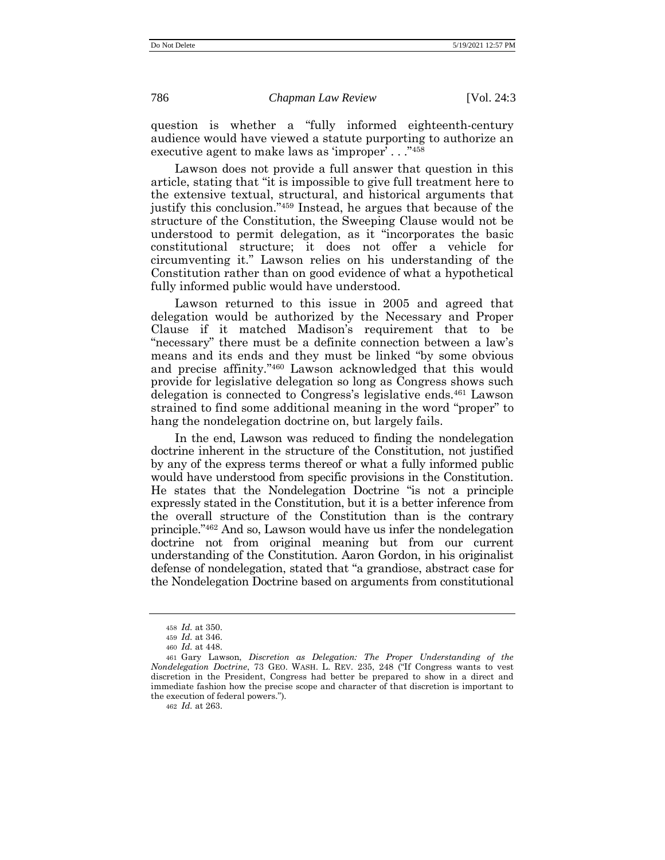question is whether a "fully informed eighteenth-century audience would have viewed a statute purporting to authorize an executive agent to make laws as 'improper' . . . "458

Lawson does not provide a full answer that question in this article, stating that "it is impossible to give full treatment here to the extensive textual, structural, and historical arguments that justify this conclusion." <sup>459</sup> Instead, he argues that because of the structure of the Constitution, the Sweeping Clause would not be understood to permit delegation, as it "incorporates the basic constitutional structure; it does not offer a vehicle for circumventing it." Lawson relies on his understanding of the Constitution rather than on good evidence of what a hypothetical fully informed public would have understood.

Lawson returned to this issue in 2005 and agreed that delegation would be authorized by the Necessary and Proper Clause if it matched Madison's requirement that to be "necessary" there must be a definite connection between a law's means and its ends and they must be linked "by some obvious and precise affinity." <sup>460</sup> Lawson acknowledged that this would provide for legislative delegation so long as Congress shows such delegation is connected to Congress's legislative ends.<sup>461</sup> Lawson strained to find some additional meaning in the word "proper" to hang the nondelegation doctrine on, but largely fails.

In the end, Lawson was reduced to finding the nondelegation doctrine inherent in the structure of the Constitution, not justified by any of the express terms thereof or what a fully informed public would have understood from specific provisions in the Constitution. He states that the Nondelegation Doctrine "is not a principle expressly stated in the Constitution, but it is a better inference from the overall structure of the Constitution than is the contrary principle." <sup>462</sup> And so, Lawson would have us infer the nondelegation doctrine not from original meaning but from our current understanding of the Constitution. Aaron Gordon, in his originalist defense of nondelegation, stated that "a grandiose, abstract case for the Nondelegation Doctrine based on arguments from constitutional

462 *Id.* at 263.

<sup>458</sup> *Id.* at 350.

<sup>459</sup> *Id.* at 346.

<sup>460</sup> *Id.* at 448.

<sup>461</sup> Gary Lawson, *Discretion as Delegation: The Proper Understanding of the Nondelegation Doctrine*, 73 GEO. WASH. L. REV. 235, 248 ("If Congress wants to vest discretion in the President, Congress had better be prepared to show in a direct and immediate fashion how the precise scope and character of that discretion is important to the execution of federal powers.").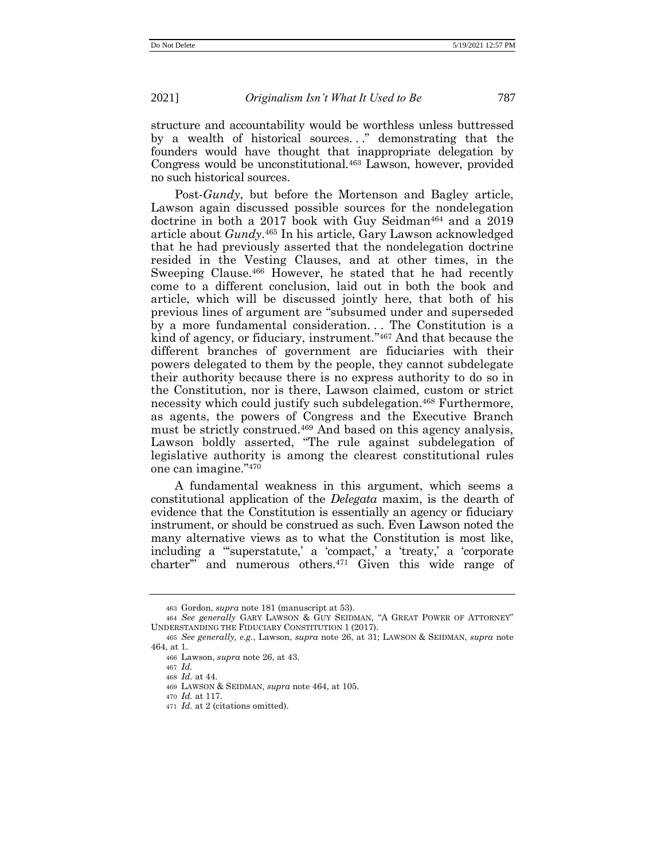structure and accountability would be worthless unless buttressed by a wealth of historical sources..." demonstrating that the founders would have thought that inappropriate delegation by Congress would be unconstitutional.<sup>463</sup> Lawson, however, provided no such historical sources.

<span id="page-81-0"></span>Post-*Gundy*, but before the Mortenson and Bagley article, Lawson again discussed possible sources for the nondelegation doctrine in both a 2017 book with Guy Seidman<sup>464</sup> and a 2019 article about *Gundy*. <sup>465</sup> In his article, Gary Lawson acknowledged that he had previously asserted that the nondelegation doctrine resided in the Vesting Clauses, and at other times, in the Sweeping Clause.<sup>466</sup> However, he stated that he had recently come to a different conclusion, laid out in both the book and article, which will be discussed jointly here, that both of his previous lines of argument are "subsumed under and superseded by a more fundamental consideration... The Constitution is a kind of agency, or fiduciary, instrument." <sup>467</sup> And that because the different branches of government are fiduciaries with their powers delegated to them by the people, they cannot subdelegate their authority because there is no express authority to do so in the Constitution, nor is there, Lawson claimed, custom or strict necessity which could justify such subdelegation.<sup>468</sup> Furthermore, as agents, the powers of Congress and the Executive Branch must be strictly construed. <sup>469</sup> And based on this agency analysis, Lawson boldly asserted, "The rule against subdelegation of legislative authority is among the clearest constitutional rules one can imagine." 470

A fundamental weakness in this argument, which seems a constitutional application of the *Delegata* maxim, is the dearth of evidence that the Constitution is essentially an agency or fiduciary instrument, or should be construed as such. Even Lawson noted the many alternative views as to what the Constitution is most like, including a "'superstatute,' a 'compact,' a 'treaty,' a 'corporate charter'" and numerous others.<sup>471</sup> Given this wide range of

<sup>463</sup> Gordon, *supra* not[e 181](#page-37-0) (manuscript at 53).

<sup>464</sup> *See generally* GARY LAWSON & GUY SEIDMAN, "A GREAT POWER OF ATTORNEY" UNDERSTANDING THE FIDUCIARY CONSTITUTION 1 (2017).

<sup>465</sup> *See generally, e.g.*, Lawson, *supra* note [26,](#page-9-0) at 31; LAWSON & SEIDMAN, *supra* note [464,](#page-81-0) at 1.

<sup>466</sup> Lawson, *supra* note [26,](#page-9-0) at 43.

<sup>467</sup> *Id.*

<sup>468</sup> *Id.* at 44.

<sup>469</sup> LAWSON & SEIDMAN, *supra* not[e 464,](#page-81-0) at 105.

<sup>470</sup> *Id.* at 117.

<sup>471</sup> *Id.* at 2 (citations omitted).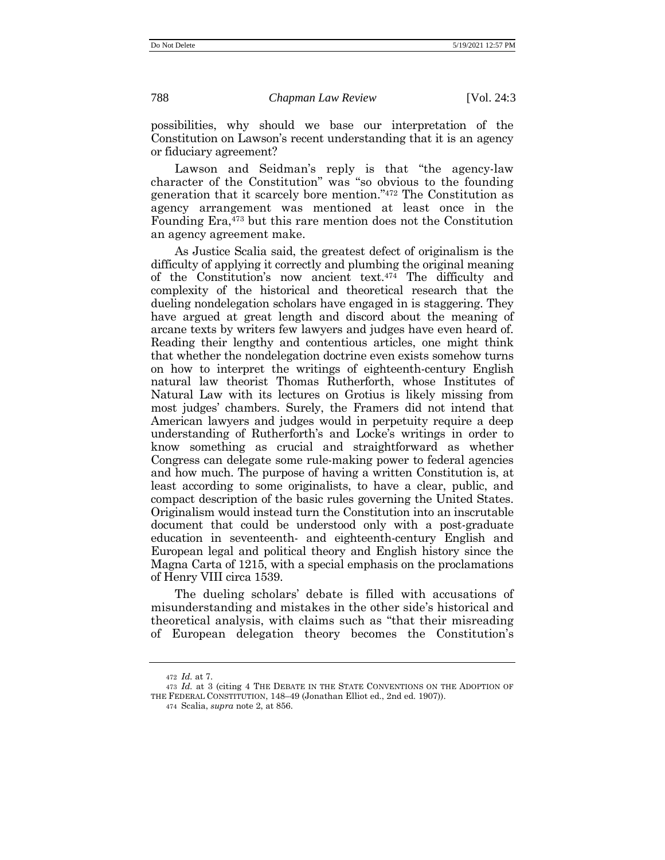possibilities, why should we base our interpretation of the Constitution on Lawson's recent understanding that it is an agency or fiduciary agreement?

Lawson and Seidman's reply is that "the agency-law character of the Constitution" was "so obvious to the founding generation that it scarcely bore mention." <sup>472</sup> The Constitution as agency arrangement was mentioned at least once in the Founding Era,<sup>473</sup> but this rare mention does not the Constitution an agency agreement make.

As Justice Scalia said, the greatest defect of originalism is the difficulty of applying it correctly and plumbing the original meaning of the Constitution's now ancient text.<sup>474</sup> The difficulty and complexity of the historical and theoretical research that the dueling nondelegation scholars have engaged in is staggering. They have argued at great length and discord about the meaning of arcane texts by writers few lawyers and judges have even heard of. Reading their lengthy and contentious articles, one might think that whether the nondelegation doctrine even exists somehow turns on how to interpret the writings of eighteenth-century English natural law theorist Thomas Rutherforth, whose Institutes of Natural Law with its lectures on Grotius is likely missing from most judges' chambers. Surely, the Framers did not intend that American lawyers and judges would in perpetuity require a deep understanding of Rutherforth's and Locke's writings in order to know something as crucial and straightforward as whether Congress can delegate some rule-making power to federal agencies and how much. The purpose of having a written Constitution is, at least according to some originalists, to have a clear, public, and compact description of the basic rules governing the United States. Originalism would instead turn the Constitution into an inscrutable document that could be understood only with a post-graduate education in seventeenth- and eighteenth-century English and European legal and political theory and English history since the Magna Carta of 1215, with a special emphasis on the proclamations of Henry VIII circa 1539.

The dueling scholars' debate is filled with accusations of misunderstanding and mistakes in the other side's historical and theoretical analysis, with claims such as "that their misreading of European delegation theory becomes the Constitution's

474 Scalia, *supra* note [2,](#page-1-0) at 856.

<sup>472</sup> *Id.* at 7.

<sup>473</sup> *Id.* at 3 (citing 4 THE DEBATE IN THE STATE CONVENTIONS ON THE ADOPTION OF THE FEDERAL CONSTITUTION, 148–49 (Jonathan Elliot ed., 2nd ed. 1907)).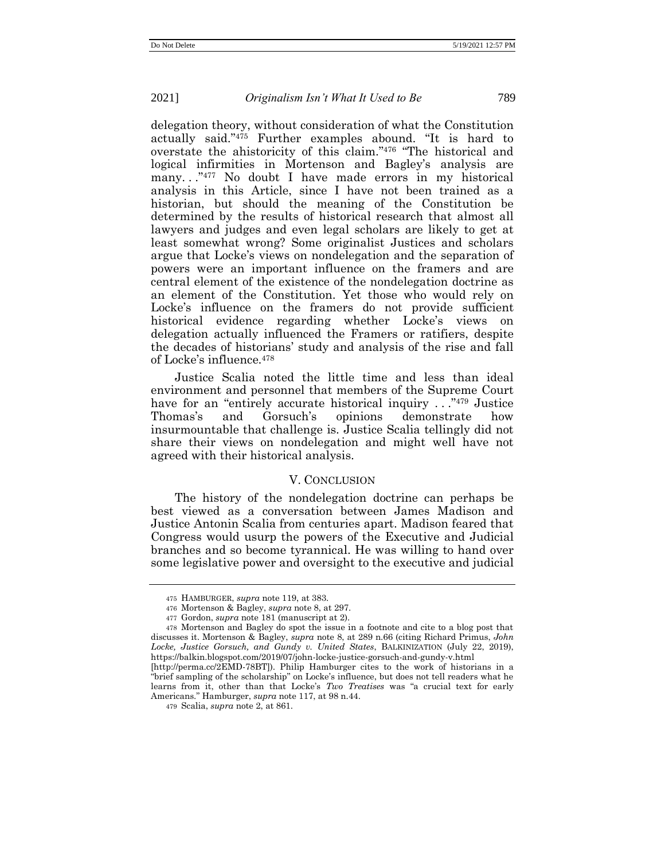delegation theory, without consideration of what the Constitution actually said." <sup>475</sup> Further examples abound. "It is hard to overstate the ahistoricity of this claim." <sup>476</sup> "The historical and logical infirmities in Mortenson and Bagley's analysis are many. . ." <sup>477</sup> No doubt I have made errors in my historical analysis in this Article, since I have not been trained as a historian, but should the meaning of the Constitution be determined by the results of historical research that almost all lawyers and judges and even legal scholars are likely to get at least somewhat wrong? Some originalist Justices and scholars argue that Locke's views on nondelegation and the separation of powers were an important influence on the framers and are central element of the existence of the nondelegation doctrine as an element of the Constitution. Yet those who would rely on Locke's influence on the framers do not provide sufficient historical evidence regarding whether Locke's views on delegation actually influenced the Framers or ratifiers, despite the decades of historians' study and analysis of the rise and fall of Locke's influence.<sup>478</sup>

Justice Scalia noted the little time and less than ideal environment and personnel that members of the Supreme Court have for an "entirely accurate historical inquiry ..."<sup>479</sup> Justice Thomas's and Gorsuch's opinions demonstrate how insurmountable that challenge is. Justice Scalia tellingly did not share their views on nondelegation and might well have not agreed with their historical analysis.

## V. CONCLUSION

The history of the nondelegation doctrine can perhaps be best viewed as a conversation between James Madison and Justice Antonin Scalia from centuries apart. Madison feared that Congress would usurp the powers of the Executive and Judicial branches and so become tyrannical. He was willing to hand over some legislative power and oversight to the executive and judicial

<sup>475</sup> HAMBURGER, *supra* not[e 119,](#page-26-0) at 383.

<sup>476</sup> Mortenson & Bagley, *supra* note [8,](#page-5-0) at 297.

<sup>477</sup> Gordon, *supra* not[e 181](#page-37-0) (manuscript at 2).

<sup>478</sup> Mortenson and Bagley do spot the issue in a footnote and cite to a blog post that discusses it. Mortenson & Bagley, *supra* note [8,](#page-5-0) at 289 n.66 (citing Richard Primus, *John Locke, Justice Gorsuch, and Gundy v. United States*, BALKINIZATION (July 22, 2019), https://balkin.blogspot.com/2019/07/john-locke-justice-gorsuch-and-gundy-v.html

[<sup>\[</sup>http://perma.cc/2EMD-78BT\]](http://perma.cc/2EMD-78BT)). Philip Hamburger cites to the work of historians in a "brief sampling of the scholarship" on Locke's influence, but does not tell readers what he learns from it, other than that Locke's *Two Treatises* was "a crucial text for early Americans." Hamburger, *supra* note [117,](#page-26-1) at 98 n.44.

<sup>479</sup> Scalia, *supra* not[e 2,](#page-1-0) at 861.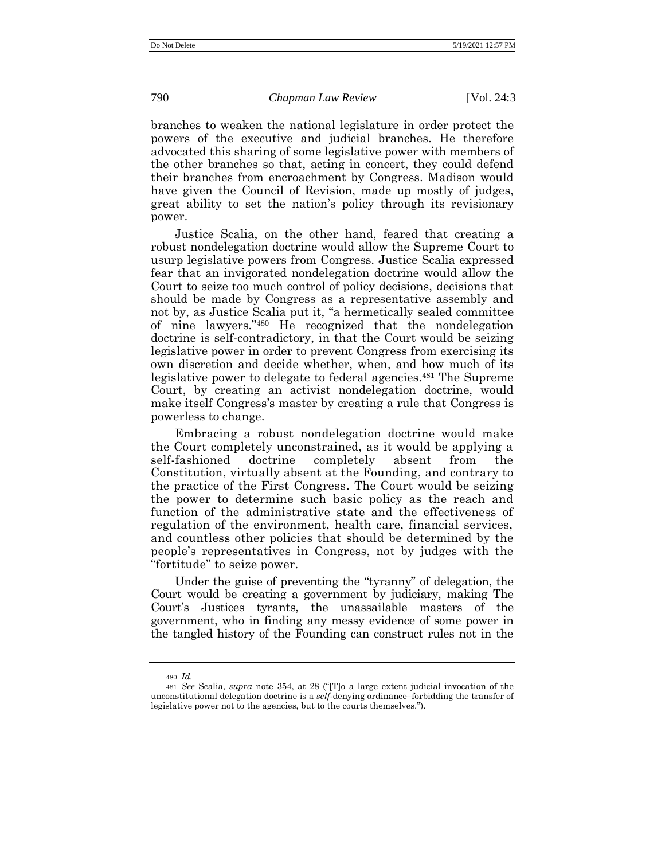branches to weaken the national legislature in order protect the powers of the executive and judicial branches. He therefore advocated this sharing of some legislative power with members of the other branches so that, acting in concert, they could defend their branches from encroachment by Congress. Madison would have given the Council of Revision, made up mostly of judges, great ability to set the nation's policy through its revisionary power.

Justice Scalia, on the other hand, feared that creating a robust nondelegation doctrine would allow the Supreme Court to usurp legislative powers from Congress. Justice Scalia expressed fear that an invigorated nondelegation doctrine would allow the Court to seize too much control of policy decisions, decisions that should be made by Congress as a representative assembly and not by, as Justice Scalia put it, "a hermetically sealed committee of nine lawyers." <sup>480</sup> He recognized that the nondelegation doctrine is self-contradictory, in that the Court would be seizing legislative power in order to prevent Congress from exercising its own discretion and decide whether, when, and how much of its legislative power to delegate to federal agencies. <sup>481</sup> The Supreme Court, by creating an activist nondelegation doctrine, would make itself Congress's master by creating a rule that Congress is powerless to change.

Embracing a robust nondelegation doctrine would make the Court completely unconstrained, as it would be applying a self-fashioned doctrine completely absent from the Constitution, virtually absent at the Founding, and contrary to the practice of the First Congress. The Court would be seizing the power to determine such basic policy as the reach and function of the administrative state and the effectiveness of regulation of the environment, health care, financial services, and countless other policies that should be determined by the people's representatives in Congress, not by judges with the "fortitude" to seize power.

Under the guise of preventing the "tyranny" of delegation, the Court would be creating a government by judiciary, making The Court's Justices tyrants, the unassailable masters of the government, who in finding any messy evidence of some power in the tangled history of the Founding can construct rules not in the

<sup>480</sup> *Id.*

<sup>481</sup> *See* Scalia, *supra* note [354,](#page-64-0) at 28 ("[T]o a large extent judicial invocation of the unconstitutional delegation doctrine is a *self*-denying ordinance–forbidding the transfer of legislative power not to the agencies, but to the courts themselves.").